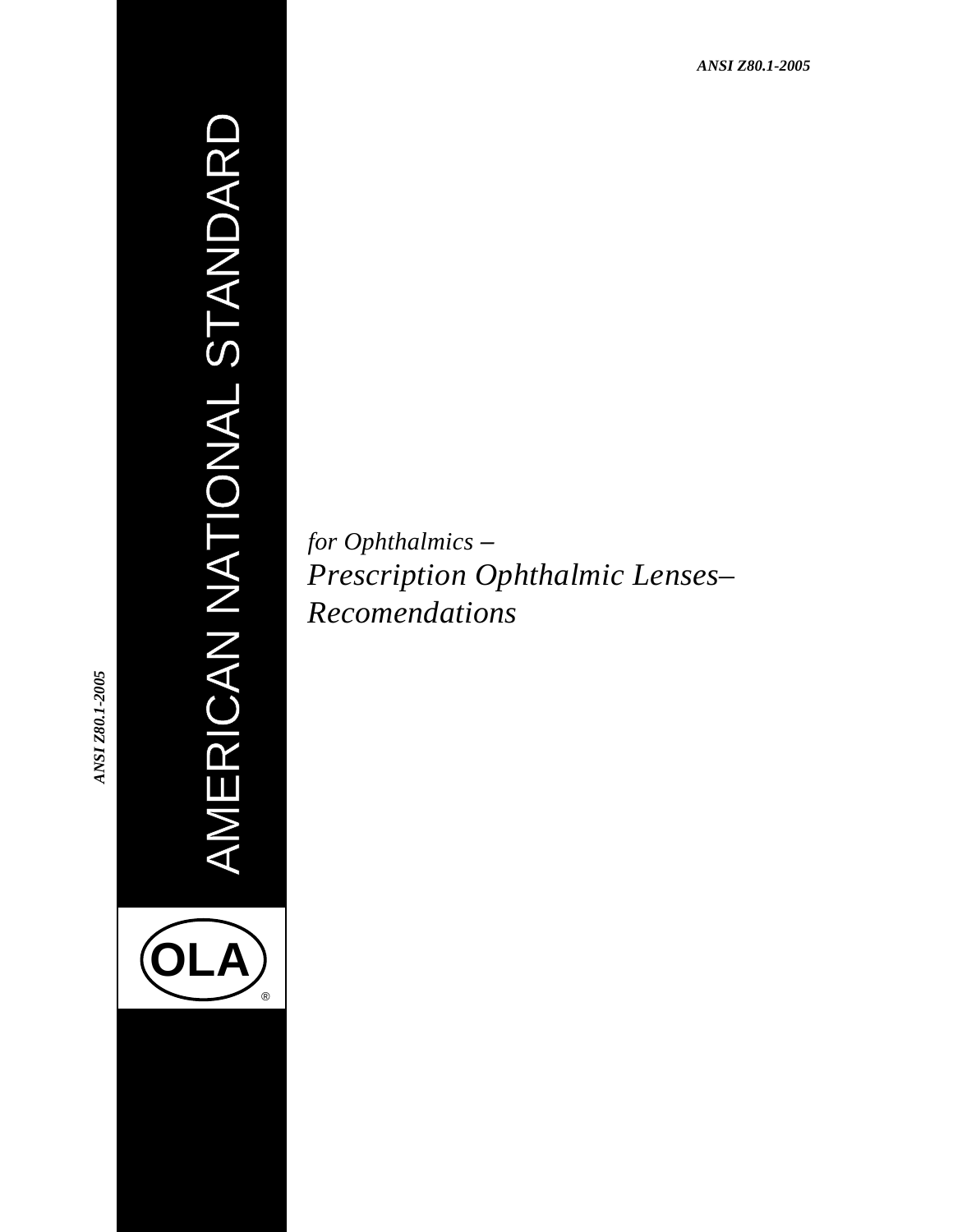*ANSI Z80.1-2005*

ANSI Z80.1-2005 *ANSI Z80.1-2005*

AMERICAN NATIONAL STANDARD AMERICAN NATIONAL STANDARD **OLA**

®

*for Ophthalmics* – *Prescription Ophthalmic Lenses– Recomendations*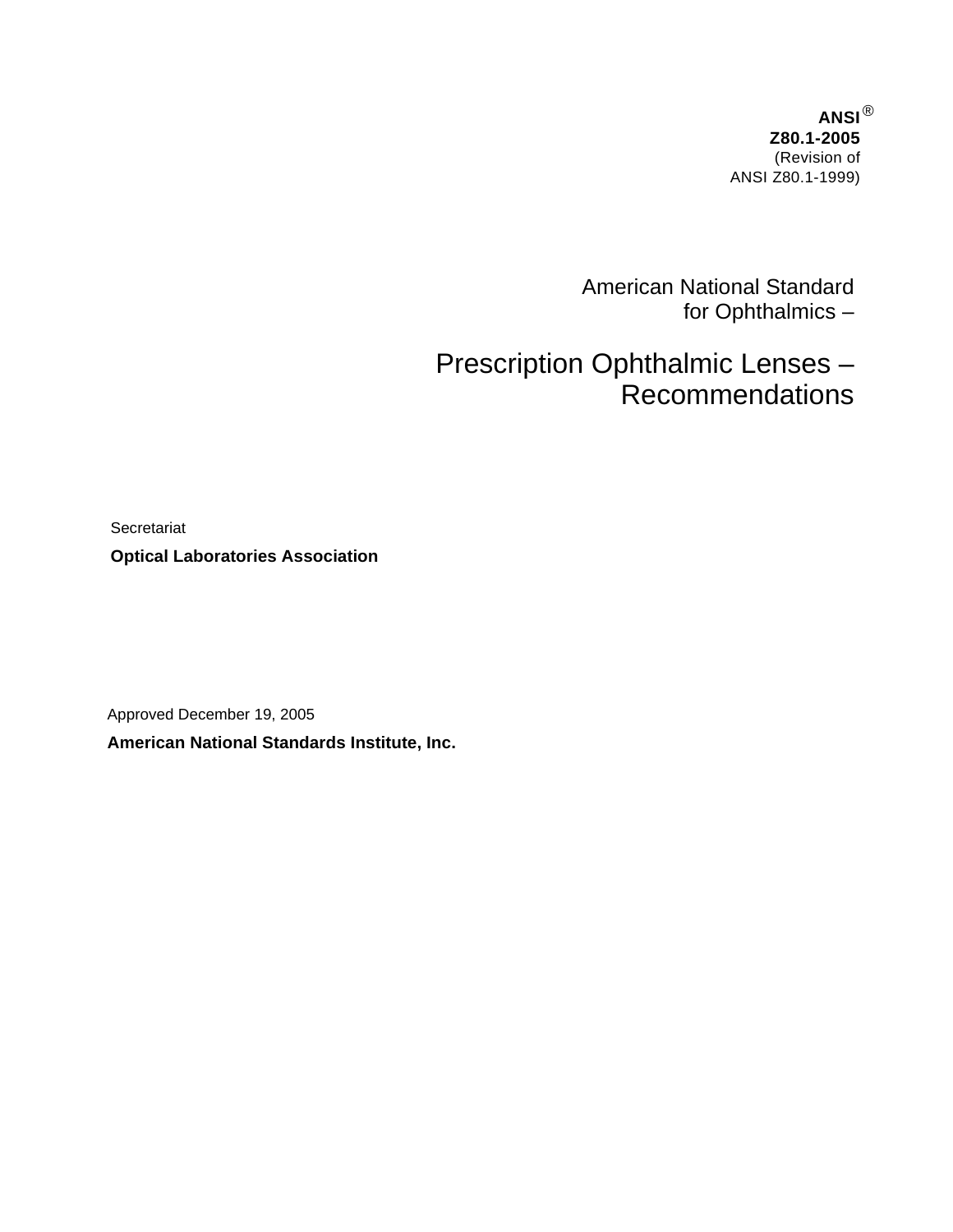**ANSI** ® **Z80.1-2005** (Revision of ANSI Z80.1-1999)

American National Standard for Ophthalmics –

Prescription Ophthalmic Lenses – Recommendations

**Secretariat** 

**Optical Laboratories Association**

Approved December 19, 2005

**American National Standards Institute, Inc.**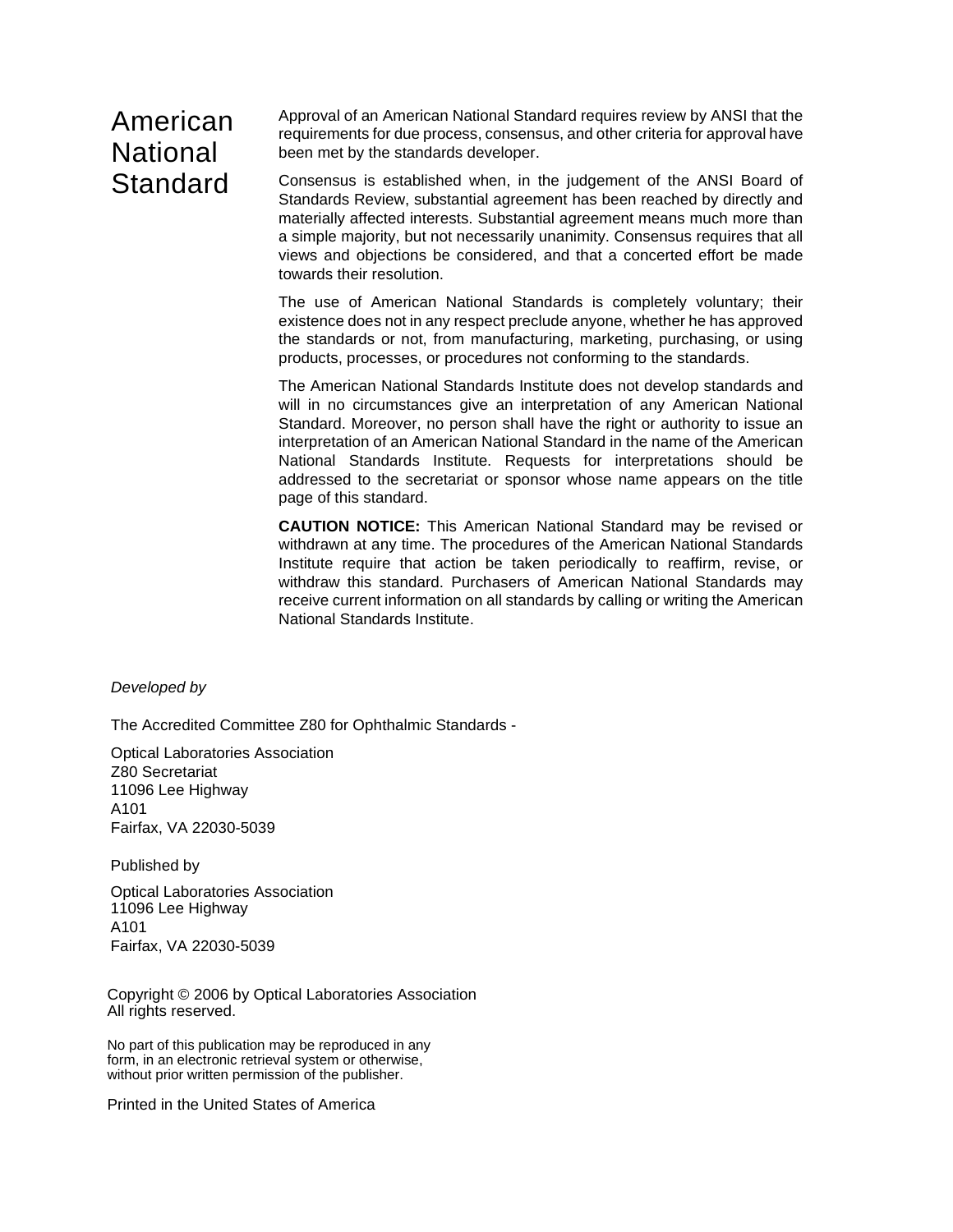# American **National** Standard

Approval of an American National Standard requires review by ANSI that the requirements for due process, consensus, and other criteria for approval have been met by the standards developer.

Consensus is established when, in the judgement of the ANSI Board of Standards Review, substantial agreement has been reached by directly and materially affected interests. Substantial agreement means much more than a simple majority, but not necessarily unanimity. Consensus requires that all views and objections be considered, and that a concerted effort be made towards their resolution.

The use of American National Standards is completely voluntary; their existence does not in any respect preclude anyone, whether he has approved the standards or not, from manufacturing, marketing, purchasing, or using products, processes, or procedures not conforming to the standards.

The American National Standards Institute does not develop standards and will in no circumstances give an interpretation of any American National Standard. Moreover, no person shall have the right or authority to issue an interpretation of an American National Standard in the name of the American National Standards Institute. Requests for interpretations should be addressed to the secretariat or sponsor whose name appears on the title page of this standard.

**CAUTION NOTICE:** This American National Standard may be revised or withdrawn at any time. The procedures of the American National Standards Institute require that action be taken periodically to reaffirm, revise, or withdraw this standard. Purchasers of American National Standards may receive current information on all standards by calling or writing the American National Standards Institute.

#### Developed by

The Accredited Committee Z80 for Ophthalmic Standards -

Optical Laboratories Association Z80 Secretariat 11096 Lee Highway A101 Fairfax, VA 22030-5039

Published by

Optical Laboratories Association 11096 Lee Highway A101 Fairfax, VA 22030-5039

Copyright © 2006 by Optical Laboratories Association All rights reserved.

No part of this publication may be reproduced in any form, in an electronic retrieval system or otherwise, without prior written permission of the publisher.

Printed in the United States of America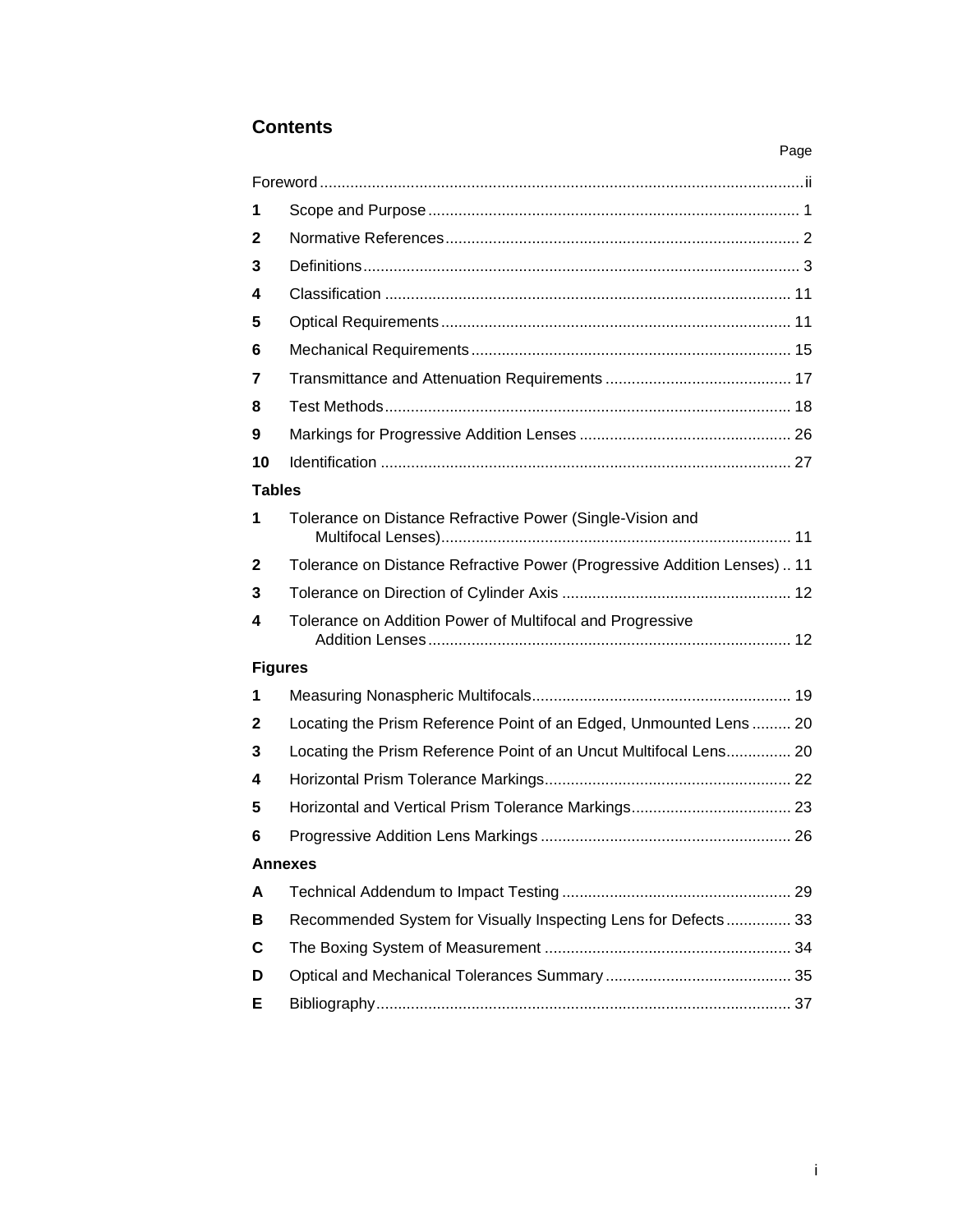## **Contents**

| 1              |                                                                          |
|----------------|--------------------------------------------------------------------------|
| 2              |                                                                          |
| 3              |                                                                          |
| 4              |                                                                          |
| 5              |                                                                          |
| 6              |                                                                          |
| 7              |                                                                          |
| 8              |                                                                          |
| 9              |                                                                          |
| 10             |                                                                          |
| <b>Tables</b>  |                                                                          |
| 1              | Tolerance on Distance Refractive Power (Single-Vision and                |
| 2              | Tolerance on Distance Refractive Power (Progressive Addition Lenses)  11 |
| 3              |                                                                          |
| 4              | Tolerance on Addition Power of Multifocal and Progressive                |
| <b>Figures</b> |                                                                          |
| 1              |                                                                          |
| 2              | Locating the Prism Reference Point of an Edged, Unmounted Lens 20        |
| 3              | Locating the Prism Reference Point of an Uncut Multifocal Lens 20        |
| 4              |                                                                          |
| 5              |                                                                          |
| 6              |                                                                          |
|                | <b>Annexes</b>                                                           |
| A              |                                                                          |
| в              | Recommended System for Visually Inspecting Lens for Defects 33           |
| C              |                                                                          |
| D              |                                                                          |

**E** Bibliography................................................................................................ 37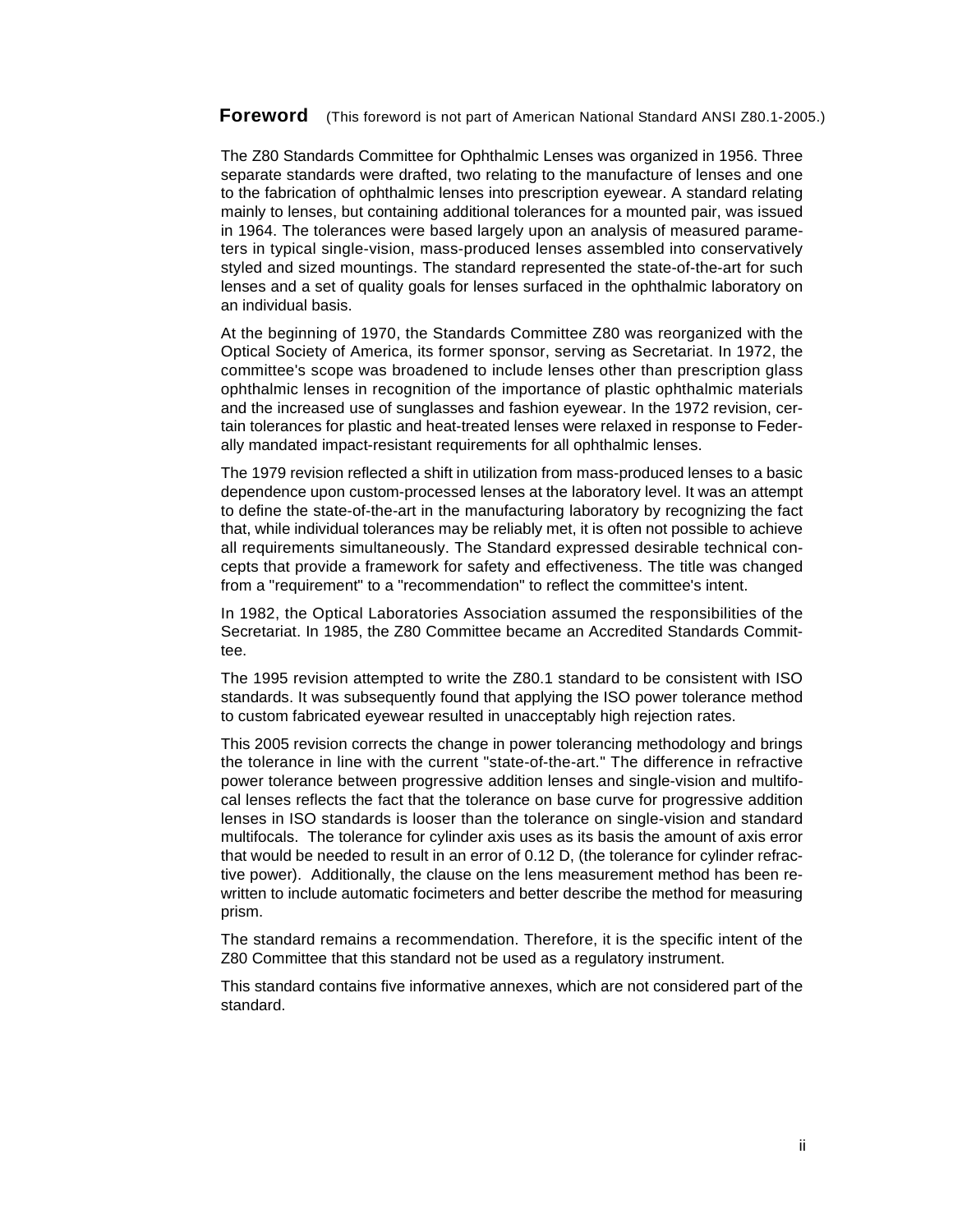**Foreword** (This foreword is not part of American National Standard ANSI Z80.1-2005.)

The Z80 Standards Committee for Ophthalmic Lenses was organized in 1956. Three separate standards were drafted, two relating to the manufacture of lenses and one to the fabrication of ophthalmic lenses into prescription eyewear. A standard relating mainly to lenses, but containing additional tolerances for a mounted pair, was issued in 1964. The tolerances were based largely upon an analysis of measured parameters in typical single-vision, mass-produced lenses assembled into conservatively styled and sized mountings. The standard represented the state-of-the-art for such lenses and a set of quality goals for lenses surfaced in the ophthalmic laboratory on an individual basis.

At the beginning of 1970, the Standards Committee Z80 was reorganized with the Optical Society of America, its former sponsor, serving as Secretariat. In 1972, the committee's scope was broadened to include lenses other than prescription glass ophthalmic lenses in recognition of the importance of plastic ophthalmic materials and the increased use of sunglasses and fashion eyewear. In the 1972 revision, certain tolerances for plastic and heat-treated lenses were relaxed in response to Federally mandated impact-resistant requirements for all ophthalmic lenses.

The 1979 revision reflected a shift in utilization from mass-produced lenses to a basic dependence upon custom-processed lenses at the laboratory level. It was an attempt to define the state-of-the-art in the manufacturing laboratory by recognizing the fact that, while individual tolerances may be reliably met, it is often not possible to achieve all requirements simultaneously. The Standard expressed desirable technical concepts that provide a framework for safety and effectiveness. The title was changed from a "requirement" to a "recommendation" to reflect the committee's intent.

In 1982, the Optical Laboratories Association assumed the responsibilities of the Secretariat. In 1985, the Z80 Committee became an Accredited Standards Committee.

The 1995 revision attempted to write the Z80.1 standard to be consistent with ISO standards. It was subsequently found that applying the ISO power tolerance method to custom fabricated eyewear resulted in unacceptably high rejection rates.

This 2005 revision corrects the change in power tolerancing methodology and brings the tolerance in line with the current "state-of-the-art." The difference in refractive power tolerance between progressive addition lenses and single-vision and multifocal lenses reflects the fact that the tolerance on base curve for progressive addition lenses in ISO standards is looser than the tolerance on single-vision and standard multifocals. The tolerance for cylinder axis uses as its basis the amount of axis error that would be needed to result in an error of 0.12 D, (the tolerance for cylinder refractive power). Additionally, the clause on the lens measurement method has been rewritten to include automatic focimeters and better describe the method for measuring prism.

The standard remains a recommendation. Therefore, it is the specific intent of the Z80 Committee that this standard not be used as a regulatory instrument.

This standard contains five informative annexes, which are not considered part of the standard.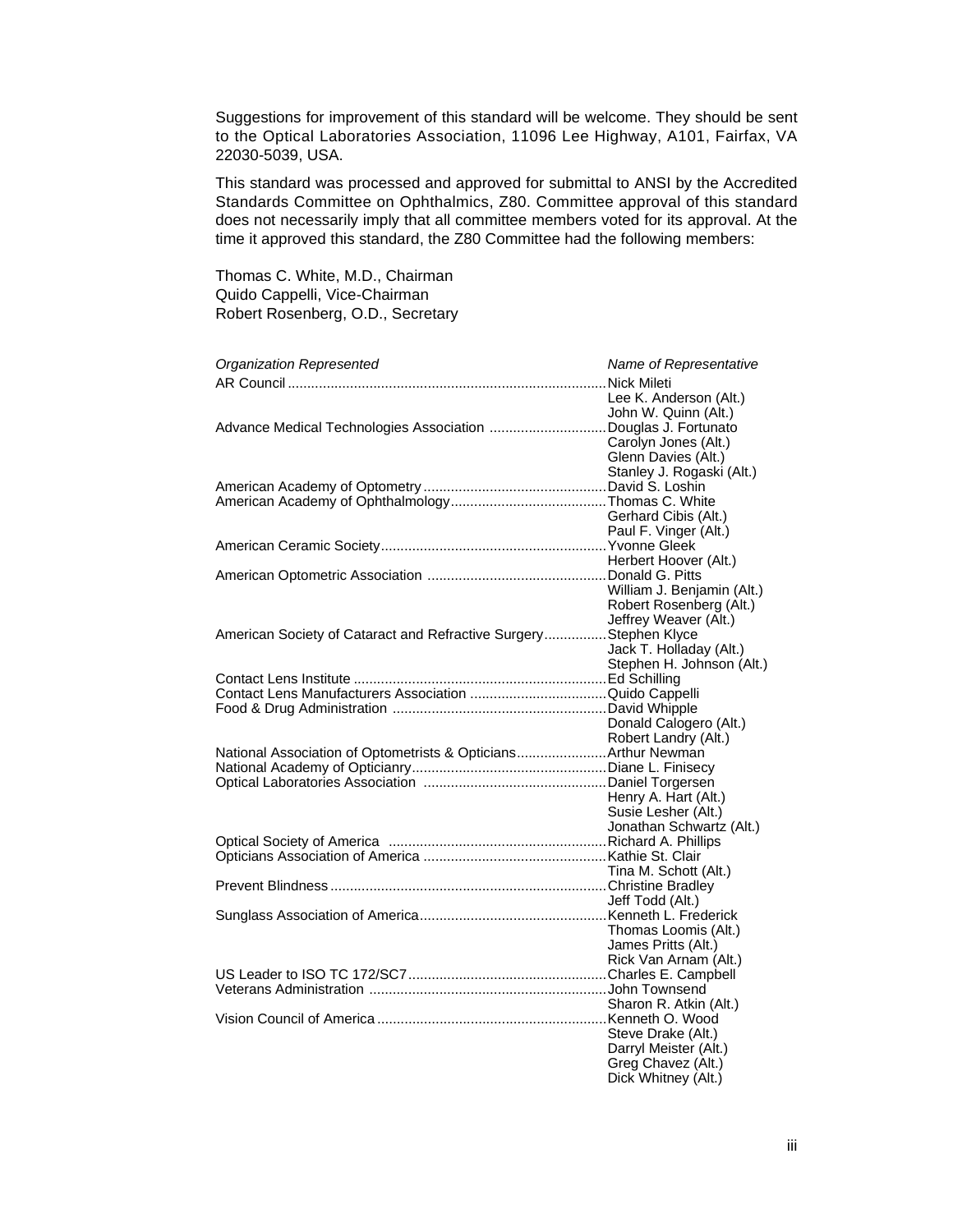Suggestions for improvement of this standard will be welcome. They should be sent to the Optical Laboratories Association, 11096 Lee Highway, A101, Fairfax, VA 22030-5039, USA.

This standard was processed and approved for submittal to ANSI by the Accredited Standards Committee on Ophthalmics, Z80. Committee approval of this standard does not necessarily imply that all committee members voted for its approval. At the time it approved this standard, the Z80 Committee had the following members:

Thomas C. White, M.D., Chairman Quido Cappelli, Vice-Chairman Robert Rosenberg, O.D., Secretary

| <b>Organization Represented</b>                                  | Name of Representative     |
|------------------------------------------------------------------|----------------------------|
|                                                                  |                            |
|                                                                  | Lee K. Anderson (Alt.)     |
|                                                                  | John W. Quinn (Alt.)       |
| Advance Medical Technologies Association Douglas J. Fortunato    |                            |
|                                                                  | Carolyn Jones (Alt.)       |
|                                                                  | Glenn Davies (Alt.)        |
|                                                                  | Stanley J. Rogaski (Alt.)  |
|                                                                  |                            |
|                                                                  |                            |
|                                                                  | Gerhard Cibis (Alt.)       |
|                                                                  | Paul F. Vinger (Alt.)      |
|                                                                  |                            |
|                                                                  |                            |
|                                                                  | Herbert Hoover (Alt.)      |
|                                                                  |                            |
|                                                                  | William J. Benjamin (Alt.) |
|                                                                  | Robert Rosenberg (Alt.)    |
|                                                                  | Jeffrey Weaver (Alt.)      |
| American Society of Cataract and Refractive SurgeryStephen Klyce |                            |
|                                                                  | Jack T. Holladay (Alt.)    |
|                                                                  | Stephen H. Johnson (Alt.)  |
|                                                                  |                            |
|                                                                  |                            |
|                                                                  |                            |
|                                                                  | Donald Calogero (Alt.)     |
|                                                                  | Robert Landry (Alt.)       |
| National Association of Optometrists & Opticians Arthur Newman   |                            |
|                                                                  |                            |
|                                                                  |                            |
|                                                                  | Henry A. Hart (Alt.)       |
|                                                                  | Susie Lesher (Alt.)        |
|                                                                  | Jonathan Schwartz (Alt.)   |
|                                                                  |                            |
|                                                                  |                            |
|                                                                  |                            |
|                                                                  | Tina M. Schott (Alt.)      |
|                                                                  |                            |
|                                                                  | Jeff Todd (Alt.)           |
|                                                                  |                            |
|                                                                  | Thomas Loomis (Alt.)       |
|                                                                  | James Pritts (Alt.)        |
|                                                                  | Rick Van Arnam (Alt.)      |
|                                                                  |                            |
|                                                                  |                            |
|                                                                  | Sharon R. Atkin (Alt.)     |
|                                                                  |                            |
|                                                                  | Steve Drake (Alt.)         |
|                                                                  | Darryl Meister (Alt.)      |
|                                                                  | Greg Chavez (Alt.)         |
|                                                                  | Dick Whitney (Alt.)        |
|                                                                  |                            |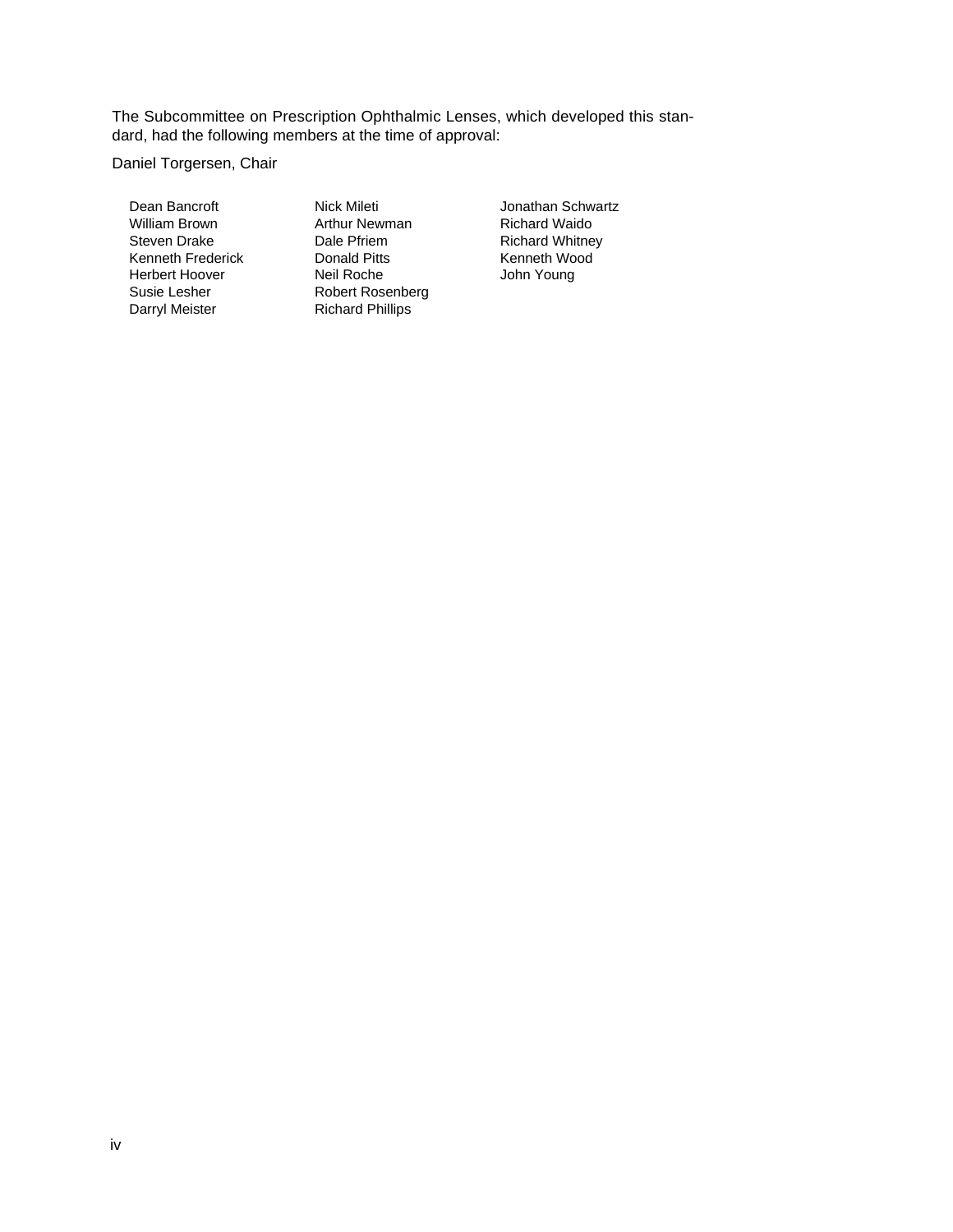The Subcommittee on Prescription Ophthalmic Lenses, which developed this standard, had the following members at the time of approval:

Daniel Torgersen, Chair

Dean Bancroft William Brown Steven Drake Kenneth Frederick Herbert Hoover Susie Lesher Darryl Meister

Nick Mileti Arthur Newman Dale Pfriem Donald Pitts Neil Roche Robert Rosenberg Richard Phillips

Jonathan Schwartz Richard Waido Richard Whitney Kenneth Wood John Young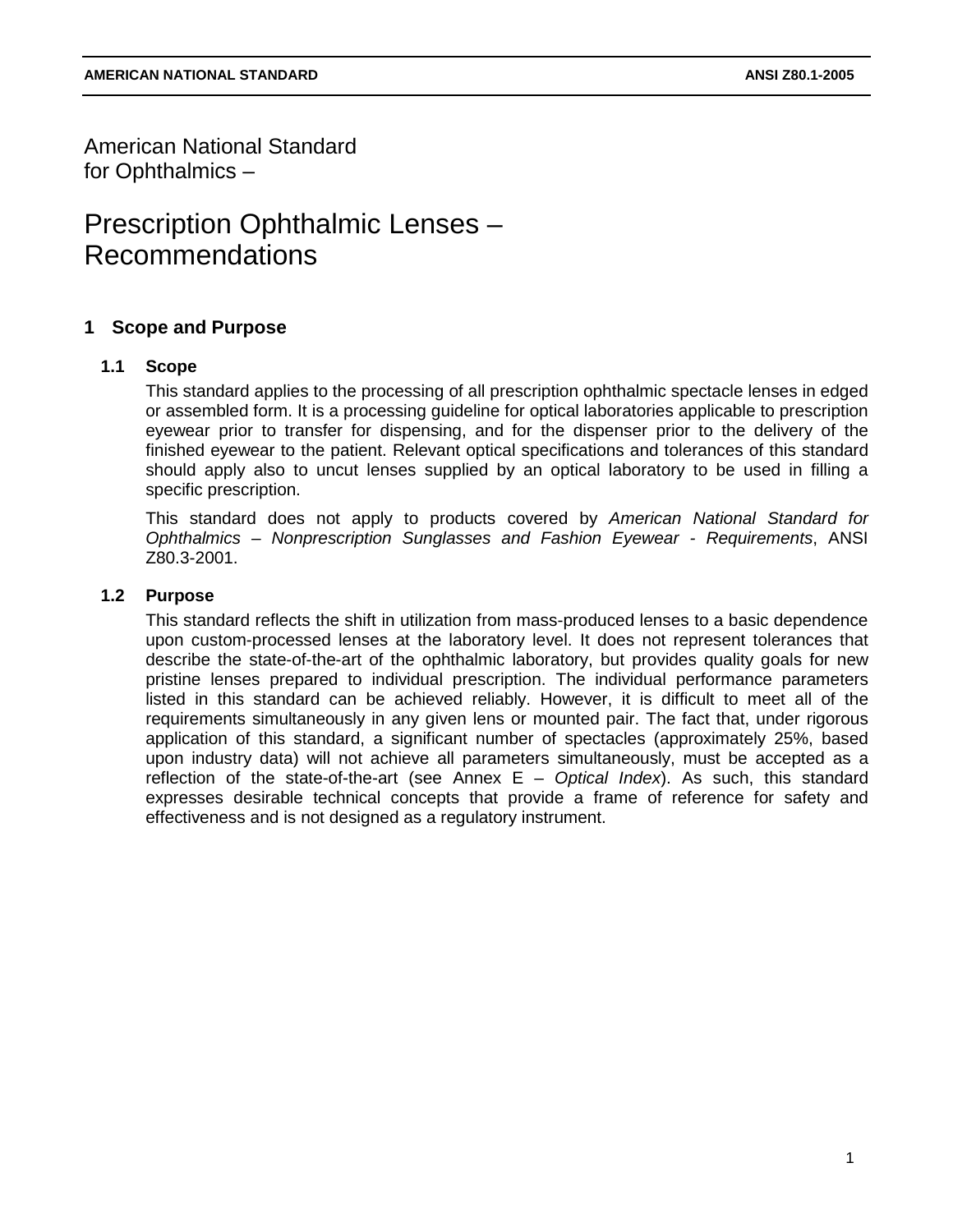American National Standard for Ophthalmics –

# Prescription Ophthalmic Lenses – Recommendations

## **1 Scope and Purpose**

#### **1.1 Scope**

This standard applies to the processing of all prescription ophthalmic spectacle lenses in edged or assembled form. It is a processing guideline for optical laboratories applicable to prescription eyewear prior to transfer for dispensing, and for the dispenser prior to the delivery of the finished eyewear to the patient. Relevant optical specifications and tolerances of this standard should apply also to uncut lenses supplied by an optical laboratory to be used in filling a specific prescription.

This standard does not apply to products covered by American National Standard for Ophthalmics – Nonprescription Sunglasses and Fashion Eyewear - Requirements, ANSI Z80.3-2001.

#### **1.2 Purpose**

This standard reflects the shift in utilization from mass-produced lenses to a basic dependence upon custom-processed lenses at the laboratory level. It does not represent tolerances that describe the state-of-the-art of the ophthalmic laboratory, but provides quality goals for new pristine lenses prepared to individual prescription. The individual performance parameters listed in this standard can be achieved reliably. However, it is difficult to meet all of the requirements simultaneously in any given lens or mounted pair. The fact that, under rigorous application of this standard, a significant number of spectacles (approximately 25%, based upon industry data) will not achieve all parameters simultaneously, must be accepted as a reflection of the state-of-the-art (see Annex  $E - Optical Index$ ). As such, this standard expresses desirable technical concepts that provide a frame of reference for safety and effectiveness and is not designed as a regulatory instrument.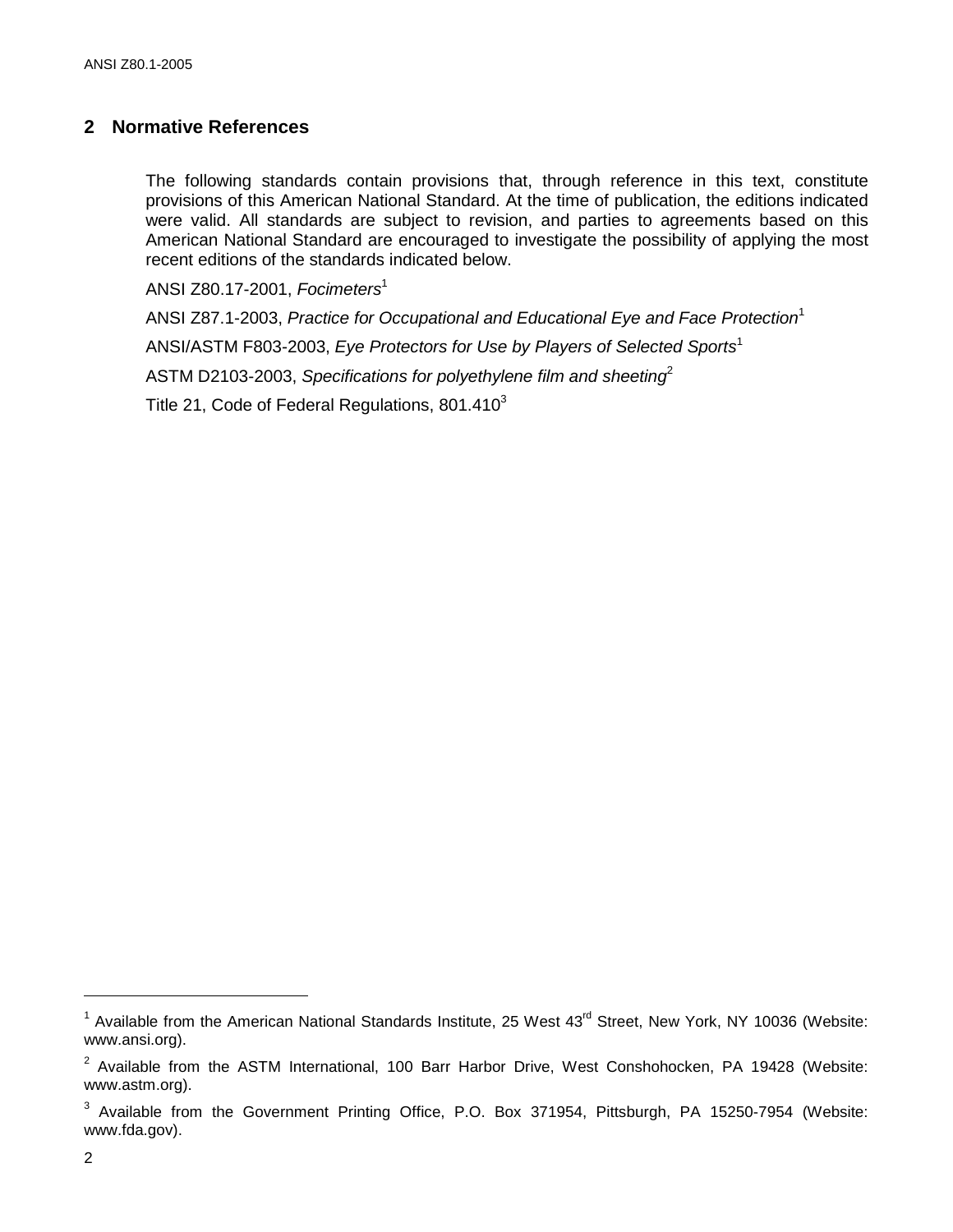## **2 Normative References**

The following standards contain provisions that, through reference in this text, constitute provisions of this American National Standard. At the time of publication, the editions indicated were valid. All standards are subject to revision, and parties to agreements based on this American National Standard are encouraged to investigate the possibility of applying the most recent editions of the standards indicated below.

ANSI Z80.17-2001, Focimeters<sup>1</sup>

ANSI Z87.1-2003, Practice for Occupational and Educational Eye and Face Protection<sup>1</sup> ANSI/ASTM F803-2003, Eye Protectors for Use by Players of Selected Sports<sup>1</sup> ASTM D2103-2003, Specifications for polyethylene film and sheeting  $\hat{f}$ Title 21, Code of Federal Regulations, 801.410 $3$ 

-

<sup>&</sup>lt;sup>1</sup> Available from the American National Standards Institute, 25 West  $43<sup>rd</sup>$  Street, New York, NY 10036 (Website: www.ansi.org).

 $2$  Available from the ASTM International, 100 Barr Harbor Drive, West Conshohocken, PA 19428 (Website: www.astm.org).

<sup>&</sup>lt;sup>3</sup> Available from the Government Printing Office, P.O. Box 371954, Pittsburgh, PA 15250-7954 (Website: www.fda.gov).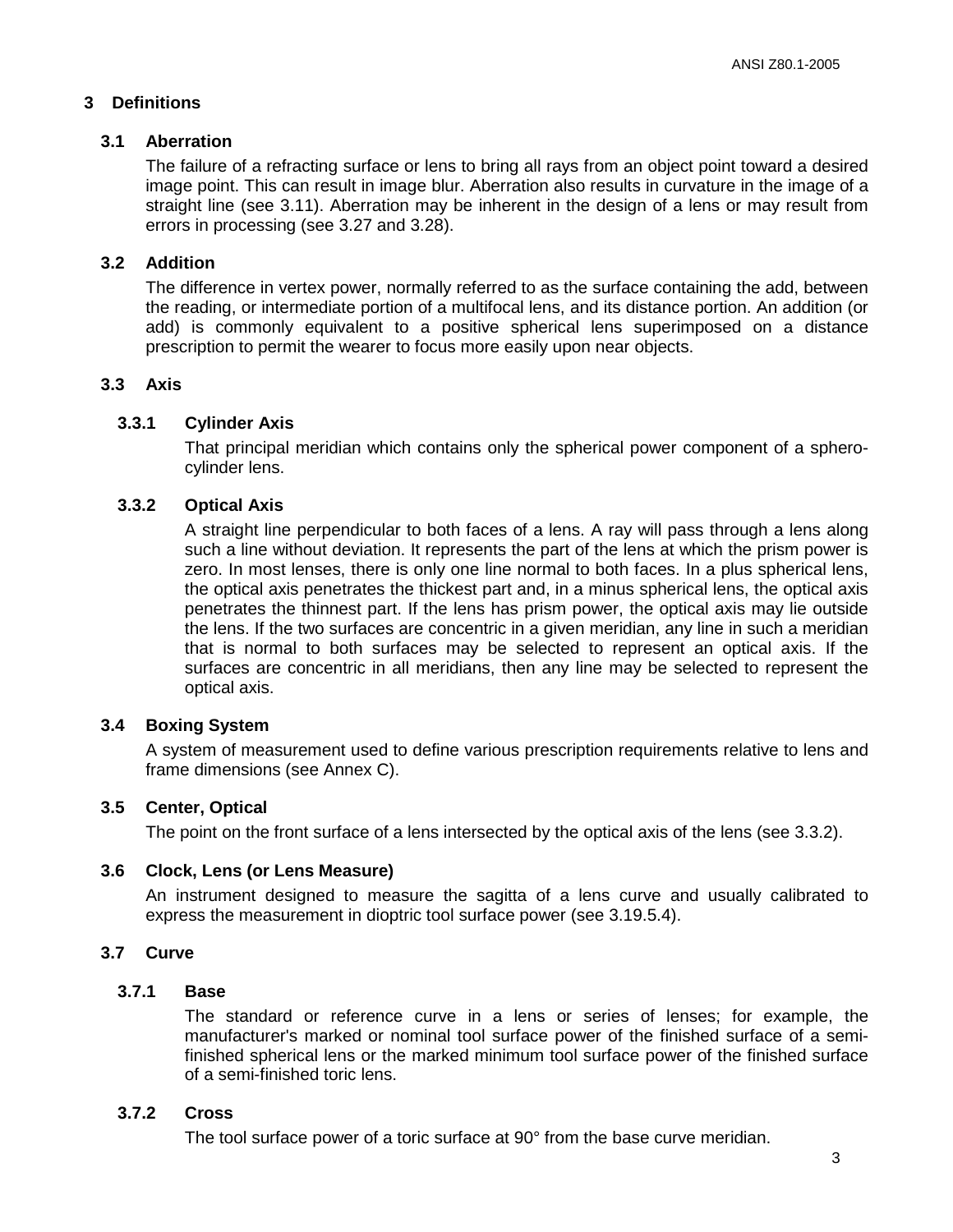## **3 Definitions**

#### **3.1 Aberration**

The failure of a refracting surface or lens to bring all rays from an object point toward a desired image point. This can result in image blur. Aberration also results in curvature in the image of a straight line (see 3.11). Aberration may be inherent in the design of a lens or may result from errors in processing (see 3.27 and 3.28).

## **3.2 Addition**

The difference in vertex power, normally referred to as the surface containing the add, between the reading, or intermediate portion of a multifocal lens, and its distance portion. An addition (or add) is commonly equivalent to a positive spherical lens superimposed on a distance prescription to permit the wearer to focus more easily upon near objects.

## **3.3 Axis**

#### **3.3.1 Cylinder Axis**

That principal meridian which contains only the spherical power component of a spherocylinder lens.

## **3.3.2 Optical Axis**

A straight line perpendicular to both faces of a lens. A ray will pass through a lens along such a line without deviation. It represents the part of the lens at which the prism power is zero. In most lenses, there is only one line normal to both faces. In a plus spherical lens, the optical axis penetrates the thickest part and, in a minus spherical lens, the optical axis penetrates the thinnest part. If the lens has prism power, the optical axis may lie outside the lens. If the two surfaces are concentric in a given meridian, any line in such a meridian that is normal to both surfaces may be selected to represent an optical axis. If the surfaces are concentric in all meridians, then any line may be selected to represent the optical axis.

## **3.4 Boxing System**

A system of measurement used to define various prescription requirements relative to lens and frame dimensions (see Annex C).

#### **3.5 Center, Optical**

The point on the front surface of a lens intersected by the optical axis of the lens (see 3.3.2).

#### **3.6 Clock, Lens (or Lens Measure)**

An instrument designed to measure the sagitta of a lens curve and usually calibrated to express the measurement in dioptric tool surface power (see 3.19.5.4).

#### **3.7 Curve**

## **3.7.1 Base**

The standard or reference curve in a lens or series of lenses; for example, the manufacturer's marked or nominal tool surface power of the finished surface of a semifinished spherical lens or the marked minimum tool surface power of the finished surface of a semi-finished toric lens.

## **3.7.2 Cross**

The tool surface power of a toric surface at 90° from the base curve meridian.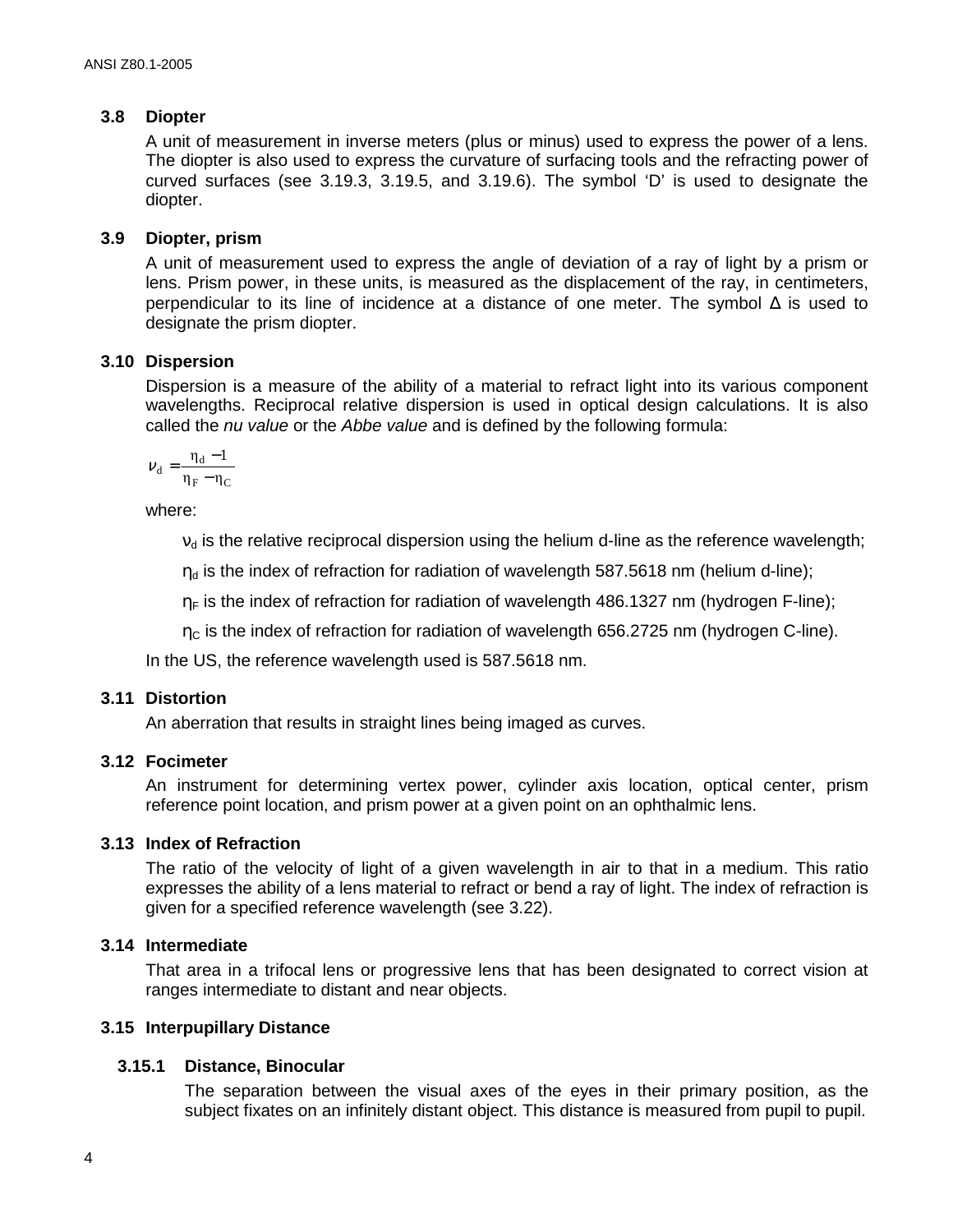## **3.8 Diopter**

A unit of measurement in inverse meters (plus or minus) used to express the power of a lens. The diopter is also used to express the curvature of surfacing tools and the refracting power of curved surfaces (see 3.19.3, 3.19.5, and 3.19.6). The symbol 'D' is used to designate the diopter.

## **3.9 Diopter, prism**

A unit of measurement used to express the angle of deviation of a ray of light by a prism or lens. Prism power, in these units, is measured as the displacement of the ray, in centimeters, perpendicular to its line of incidence at a distance of one meter. The symbol ∆ is used to designate the prism diopter.

## **3.10 Dispersion**

Dispersion is a measure of the ability of a material to refract light into its various component wavelengths. Reciprocal relative dispersion is used in optical design calculations. It is also called the nu value or the Abbe value and is defined by the following formula:

$$
\nu_d=\frac{\eta_d-1}{\eta_F-\eta_C}
$$

where:

 $v<sub>d</sub>$  is the relative reciprocal dispersion using the helium d-line as the reference wavelength;

 $\eta_d$  is the index of refraction for radiation of wavelength 587.5618 nm (helium d-line);

 $\eta_F$  is the index of refraction for radiation of wavelength 486.1327 nm (hydrogen F-line);

 $\eta_c$  is the index of refraction for radiation of wavelength 656.2725 nm (hydrogen C-line).

In the US, the reference wavelength used is 587.5618 nm.

## **3.11 Distortion**

An aberration that results in straight lines being imaged as curves.

## **3.12 Focimeter**

An instrument for determining vertex power, cylinder axis location, optical center, prism reference point location, and prism power at a given point on an ophthalmic lens.

## **3.13 Index of Refraction**

The ratio of the velocity of light of a given wavelength in air to that in a medium. This ratio expresses the ability of a lens material to refract or bend a ray of light. The index of refraction is given for a specified reference wavelength (see 3.22).

#### **3.14 Intermediate**

That area in a trifocal lens or progressive lens that has been designated to correct vision at ranges intermediate to distant and near objects.

## **3.15 Interpupillary Distance**

## **3.15.1 Distance, Binocular**

The separation between the visual axes of the eyes in their primary position, as the subject fixates on an infinitely distant object. This distance is measured from pupil to pupil.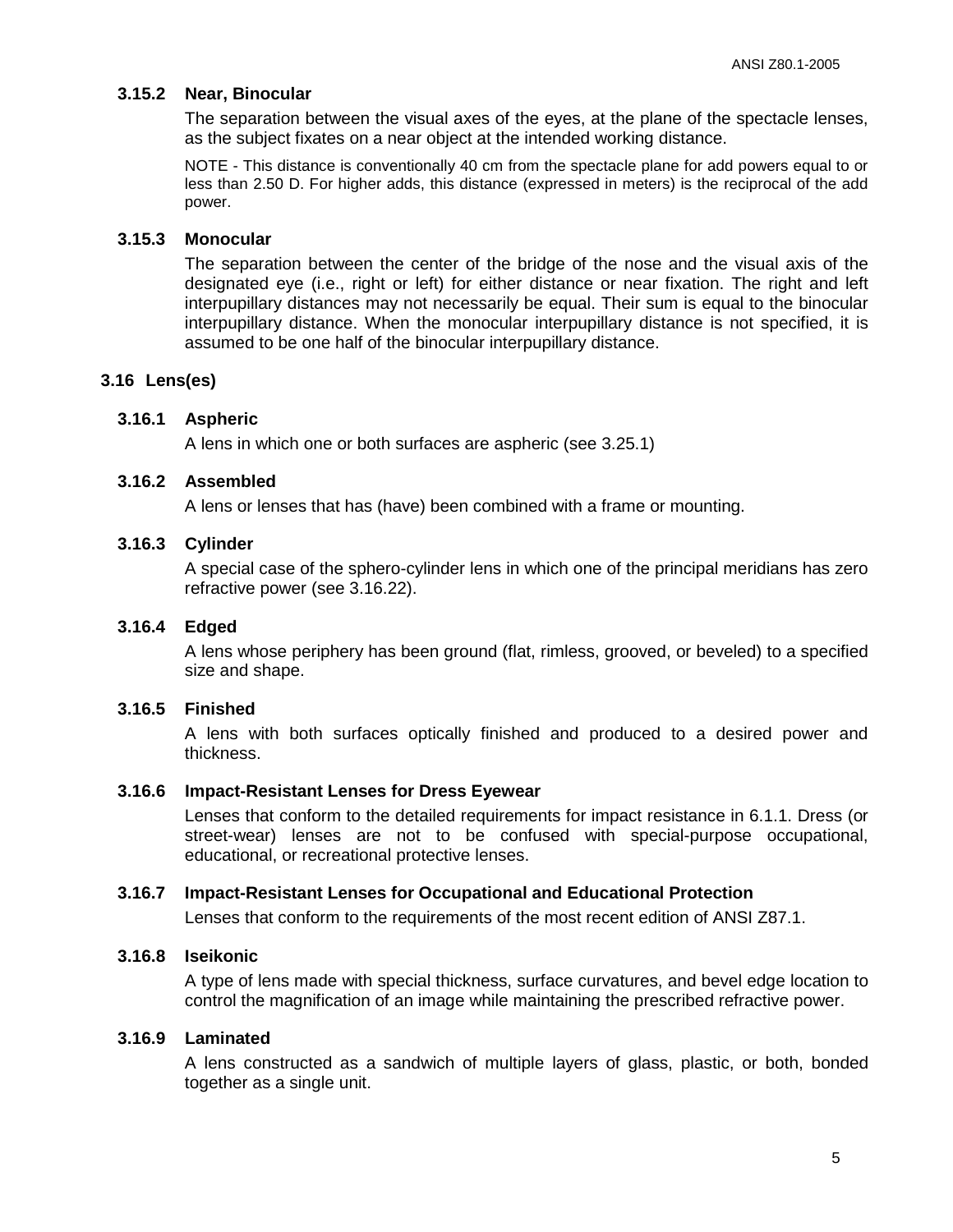#### **3.15.2 Near, Binocular**

The separation between the visual axes of the eyes, at the plane of the spectacle lenses, as the subject fixates on a near object at the intended working distance.

NOTE - This distance is conventionally 40 cm from the spectacle plane for add powers equal to or less than 2.50 D. For higher adds, this distance (expressed in meters) is the reciprocal of the add power.

#### **3.15.3 Monocular**

The separation between the center of the bridge of the nose and the visual axis of the designated eye (i.e., right or left) for either distance or near fixation. The right and left interpupillary distances may not necessarily be equal. Their sum is equal to the binocular interpupillary distance. When the monocular interpupillary distance is not specified, it is assumed to be one half of the binocular interpupillary distance.

## **3.16 Lens(es)**

## **3.16.1 Aspheric**

A lens in which one or both surfaces are aspheric (see 3.25.1)

## **3.16.2 Assembled**

A lens or lenses that has (have) been combined with a frame or mounting.

## **3.16.3 Cylinder**

A special case of the sphero-cylinder lens in which one of the principal meridians has zero refractive power (see 3.16.22).

## **3.16.4 Edged**

A lens whose periphery has been ground (flat, rimless, grooved, or beveled) to a specified size and shape.

## **3.16.5 Finished**

A lens with both surfaces optically finished and produced to a desired power and thickness.

#### **3.16.6 Impact-Resistant Lenses for Dress Eyewear**

Lenses that conform to the detailed requirements for impact resistance in 6.1.1. Dress (or street-wear) lenses are not to be confused with special-purpose occupational, educational, or recreational protective lenses.

## **3.16.7 Impact-Resistant Lenses for Occupational and Educational Protection**

Lenses that conform to the requirements of the most recent edition of ANSI Z87.1.

#### **3.16.8 Iseikonic**

A type of lens made with special thickness, surface curvatures, and bevel edge location to control the magnification of an image while maintaining the prescribed refractive power.

#### **3.16.9 Laminated**

A lens constructed as a sandwich of multiple layers of glass, plastic, or both, bonded together as a single unit.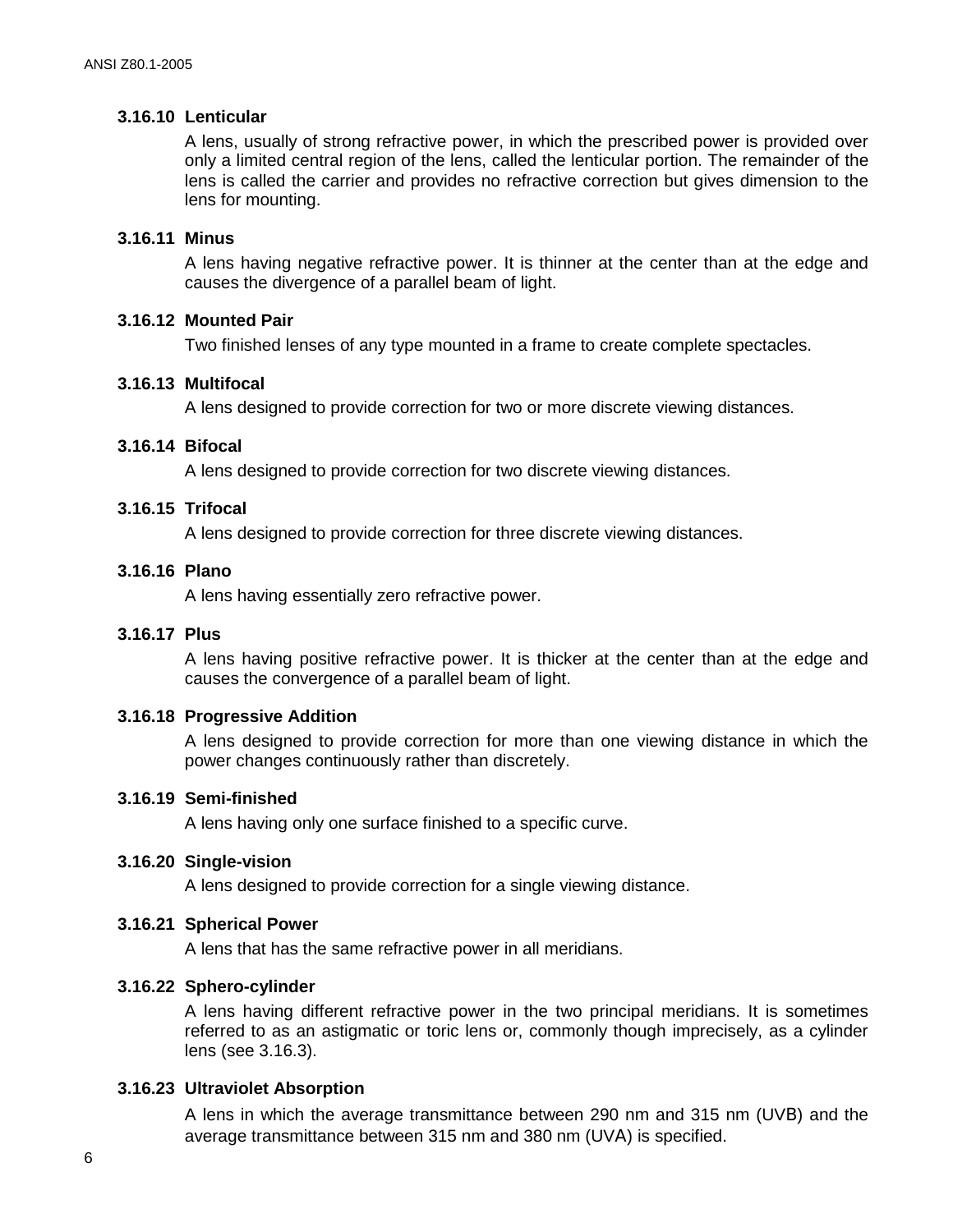#### **3.16.10 Lenticular**

A lens, usually of strong refractive power, in which the prescribed power is provided over only a limited central region of the lens, called the lenticular portion. The remainder of the lens is called the carrier and provides no refractive correction but gives dimension to the lens for mounting.

#### **3.16.11 Minus**

A lens having negative refractive power. It is thinner at the center than at the edge and causes the divergence of a parallel beam of light.

#### **3.16.12 Mounted Pair**

Two finished lenses of any type mounted in a frame to create complete spectacles.

#### **3.16.13 Multifocal**

A lens designed to provide correction for two or more discrete viewing distances.

## **3.16.14 Bifocal**

A lens designed to provide correction for two discrete viewing distances.

## **3.16.15 Trifocal**

A lens designed to provide correction for three discrete viewing distances.

#### **3.16.16 Plano**

A lens having essentially zero refractive power.

#### **3.16.17 Plus**

A lens having positive refractive power. It is thicker at the center than at the edge and causes the convergence of a parallel beam of light.

#### **3.16.18 Progressive Addition**

A lens designed to provide correction for more than one viewing distance in which the power changes continuously rather than discretely.

#### **3.16.19 Semi-finished**

A lens having only one surface finished to a specific curve.

#### **3.16.20 Single-vision**

A lens designed to provide correction for a single viewing distance.

#### **3.16.21 Spherical Power**

A lens that has the same refractive power in all meridians.

#### **3.16.22 Sphero-cylinder**

A lens having different refractive power in the two principal meridians. It is sometimes referred to as an astigmatic or toric lens or, commonly though imprecisely, as a cylinder lens (see 3.16.3).

#### **3.16.23 Ultraviolet Absorption**

A lens in which the average transmittance between 290 nm and 315 nm (UVΒ) and the average transmittance between 315 nm and 380 nm (UVΑ) is specified.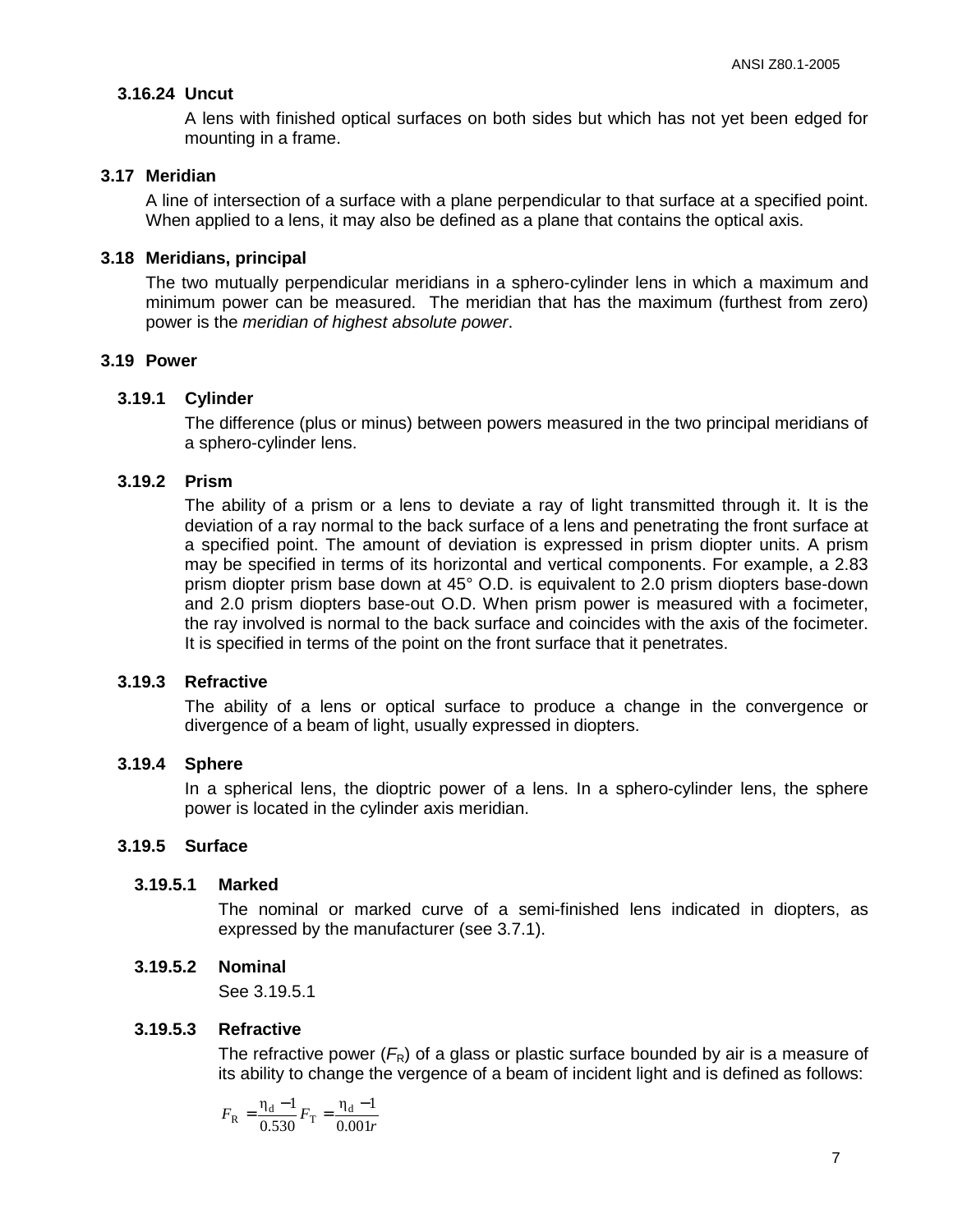## **3.16.24 Uncut**

A lens with finished optical surfaces on both sides but which has not yet been edged for mounting in a frame.

## **3.17 Meridian**

A line of intersection of a surface with a plane perpendicular to that surface at a specified point. When applied to a lens, it may also be defined as a plane that contains the optical axis.

#### **3.18 Meridians, principal**

The two mutually perpendicular meridians in a sphero-cylinder lens in which a maximum and minimum power can be measured. The meridian that has the maximum (furthest from zero) power is the meridian of highest absolute power.

## **3.19 Power**

## **3.19.1 Cylinder**

The difference (plus or minus) between powers measured in the two principal meridians of a sphero-cylinder lens.

## **3.19.2 Prism**

The ability of a prism or a lens to deviate a ray of light transmitted through it. It is the deviation of a ray normal to the back surface of a lens and penetrating the front surface at a specified point. The amount of deviation is expressed in prism diopter units. A prism may be specified in terms of its horizontal and vertical components. For example, a 2.83 prism diopter prism base down at 45° O.D. is equivalent to 2.0 prism diopters base-down and 2.0 prism diopters base-out O.D. When prism power is measured with a focimeter, the ray involved is normal to the back surface and coincides with the axis of the focimeter. It is specified in terms of the point on the front surface that it penetrates.

#### **3.19.3 Refractive**

The ability of a lens or optical surface to produce a change in the convergence or divergence of a beam of light, usually expressed in diopters.

#### **3.19.4 Sphere**

In a spherical lens, the dioptric power of a lens. In a sphero-cylinder lens, the sphere power is located in the cylinder axis meridian.

#### **3.19.5 Surface**

#### **3.19.5.1 Marked**

The nominal or marked curve of a semi-finished lens indicated in diopters, as expressed by the manufacturer (see 3.7.1).

## **3.19.5.2 Nominal**

See 3.19.5.1

## **3.19.5.3 Refractive**

The refractive power  $(F_R)$  of a glass or plastic surface bounded by air is a measure of its ability to change the vergence of a beam of incident light and is defined as follows:

$$
F_{\rm R} = \frac{\eta_{\rm d} - 1}{0.530} F_{\rm T} = \frac{\eta_{\rm d} - 1}{0.001r}
$$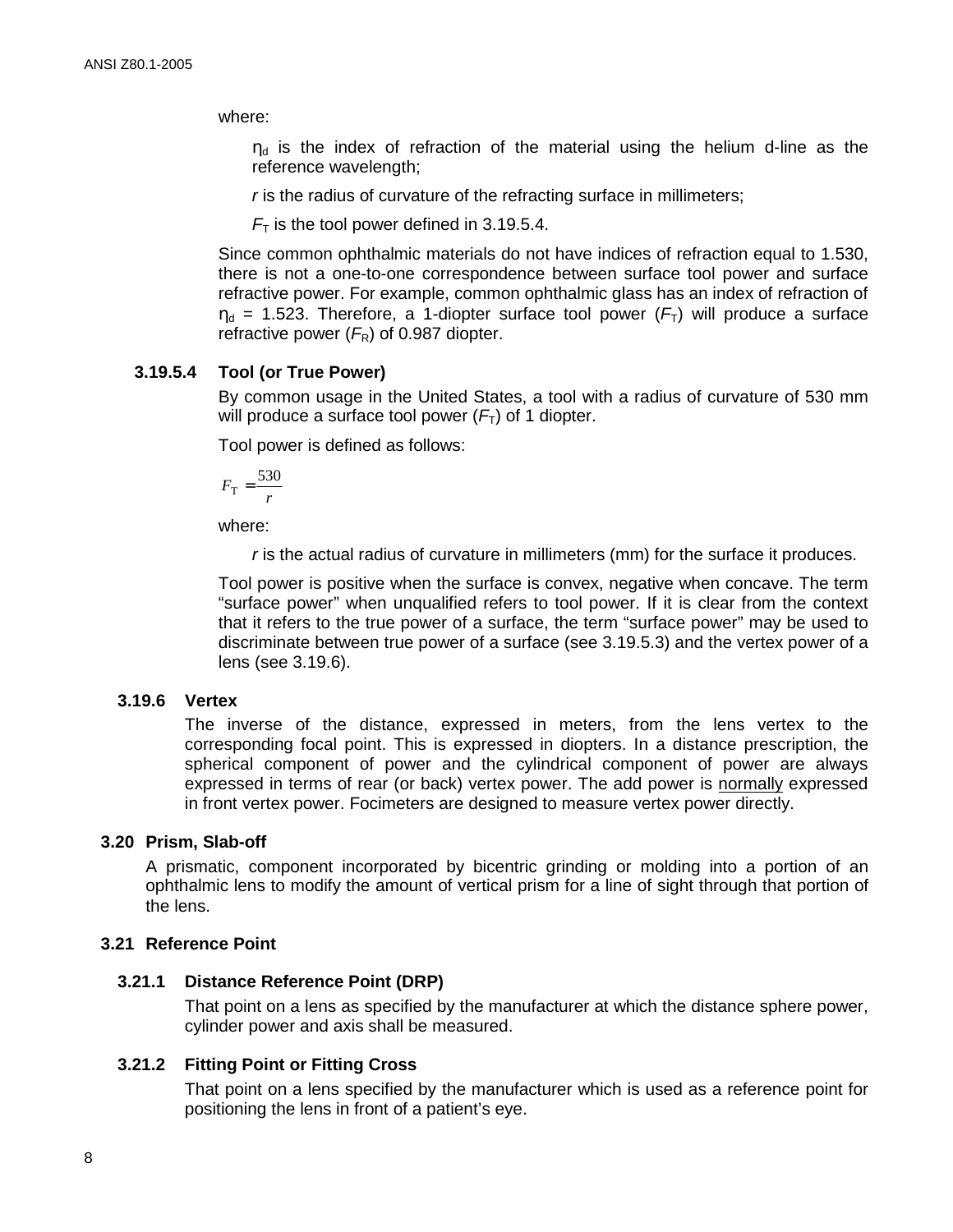where:

 $\eta_d$  is the index of refraction of the material using the helium d-line as the reference wavelength;

r is the radius of curvature of the refracting surface in millimeters;

 $F<sub>T</sub>$  is the tool power defined in 3.19.5.4.

Since common ophthalmic materials do not have indices of refraction equal to 1.530, there is not a one-to-one correspondence between surface tool power and surface refractive power. For example, common ophthalmic glass has an index of refraction of  $\eta_d$  = 1.523. Therefore, a 1-diopter surface tool power ( $F_T$ ) will produce a surface refractive power  $(F_R)$  of 0.987 diopter.

## **3.19.5.4 Tool (or True Power)**

By common usage in the United States, a tool with a radius of curvature of 530 mm will produce a surface tool power  $(F<sub>T</sub>)$  of 1 diopter.

Tool power is defined as follows:

$$
F_{\rm T} = \frac{530}{r}
$$

where:

r is the actual radius of curvature in millimeters (mm) for the surface it produces.

Tool power is positive when the surface is convex, negative when concave. The term "surface power" when unqualified refers to tool power. If it is clear from the context that it refers to the true power of a surface, the term "surface power" may be used to discriminate between true power of a surface (see 3.19.5.3) and the vertex power of a lens (see 3.19.6).

#### **3.19.6 Vertex**

The inverse of the distance, expressed in meters, from the lens vertex to the corresponding focal point. This is expressed in diopters. In a distance prescription, the spherical component of power and the cylindrical component of power are always expressed in terms of rear (or back) vertex power. The add power is normally expressed in front vertex power. Focimeters are designed to measure vertex power directly.

#### **3.20 Prism, Slab-off**

A prismatic, component incorporated by bicentric grinding or molding into a portion of an ophthalmic lens to modify the amount of vertical prism for a line of sight through that portion of the lens.

## **3.21 Reference Point**

#### **3.21.1 Distance Reference Point (DRP)**

That point on a lens as specified by the manufacturer at which the distance sphere power, cylinder power and axis shall be measured.

## **3.21.2 Fitting Point or Fitting Cross**

That point on a lens specified by the manufacturer which is used as a reference point for positioning the lens in front of a patient's eye.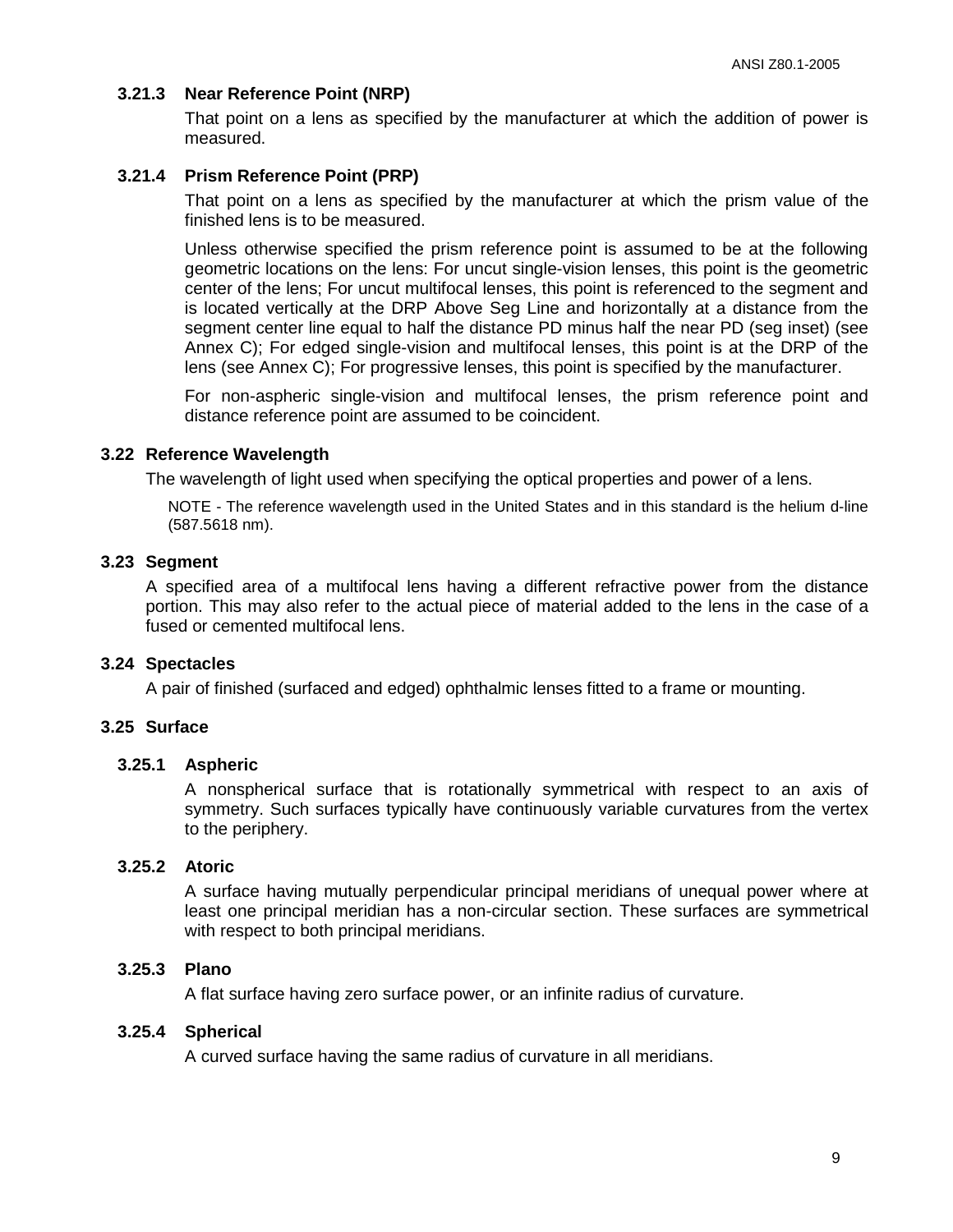## **3.21.3 Near Reference Point (NRP)**

That point on a lens as specified by the manufacturer at which the addition of power is measured.

#### **3.21.4 Prism Reference Point (PRP)**

That point on a lens as specified by the manufacturer at which the prism value of the finished lens is to be measured.

Unless otherwise specified the prism reference point is assumed to be at the following geometric locations on the lens: For uncut single-vision lenses, this point is the geometric center of the lens; For uncut multifocal lenses, this point is referenced to the segment and is located vertically at the DRP Above Seg Line and horizontally at a distance from the segment center line equal to half the distance PD minus half the near PD (seg inset) (see Annex C); For edged single-vision and multifocal lenses, this point is at the DRP of the lens (see Annex C); For progressive lenses, this point is specified by the manufacturer.

For non-aspheric single-vision and multifocal lenses, the prism reference point and distance reference point are assumed to be coincident.

#### **3.22 Reference Wavelength**

The wavelength of light used when specifying the optical properties and power of a lens.

NOTE - The reference wavelength used in the United States and in this standard is the helium d-line (587.5618 nm).

#### **3.23 Segment**

A specified area of a multifocal lens having a different refractive power from the distance portion. This may also refer to the actual piece of material added to the lens in the case of a fused or cemented multifocal lens.

#### **3.24 Spectacles**

A pair of finished (surfaced and edged) ophthalmic lenses fitted to a frame or mounting.

#### **3.25 Surface**

#### **3.25.1 Aspheric**

A nonspherical surface that is rotationally symmetrical with respect to an axis of symmetry. Such surfaces typically have continuously variable curvatures from the vertex to the periphery.

## **3.25.2 Atoric**

A surface having mutually perpendicular principal meridians of unequal power where at least one principal meridian has a non-circular section. These surfaces are symmetrical with respect to both principal meridians.

#### **3.25.3 Plano**

A flat surface having zero surface power, or an infinite radius of curvature.

#### **3.25.4 Spherical**

A curved surface having the same radius of curvature in all meridians.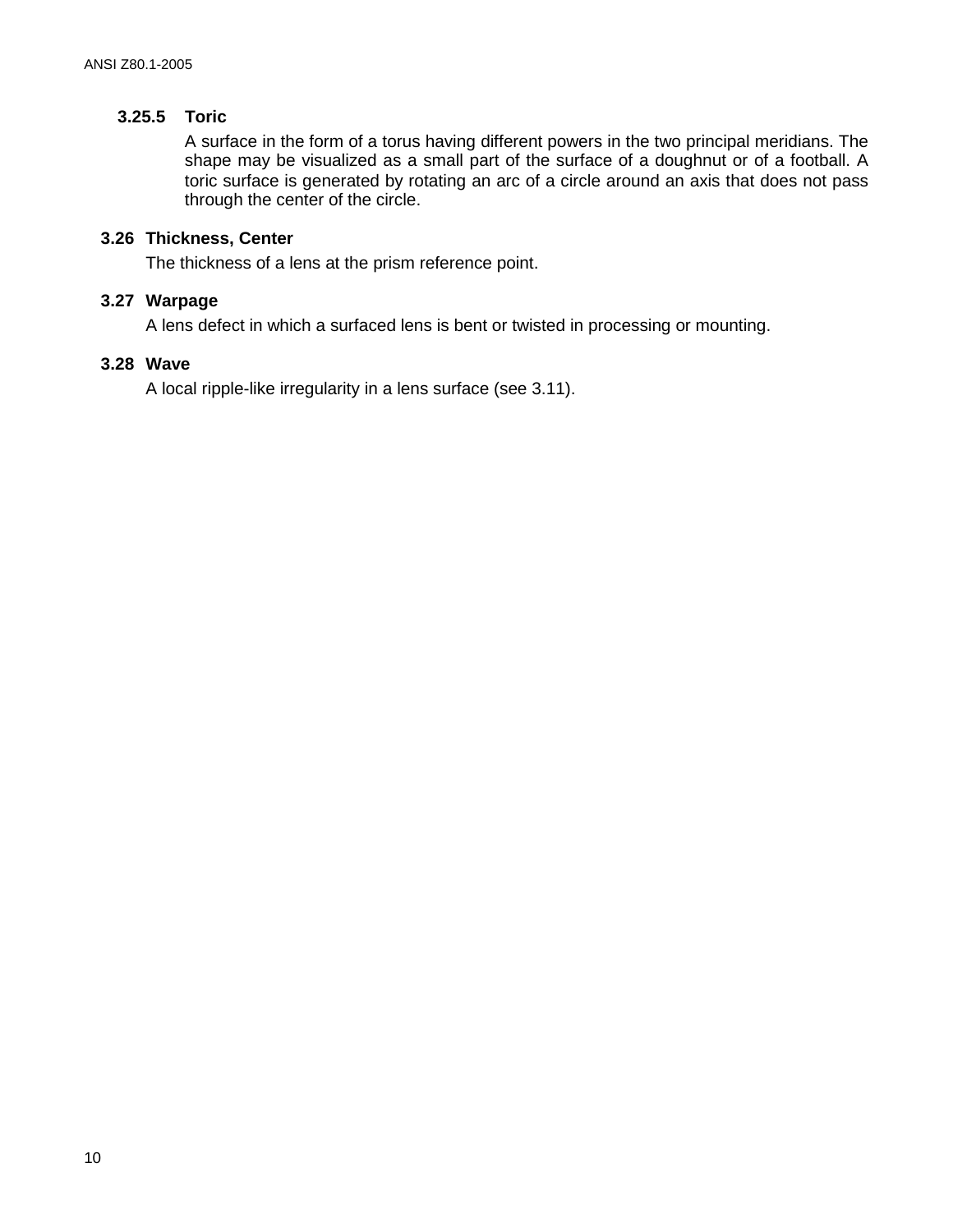## **3.25.5 Toric**

A surface in the form of a torus having different powers in the two principal meridians. The shape may be visualized as a small part of the surface of a doughnut or of a football. A toric surface is generated by rotating an arc of a circle around an axis that does not pass through the center of the circle.

## **3.26 Thickness, Center**

The thickness of a lens at the prism reference point.

#### **3.27 Warpage**

A lens defect in which a surfaced lens is bent or twisted in processing or mounting.

#### **3.28 Wave**

A local ripple-like irregularity in a lens surface (see 3.11).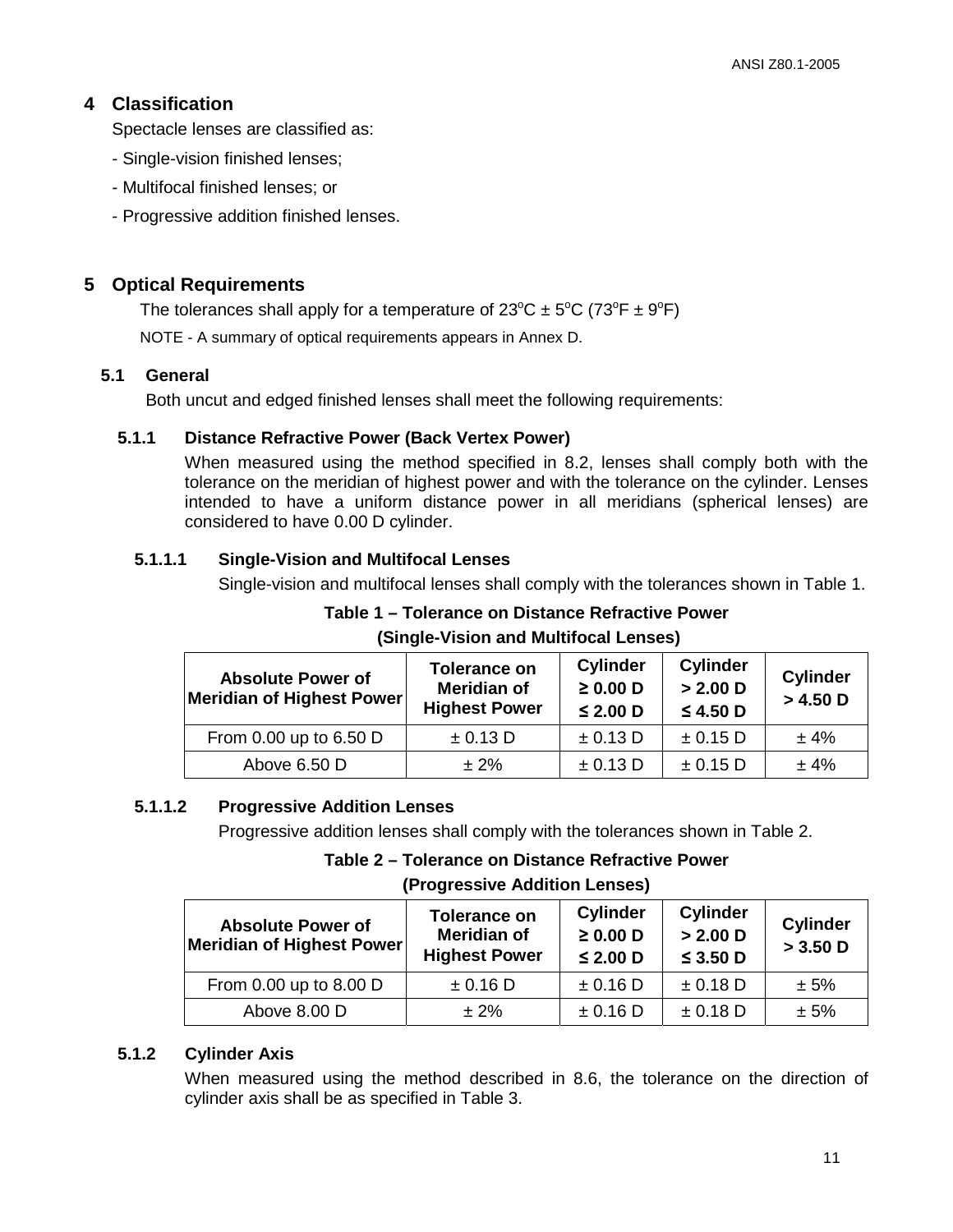## **4 Classification**

Spectacle lenses are classified as:

- Single-vision finished lenses;
- Multifocal finished lenses; or
- Progressive addition finished lenses.

## **5 Optical Requirements**

The tolerances shall apply for a temperature of  $23^{\circ}C \pm 5^{\circ}C$  (73 $^{\circ}F \pm 9^{\circ}F$ )

NOTE - A summary of optical requirements appears in Annex D.

## **5.1 General**

Both uncut and edged finished lenses shall meet the following requirements:

## **5.1.1 Distance Refractive Power (Back Vertex Power)**

When measured using the method specified in 8.2, lenses shall comply both with the tolerance on the meridian of highest power and with the tolerance on the cylinder. Lenses intended to have a uniform distance power in all meridians (spherical lenses) are considered to have 0.00 D cylinder.

## **5.1.1.1 Single-Vision and Multifocal Lenses**

Single-vision and multifocal lenses shall comply with the tolerances shown in Table 1.

| (Single-Vision and Multifocal Lenses)                 |                                                                   |                                                   |                                                |                               |  |
|-------------------------------------------------------|-------------------------------------------------------------------|---------------------------------------------------|------------------------------------------------|-------------------------------|--|
| <b>Absolute Power of</b><br>Meridian of Highest Power | <b>Tolerance on</b><br><b>Meridian of</b><br><b>Highest Power</b> | <b>Cylinder</b><br>$\geq 0.00$ D<br>$\leq$ 2.00 D | <b>Cylinder</b><br>$> 2.00$ D<br>$\leq 4.50$ D | <b>Cylinder</b><br>$> 4.50$ D |  |
| From 0.00 up to 6.50 D                                | $\pm$ 0.13 D                                                      | $\pm$ 0.13 D                                      | $\pm$ 0.15 D                                   | ±4%                           |  |
| Above 6.50 D                                          | $± 2\%$                                                           | $\pm$ 0.13 D                                      | $\pm$ 0.15 D                                   | ±4%                           |  |

# **Table 1 – Tolerance on Distance Refractive Power**

## **5.1.1.2 Progressive Addition Lenses**

Progressive addition lenses shall comply with the tolerances shown in Table 2.

## **Table 2 – Tolerance on Distance Refractive Power**

#### **(Progressive Addition Lenses)**

| <b>Absolute Power of</b><br>Meridian of Highest Power | <b>Tolerance on</b><br><b>Meridian of</b><br><b>Highest Power</b> | <b>Cylinder</b><br>$\geq 0.00$ D<br>$\leq$ 2.00 D | <b>Cylinder</b><br>> 2.00 D<br>$\leq$ 3.50 D | <b>Cylinder</b><br>$> 3.50$ D |
|-------------------------------------------------------|-------------------------------------------------------------------|---------------------------------------------------|----------------------------------------------|-------------------------------|
| From 0.00 up to 8.00 D                                | $\pm$ 0.16 D                                                      | $\pm$ 0.16 D                                      | $\pm$ 0.18 D                                 | $\pm$ 5%                      |
| Above 8.00 D                                          | $± 2\%$                                                           | $\pm$ 0.16 D                                      | $\pm$ 0.18 D                                 | $\pm$ 5%                      |

## **5.1.2 Cylinder Axis**

When measured using the method described in 8.6, the tolerance on the direction of cylinder axis shall be as specified in Table 3.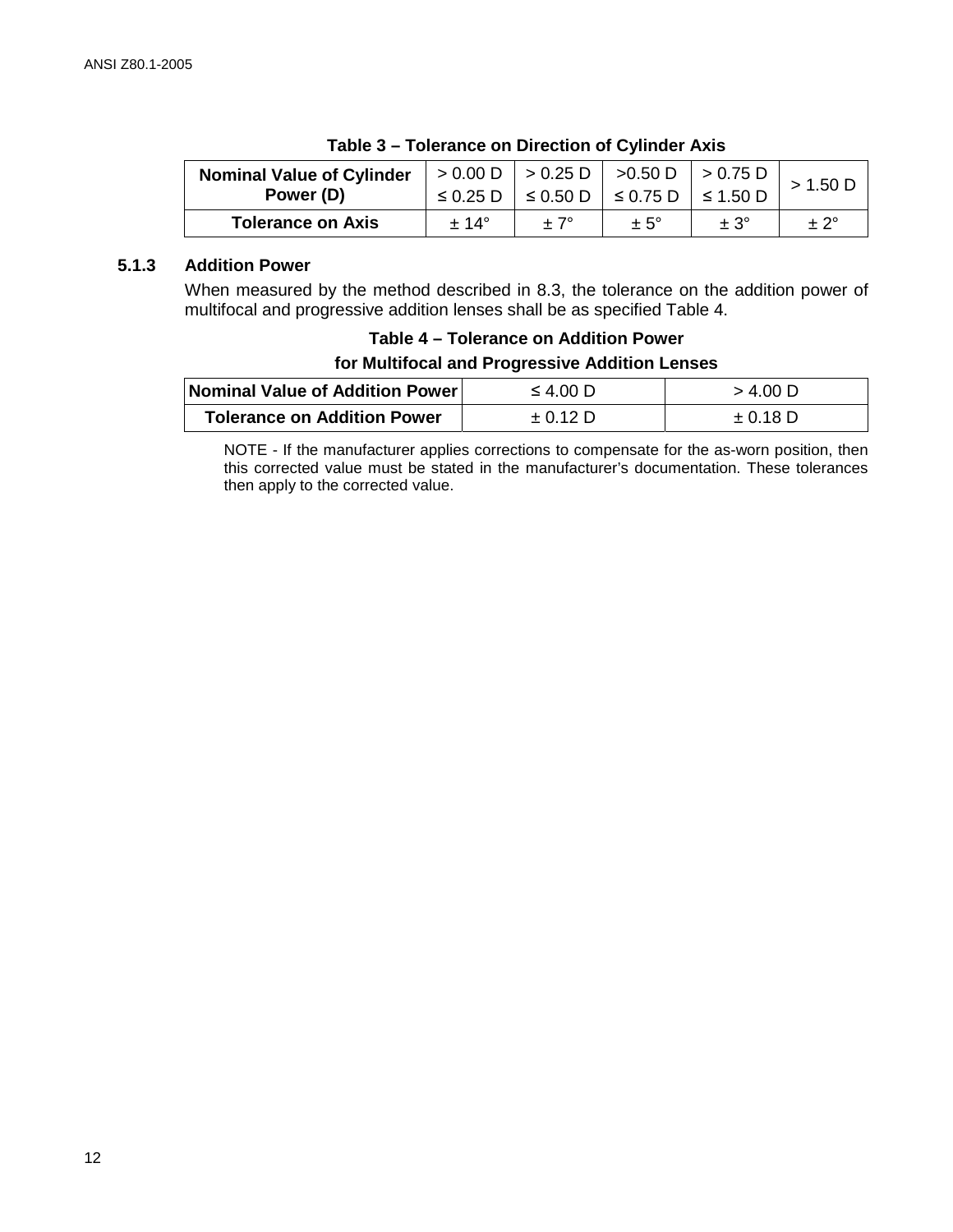| <b>Nominal Value of Cylinder</b><br>Power (D) | $\vert > 0.00 D \vert > 0.25 D \vert > 0.50 D \vert > 0.75 D$ | ≤ 0.25 D   ≤ 0.50 D   ≤ 0.75 D   ≤ 1.50 D |          |          | > 1.50 D     |
|-----------------------------------------------|---------------------------------------------------------------|-------------------------------------------|----------|----------|--------------|
| <b>Tolerance on Axis</b>                      | $+14^{\circ}$                                                 | $\pm 7^{\circ}$                           | $\pm$ 5° | $\pm$ 3° | $+2^{\circ}$ |

| Table 3 – Tolerance on Direction of Cylinder Axis |  |  |
|---------------------------------------------------|--|--|
|---------------------------------------------------|--|--|

## **5.1.3 Addition Power**

When measured by the method described in 8.3, the tolerance on the addition power of multifocal and progressive addition lenses shall be as specified Table 4.

## **Table 4 – Tolerance on Addition Power for Multifocal and Progressive Addition Lenses**

| Nominal Value of Addition Power    | $\leq 4.00$ D | > 4.00 D     |
|------------------------------------|---------------|--------------|
| <b>Tolerance on Addition Power</b> | $\pm$ 0.12 D  | $\pm$ 0.18 D |

NOTE - If the manufacturer applies corrections to compensate for the as-worn position, then this corrected value must be stated in the manufacturer's documentation. These tolerances then apply to the corrected value.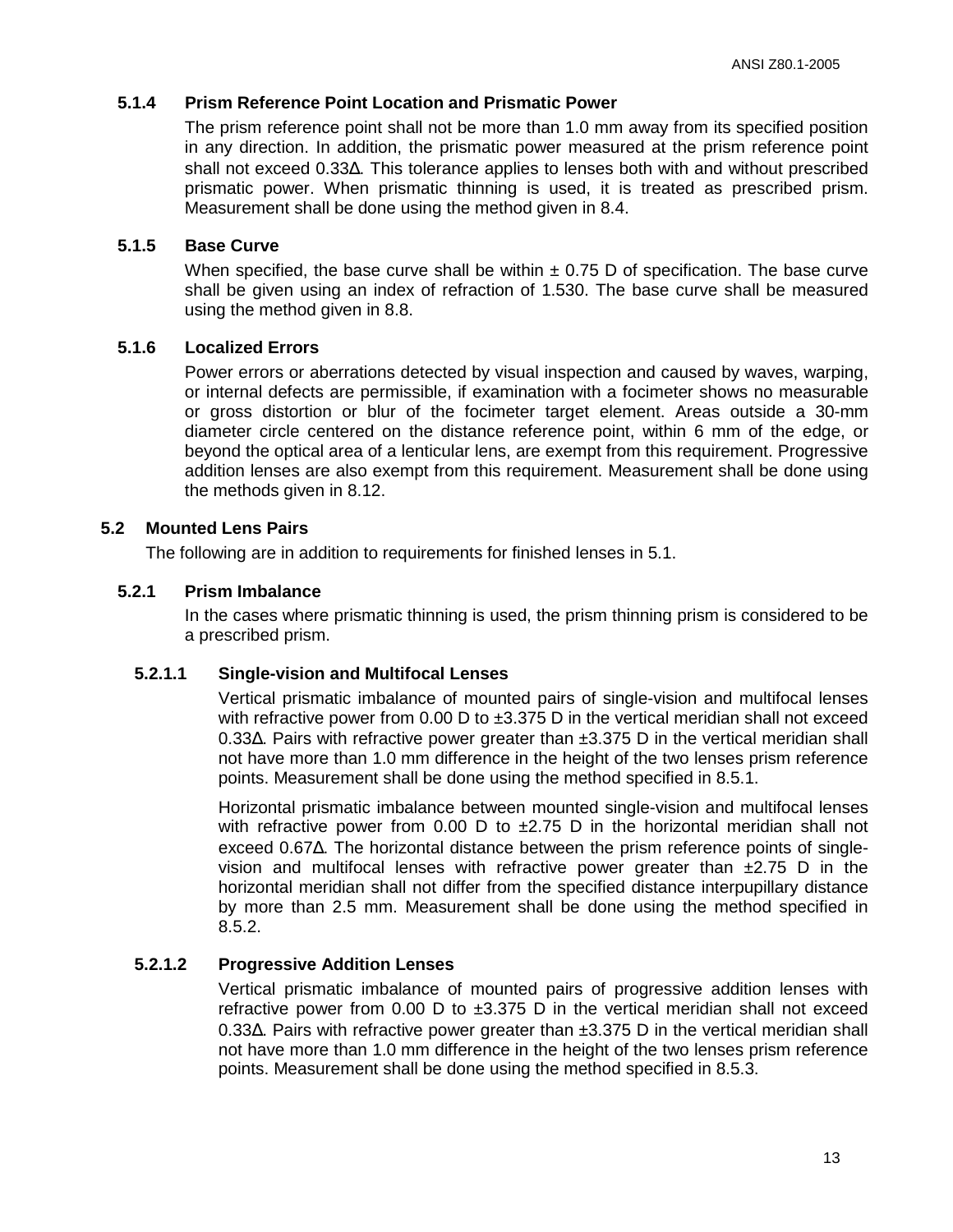## **5.1.4 Prism Reference Point Location and Prismatic Power**

The prism reference point shall not be more than 1.0 mm away from its specified position in any direction. In addition, the prismatic power measured at the prism reference point shall not exceed 0.33∆. This tolerance applies to lenses both with and without prescribed prismatic power. When prismatic thinning is used, it is treated as prescribed prism. Measurement shall be done using the method given in 8.4.

#### **5.1.5 Base Curve**

When specified, the base curve shall be within  $\pm$  0.75 D of specification. The base curve shall be given using an index of refraction of 1.530. The base curve shall be measured using the method given in 8.8.

## **5.1.6 Localized Errors**

Power errors or aberrations detected by visual inspection and caused by waves, warping, or internal defects are permissible, if examination with a focimeter shows no measurable or gross distortion or blur of the focimeter target element. Areas outside a 30-mm diameter circle centered on the distance reference point, within 6 mm of the edge, or beyond the optical area of a lenticular lens, are exempt from this requirement. Progressive addition lenses are also exempt from this requirement. Measurement shall be done using the methods given in 8.12.

## **5.2 Mounted Lens Pairs**

The following are in addition to requirements for finished lenses in 5.1.

## **5.2.1 Prism Imbalance**

In the cases where prismatic thinning is used, the prism thinning prism is considered to be a prescribed prism.

#### **5.2.1.1 Single-vision and Multifocal Lenses**

Vertical prismatic imbalance of mounted pairs of single-vision and multifocal lenses with refractive power from 0.00 D to  $\pm 3.375$  D in the vertical meridian shall not exceed 0.33∆. Pairs with refractive power greater than ±3.375 D in the vertical meridian shall not have more than 1.0 mm difference in the height of the two lenses prism reference points. Measurement shall be done using the method specified in 8.5.1.

Horizontal prismatic imbalance between mounted single-vision and multifocal lenses with refractive power from 0.00 D to  $\pm 2.75$  D in the horizontal meridian shall not exceed 0.67∆. The horizontal distance between the prism reference points of singlevision and multifocal lenses with refractive power greater than  $\pm 2.75$  D in the horizontal meridian shall not differ from the specified distance interpupillary distance by more than 2.5 mm. Measurement shall be done using the method specified in 8.5.2.

## **5.2.1.2 Progressive Addition Lenses**

Vertical prismatic imbalance of mounted pairs of progressive addition lenses with refractive power from 0.00 D to  $\pm 3.375$  D in the vertical meridian shall not exceed 0.33∆. Pairs with refractive power greater than ±3.375 D in the vertical meridian shall not have more than 1.0 mm difference in the height of the two lenses prism reference points. Measurement shall be done using the method specified in 8.5.3.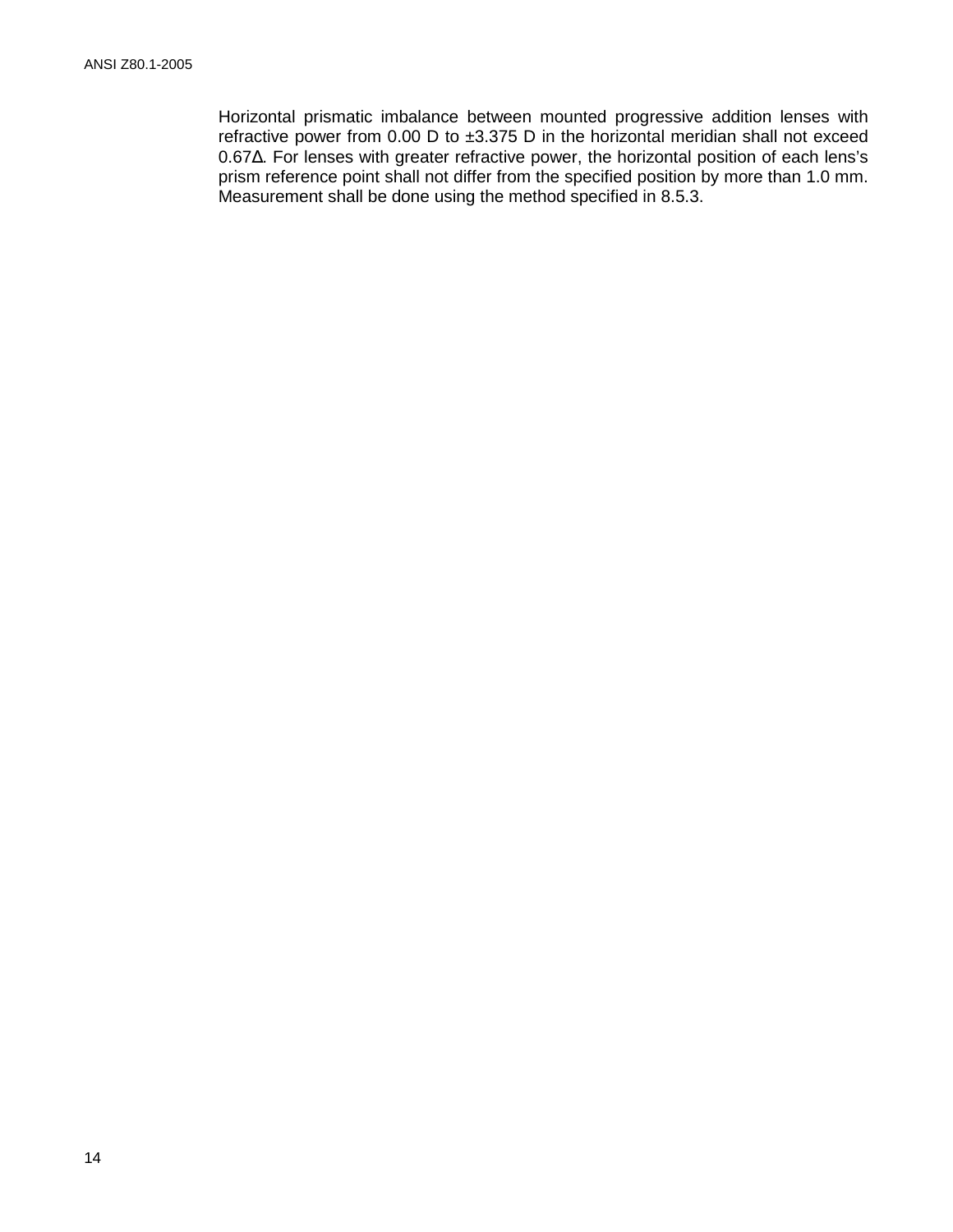Horizontal prismatic imbalance between mounted progressive addition lenses with refractive power from 0.00 D to ±3.375 D in the horizontal meridian shall not exceed 0.67∆. For lenses with greater refractive power, the horizontal position of each lens's prism reference point shall not differ from the specified position by more than 1.0 mm. Measurement shall be done using the method specified in 8.5.3.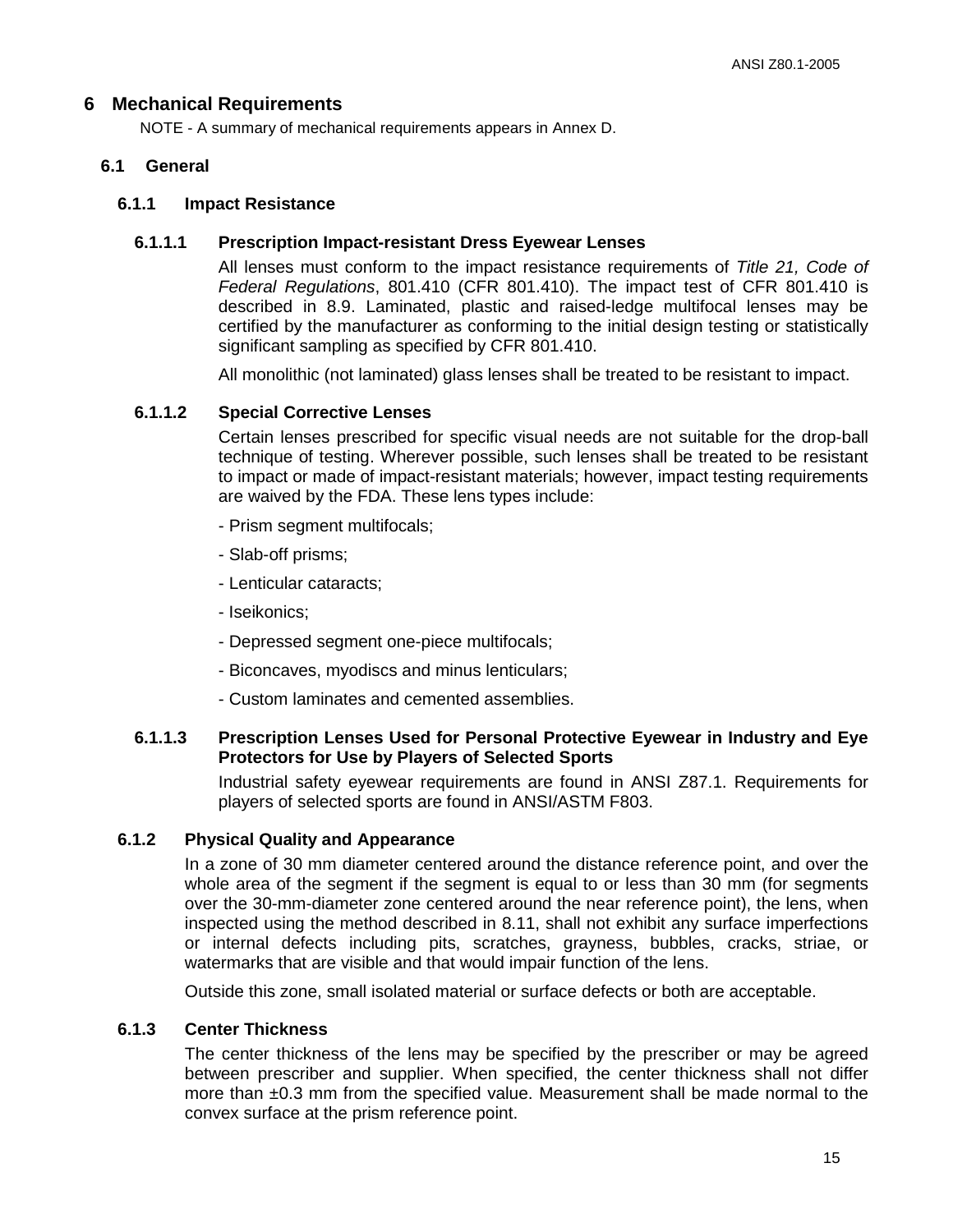## **6 Mechanical Requirements**

NOTE - A summary of mechanical requirements appears in Annex D.

## **6.1 General**

#### **6.1.1 Impact Resistance**

#### **6.1.1.1 Prescription Impact-resistant Dress Eyewear Lenses**

All lenses must conform to the impact resistance requirements of Title 21, Code of Federal Regulations, 801.410 (CFR 801.410). The impact test of CFR 801.410 is described in 8.9. Laminated, plastic and raised-ledge multifocal lenses may be certified by the manufacturer as conforming to the initial design testing or statistically significant sampling as specified by CFR 801.410.

All monolithic (not laminated) glass lenses shall be treated to be resistant to impact.

## **6.1.1.2 Special Corrective Lenses**

Certain lenses prescribed for specific visual needs are not suitable for the drop-ball technique of testing. Wherever possible, such lenses shall be treated to be resistant to impact or made of impact-resistant materials; however, impact testing requirements are waived by the FDA. These lens types include:

- Prism segment multifocals;
- Slab-off prisms;
- Lenticular cataracts;
- Iseikonics;
- Depressed segment one-piece multifocals;
- Biconcaves, myodiscs and minus lenticulars;
- Custom laminates and cemented assemblies.

## **6.1.1.3 Prescription Lenses Used for Personal Protective Eyewear in Industry and Eye Protectors for Use by Players of Selected Sports**

Industrial safety eyewear requirements are found in ANSI Z87.1. Requirements for players of selected sports are found in ANSI/ASTM F803.

## **6.1.2 Physical Quality and Appearance**

In a zone of 30 mm diameter centered around the distance reference point, and over the whole area of the segment if the segment is equal to or less than 30 mm (for segments over the 30-mm-diameter zone centered around the near reference point), the lens, when inspected using the method described in 8.11, shall not exhibit any surface imperfections or internal defects including pits, scratches, grayness, bubbles, cracks, striae, or watermarks that are visible and that would impair function of the lens.

Outside this zone, small isolated material or surface defects or both are acceptable.

## **6.1.3 Center Thickness**

The center thickness of the lens may be specified by the prescriber or may be agreed between prescriber and supplier. When specified, the center thickness shall not differ more than ±0.3 mm from the specified value. Measurement shall be made normal to the convex surface at the prism reference point.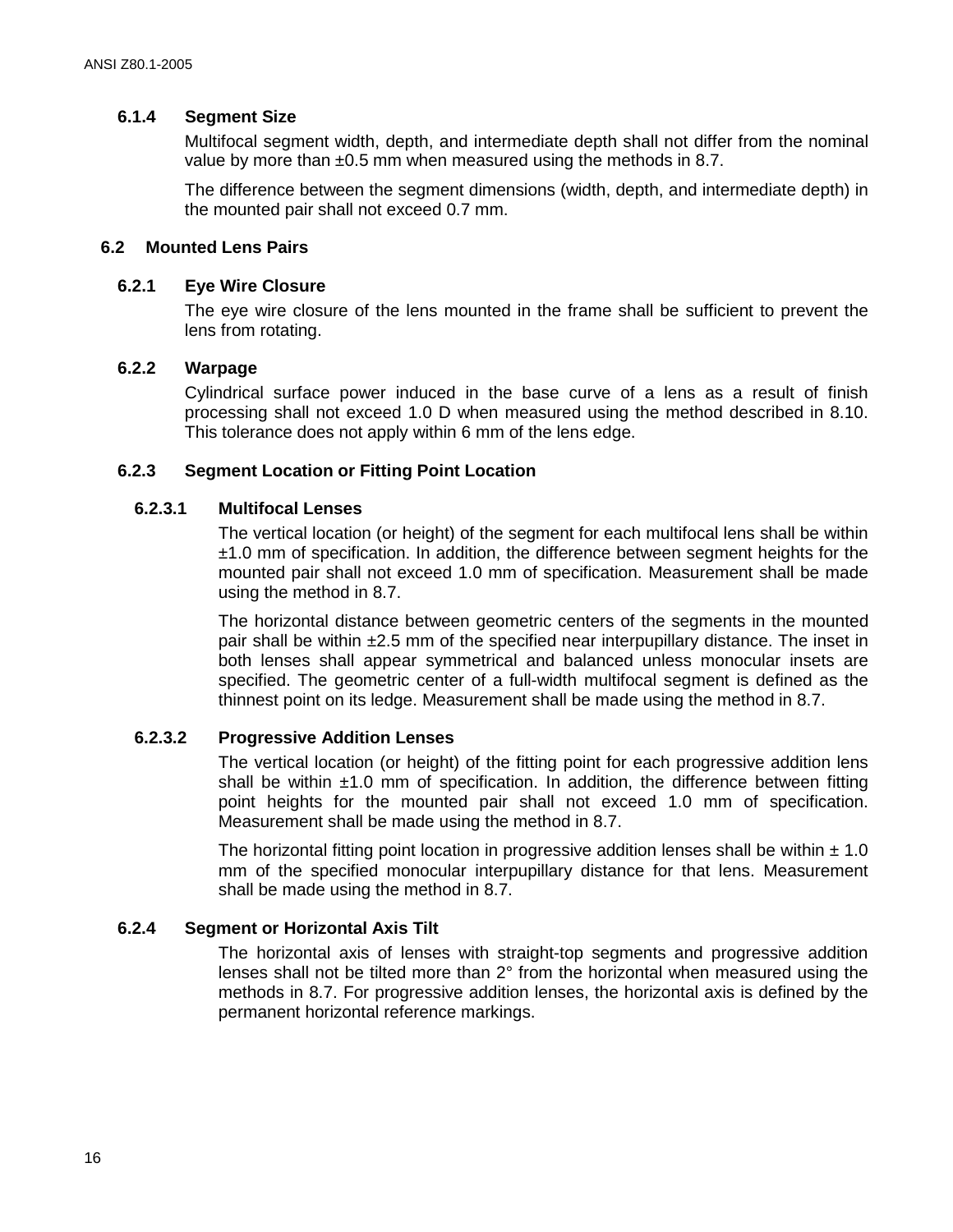#### **6.1.4 Segment Size**

Multifocal segment width, depth, and intermediate depth shall not differ from the nominal value by more than  $\pm 0.5$  mm when measured using the methods in 8.7.

The difference between the segment dimensions (width, depth, and intermediate depth) in the mounted pair shall not exceed 0.7 mm.

#### **6.2 Mounted Lens Pairs**

#### **6.2.1 Eye Wire Closure**

The eye wire closure of the lens mounted in the frame shall be sufficient to prevent the lens from rotating.

## **6.2.2 Warpage**

Cylindrical surface power induced in the base curve of a lens as a result of finish processing shall not exceed 1.0 D when measured using the method described in 8.10. This tolerance does not apply within 6 mm of the lens edge.

#### **6.2.3 Segment Location or Fitting Point Location**

## **6.2.3.1 Multifocal Lenses**

The vertical location (or height) of the segment for each multifocal lens shall be within ±1.0 mm of specification. In addition, the difference between segment heights for the mounted pair shall not exceed 1.0 mm of specification. Measurement shall be made using the method in 8.7.

The horizontal distance between geometric centers of the segments in the mounted pair shall be within ±2.5 mm of the specified near interpupillary distance. The inset in both lenses shall appear symmetrical and balanced unless monocular insets are specified. The geometric center of a full-width multifocal segment is defined as the thinnest point on its ledge. Measurement shall be made using the method in 8.7.

## **6.2.3.2 Progressive Addition Lenses**

The vertical location (or height) of the fitting point for each progressive addition lens shall be within  $\pm 1.0$  mm of specification. In addition, the difference between fitting point heights for the mounted pair shall not exceed 1.0 mm of specification. Measurement shall be made using the method in 8.7.

The horizontal fitting point location in progressive addition lenses shall be within  $\pm 1.0$ mm of the specified monocular interpupillary distance for that lens. Measurement shall be made using the method in 8.7.

#### **6.2.4 Segment or Horizontal Axis Tilt**

The horizontal axis of lenses with straight-top segments and progressive addition lenses shall not be tilted more than 2° from the horizontal when measured using the methods in 8.7. For progressive addition lenses, the horizontal axis is defined by the permanent horizontal reference markings.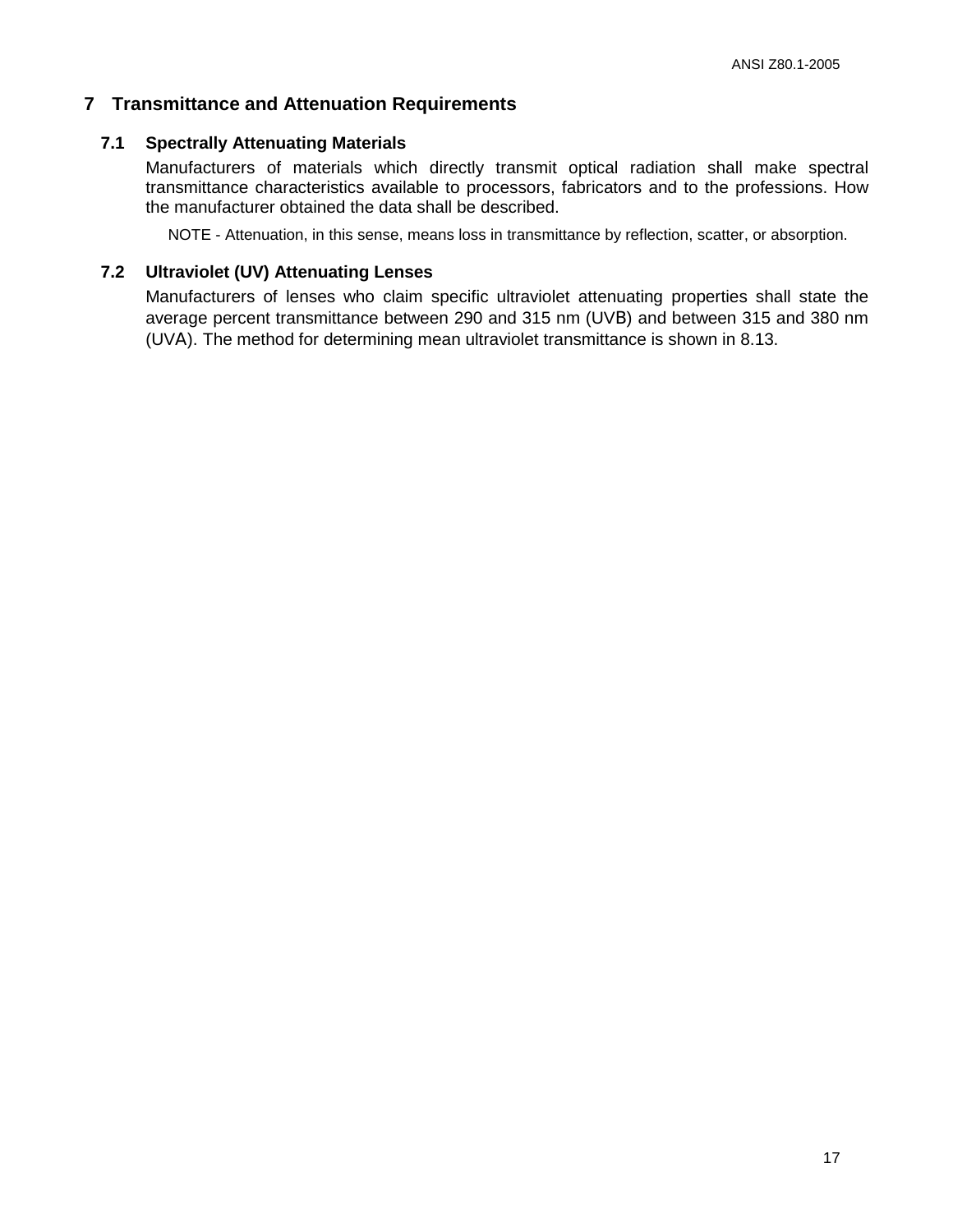## **7 Transmittance and Attenuation Requirements**

#### **7.1 Spectrally Attenuating Materials**

Manufacturers of materials which directly transmit optical radiation shall make spectral transmittance characteristics available to processors, fabricators and to the professions. How the manufacturer obtained the data shall be described.

NOTE - Attenuation, in this sense, means loss in transmittance by reflection, scatter, or absorption.

## **7.2 Ultraviolet (UV) Attenuating Lenses**

Manufacturers of lenses who claim specific ultraviolet attenuating properties shall state the average percent transmittance between 290 and 315 nm (UVΒ) and between 315 and 380 nm (UVΑ). The method for determining mean ultraviolet transmittance is shown in 8.13.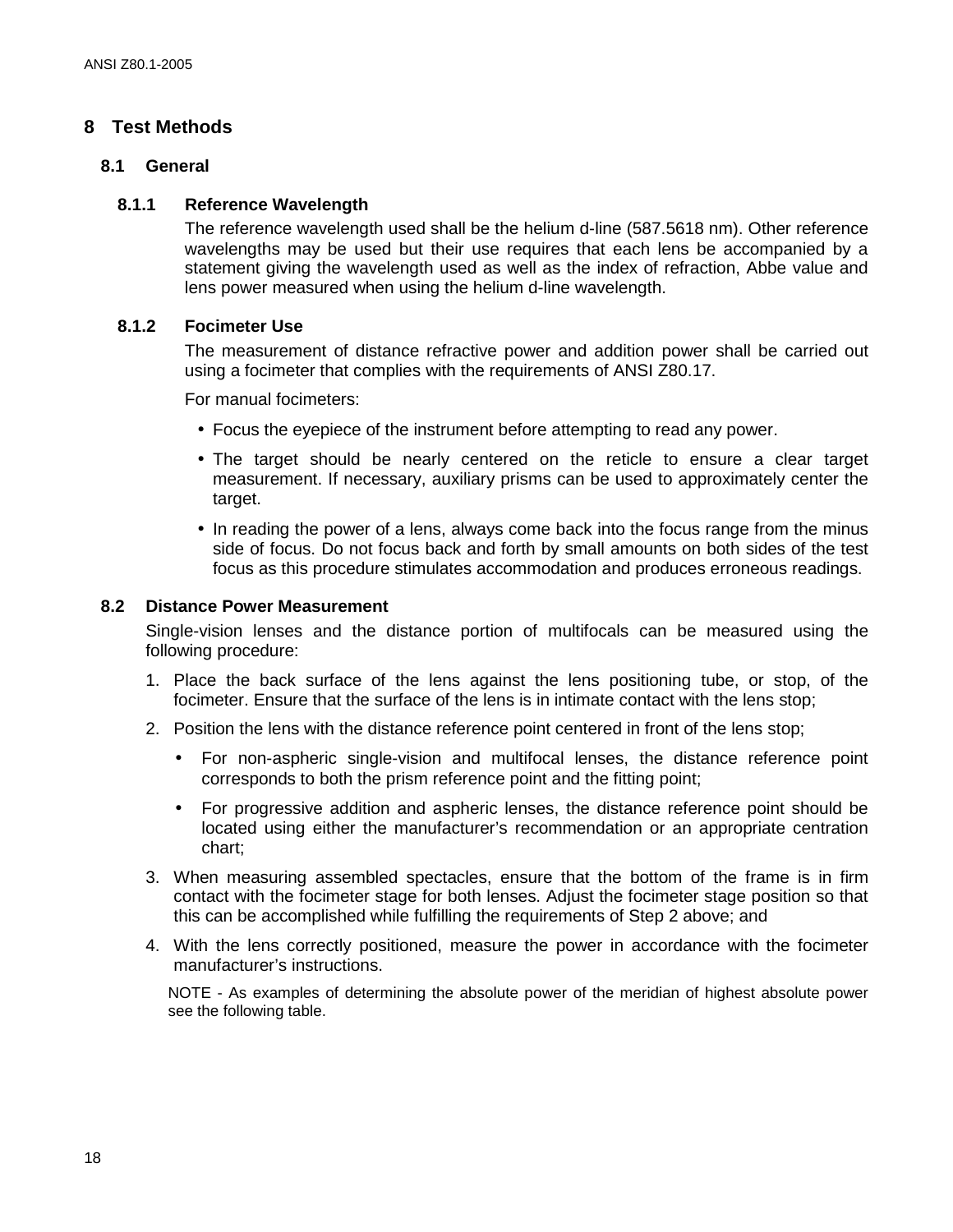## **8 Test Methods**

## **8.1 General**

## **8.1.1 Reference Wavelength**

The reference wavelength used shall be the helium d-line (587.5618 nm). Other reference wavelengths may be used but their use requires that each lens be accompanied by a statement giving the wavelength used as well as the index of refraction, Abbe value and lens power measured when using the helium d-line wavelength.

## **8.1.2 Focimeter Use**

The measurement of distance refractive power and addition power shall be carried out using a focimeter that complies with the requirements of ANSI Z80.17.

For manual focimeters:

- Focus the eyepiece of the instrument before attempting to read any power.
- The target should be nearly centered on the reticle to ensure a clear target measurement. If necessary, auxiliary prisms can be used to approximately center the target.
- In reading the power of a lens, always come back into the focus range from the minus side of focus. Do not focus back and forth by small amounts on both sides of the test focus as this procedure stimulates accommodation and produces erroneous readings.

#### **8.2 Distance Power Measurement**

Single-vision lenses and the distance portion of multifocals can be measured using the following procedure:

- 1. Place the back surface of the lens against the lens positioning tube, or stop, of the focimeter. Ensure that the surface of the lens is in intimate contact with the lens stop;
- 2. Position the lens with the distance reference point centered in front of the lens stop;
	- For non-aspheric single-vision and multifocal lenses, the distance reference point corresponds to both the prism reference point and the fitting point;
	- For progressive addition and aspheric lenses, the distance reference point should be located using either the manufacturer's recommendation or an appropriate centration chart;
- 3. When measuring assembled spectacles, ensure that the bottom of the frame is in firm contact with the focimeter stage for both lenses. Adjust the focimeter stage position so that this can be accomplished while fulfilling the requirements of Step 2 above; and
- 4. With the lens correctly positioned, measure the power in accordance with the focimeter manufacturer's instructions.

NOTE - As examples of determining the absolute power of the meridian of highest absolute power see the following table.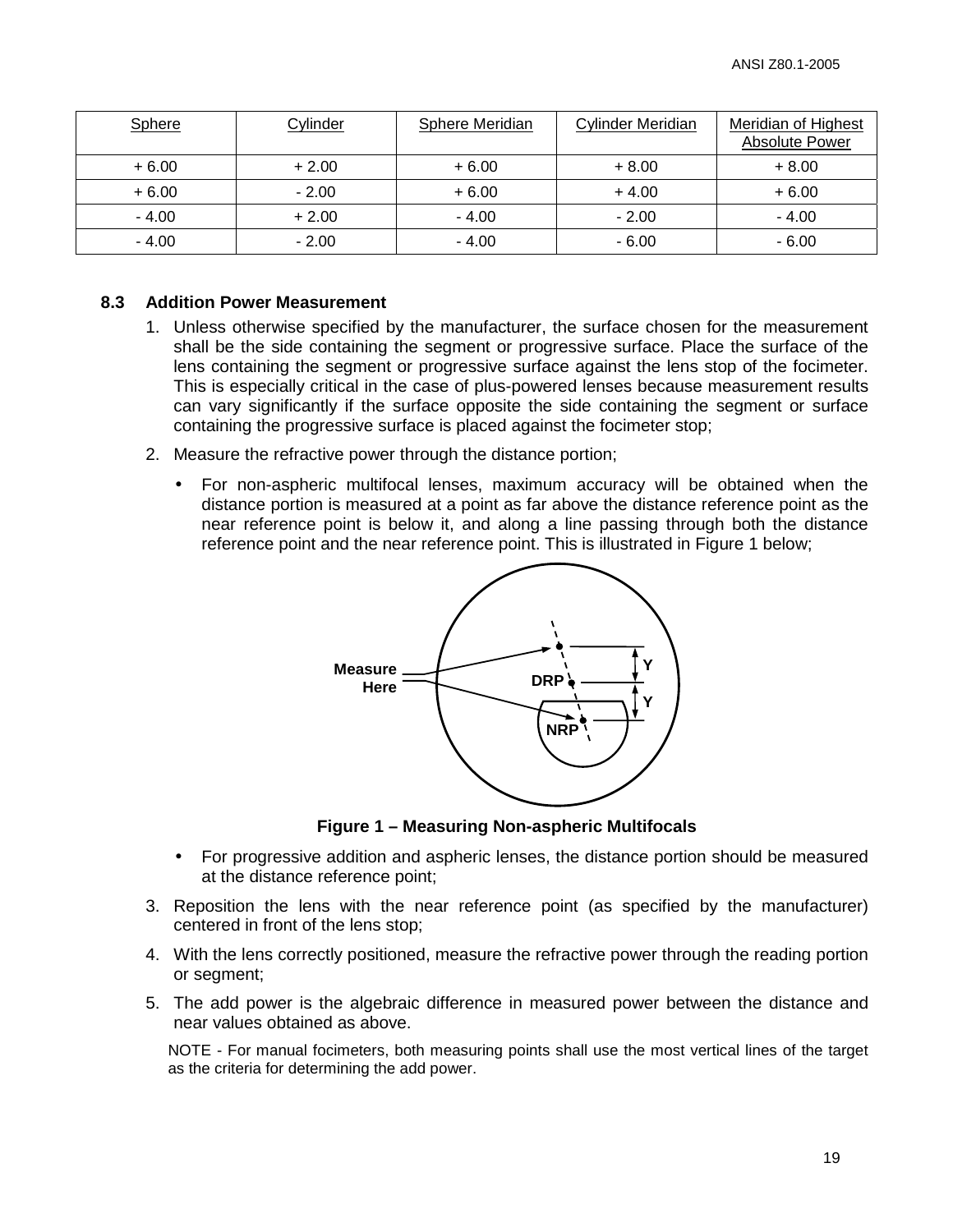| <b>Sphere</b> | Cylinder | Sphere Meridian | Cylinder Meridian | Meridian of Highest<br><b>Absolute Power</b> |
|---------------|----------|-----------------|-------------------|----------------------------------------------|
| $+6.00$       | $+2.00$  | $+6.00$         | $+8.00$           | $+8.00$                                      |
| $+6.00$       | $-2.00$  | $+6.00$         | $+4.00$           | $+6.00$                                      |
| $-4.00$       | $+2.00$  | $-4.00$         | $-2.00$           | $-4.00$                                      |
| $-4.00$       | $-2.00$  | $-4.00$         | $-6.00$           | - 6.00                                       |

## **8.3 Addition Power Measurement**

- 1. Unless otherwise specified by the manufacturer, the surface chosen for the measurement shall be the side containing the segment or progressive surface. Place the surface of the lens containing the segment or progressive surface against the lens stop of the focimeter. This is especially critical in the case of plus-powered lenses because measurement results can vary significantly if the surface opposite the side containing the segment or surface containing the progressive surface is placed against the focimeter stop;
- 2. Measure the refractive power through the distance portion;
	- For non-aspheric multifocal lenses, maximum accuracy will be obtained when the distance portion is measured at a point as far above the distance reference point as the near reference point is below it, and along a line passing through both the distance reference point and the near reference point. This is illustrated in Figure 1 below;



**Figure 1 – Measuring Non-aspheric Multifocals** 

- For progressive addition and aspheric lenses, the distance portion should be measured at the distance reference point;
- 3. Reposition the lens with the near reference point (as specified by the manufacturer) centered in front of the lens stop;
- 4. With the lens correctly positioned, measure the refractive power through the reading portion or segment;
- 5. The add power is the algebraic difference in measured power between the distance and near values obtained as above.

NOTE - For manual focimeters, both measuring points shall use the most vertical lines of the target as the criteria for determining the add power.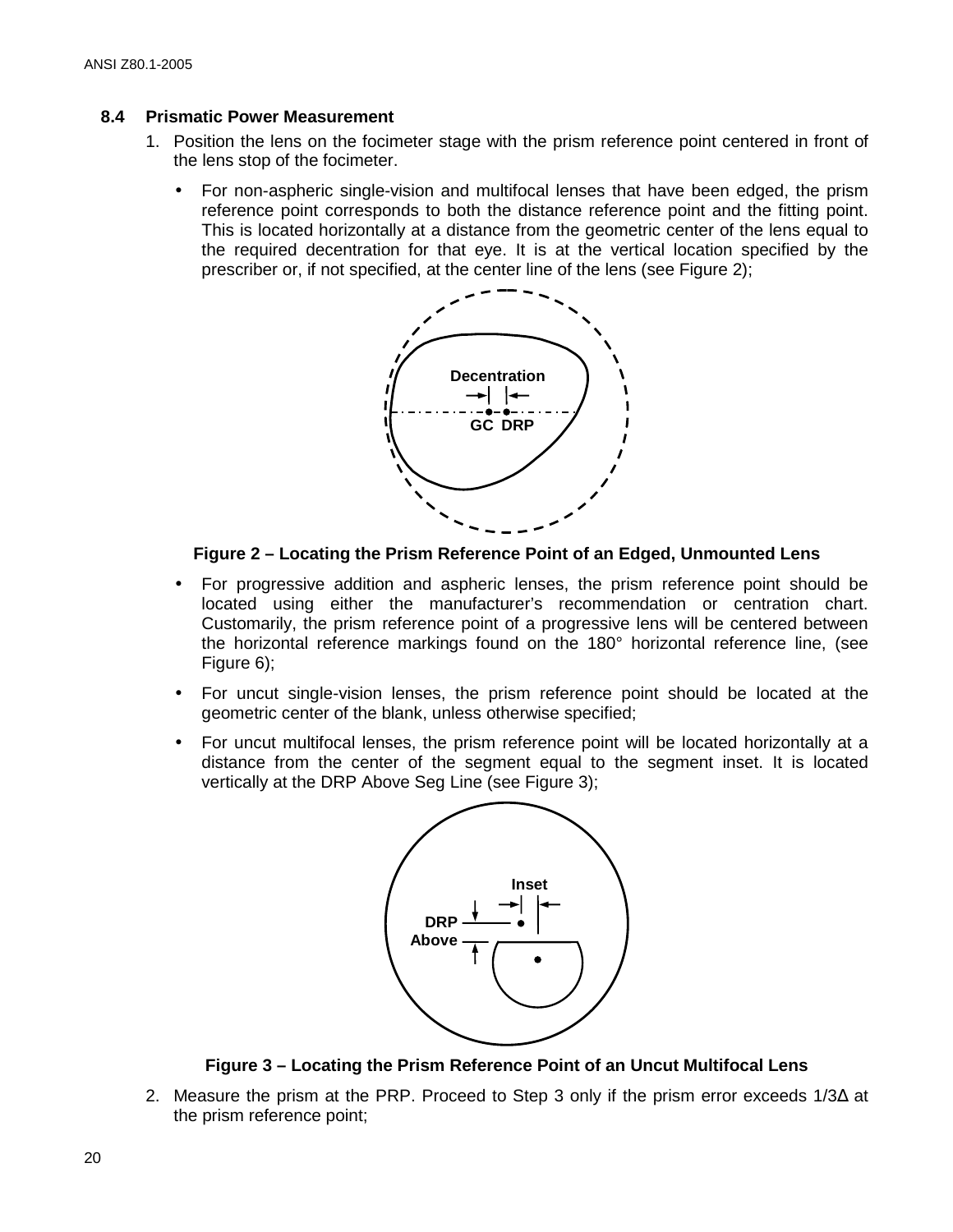## **8.4 Prismatic Power Measurement**

- 1. Position the lens on the focimeter stage with the prism reference point centered in front of the lens stop of the focimeter.
	- For non-aspheric single-vision and multifocal lenses that have been edged, the prism reference point corresponds to both the distance reference point and the fitting point. This is located horizontally at a distance from the geometric center of the lens equal to the required decentration for that eye. It is at the vertical location specified by the prescriber or, if not specified, at the center line of the lens (see Figure 2);



#### **Figure 2 – Locating the Prism Reference Point of an Edged, Unmounted Lens**

- For progressive addition and aspheric lenses, the prism reference point should be located using either the manufacturer's recommendation or centration chart. Customarily, the prism reference point of a progressive lens will be centered between the horizontal reference markings found on the 180° horizontal reference line, (see Figure 6);
- For uncut single-vision lenses, the prism reference point should be located at the geometric center of the blank, unless otherwise specified;
- For uncut multifocal lenses, the prism reference point will be located horizontally at a distance from the center of the segment equal to the segment inset. It is located vertically at the DRP Above Seg Line (see Figure 3);



**Figure 3 – Locating the Prism Reference Point of an Uncut Multifocal Lens** 

2. Measure the prism at the PRP. Proceed to Step 3 only if the prism error exceeds 1/3∆ at the prism reference point;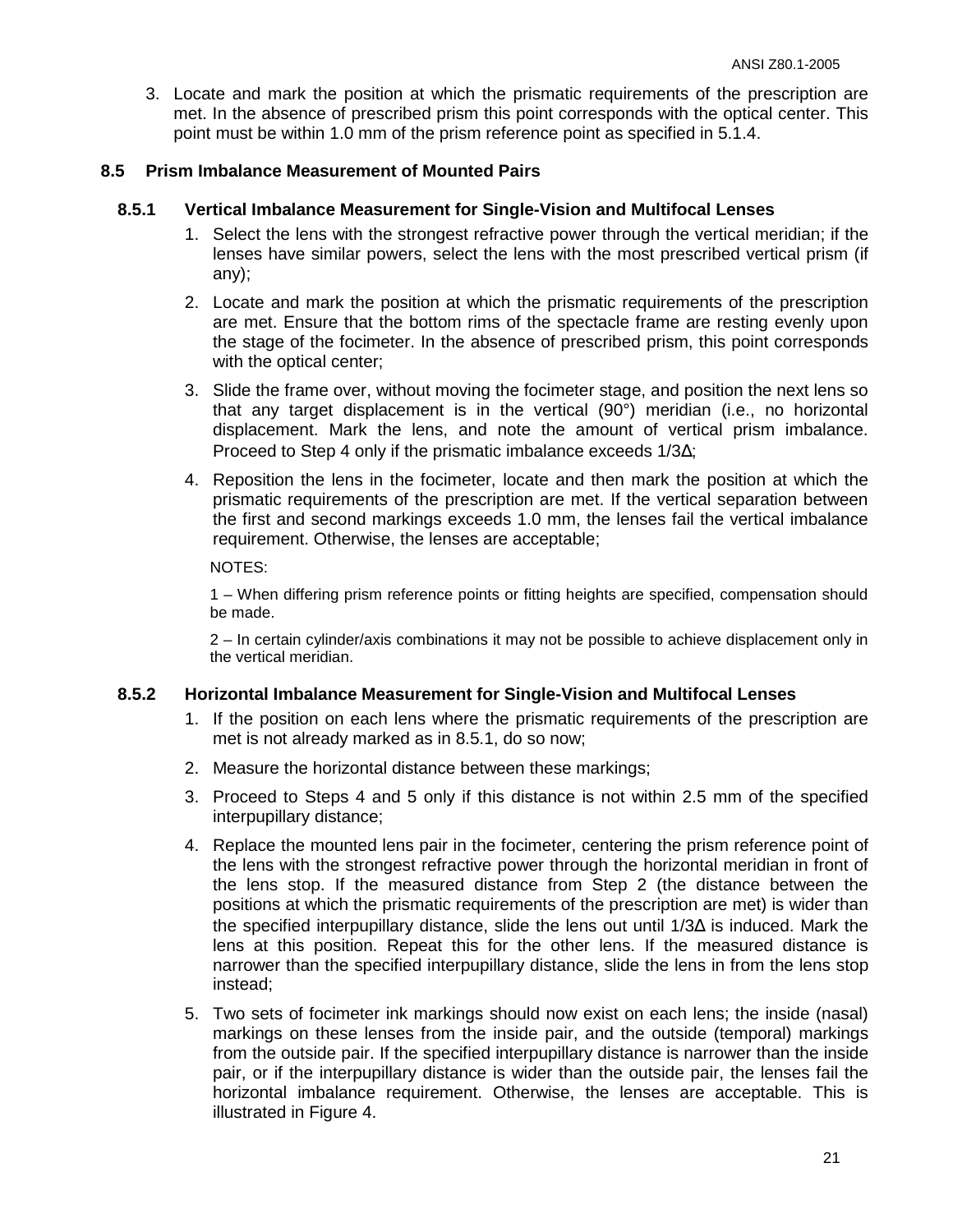3. Locate and mark the position at which the prismatic requirements of the prescription are met. In the absence of prescribed prism this point corresponds with the optical center. This point must be within 1.0 mm of the prism reference point as specified in 5.1.4.

#### **8.5 Prism Imbalance Measurement of Mounted Pairs**

#### **8.5.1 Vertical Imbalance Measurement for Single-Vision and Multifocal Lenses**

- 1. Select the lens with the strongest refractive power through the vertical meridian; if the lenses have similar powers, select the lens with the most prescribed vertical prism (if any);
- 2. Locate and mark the position at which the prismatic requirements of the prescription are met. Ensure that the bottom rims of the spectacle frame are resting evenly upon the stage of the focimeter. In the absence of prescribed prism, this point corresponds with the optical center;
- 3. Slide the frame over, without moving the focimeter stage, and position the next lens so that any target displacement is in the vertical (90°) meridian (i.e., no horizontal displacement. Mark the lens, and note the amount of vertical prism imbalance. Proceed to Step 4 only if the prismatic imbalance exceeds 1/3∆;
- 4. Reposition the lens in the focimeter, locate and then mark the position at which the prismatic requirements of the prescription are met. If the vertical separation between the first and second markings exceeds 1.0 mm, the lenses fail the vertical imbalance requirement. Otherwise, the lenses are acceptable;

NOTES:

1 – When differing prism reference points or fitting heights are specified, compensation should be made.

2 – In certain cylinder/axis combinations it may not be possible to achieve displacement only in the vertical meridian.

#### **8.5.2 Horizontal Imbalance Measurement for Single-Vision and Multifocal Lenses**

- 1. If the position on each lens where the prismatic requirements of the prescription are met is not already marked as in 8.5.1, do so now;
- 2. Measure the horizontal distance between these markings;
- 3. Proceed to Steps 4 and 5 only if this distance is not within 2.5 mm of the specified interpupillary distance;
- 4. Replace the mounted lens pair in the focimeter, centering the prism reference point of the lens with the strongest refractive power through the horizontal meridian in front of the lens stop. If the measured distance from Step 2 (the distance between the positions at which the prismatic requirements of the prescription are met) is wider than the specified interpupillary distance, slide the lens out until 1/3∆ is induced. Mark the lens at this position. Repeat this for the other lens. If the measured distance is narrower than the specified interpupillary distance, slide the lens in from the lens stop instead;
- 5. Two sets of focimeter ink markings should now exist on each lens; the inside (nasal) markings on these lenses from the inside pair, and the outside (temporal) markings from the outside pair. If the specified interpupillary distance is narrower than the inside pair, or if the interpupillary distance is wider than the outside pair, the lenses fail the horizontal imbalance requirement. Otherwise, the lenses are acceptable. This is illustrated in Figure 4.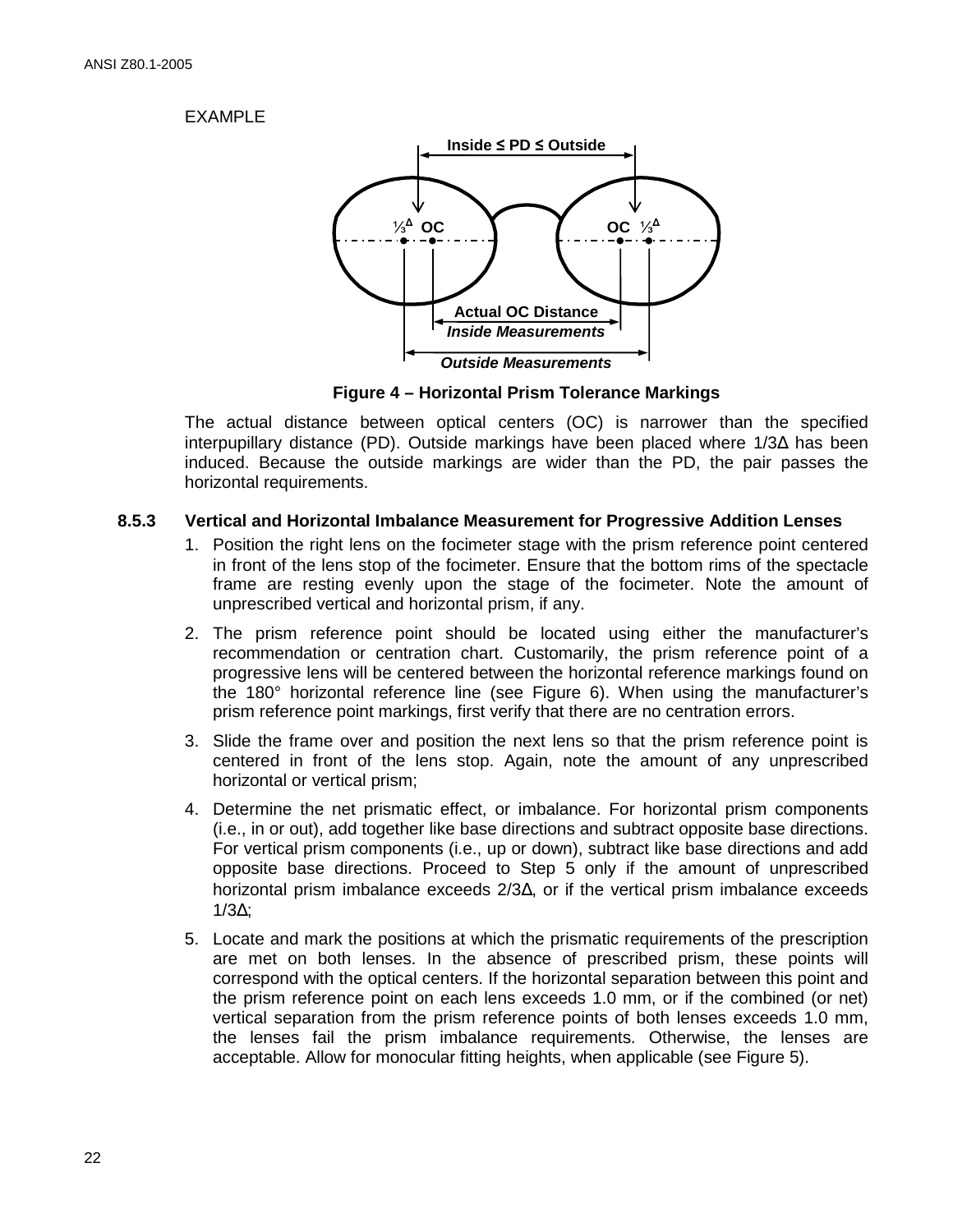## EXAMPLE



**Figure 4 – Horizontal Prism Tolerance Markings** 

The actual distance between optical centers (OC) is narrower than the specified interpupillary distance (PD). Outside markings have been placed where 1/3∆ has been induced. Because the outside markings are wider than the PD, the pair passes the horizontal requirements.

#### **8.5.3 Vertical and Horizontal Imbalance Measurement for Progressive Addition Lenses**

- 1. Position the right lens on the focimeter stage with the prism reference point centered in front of the lens stop of the focimeter. Ensure that the bottom rims of the spectacle frame are resting evenly upon the stage of the focimeter. Note the amount of unprescribed vertical and horizontal prism, if any.
- 2. The prism reference point should be located using either the manufacturer's recommendation or centration chart. Customarily, the prism reference point of a progressive lens will be centered between the horizontal reference markings found on the 180° horizontal reference line (see Figure 6). When using the manufacturer's prism reference point markings, first verify that there are no centration errors.
- 3. Slide the frame over and position the next lens so that the prism reference point is centered in front of the lens stop. Again, note the amount of any unprescribed horizontal or vertical prism;
- 4. Determine the net prismatic effect, or imbalance. For horizontal prism components (i.e., in or out), add together like base directions and subtract opposite base directions. For vertical prism components (i.e., up or down), subtract like base directions and add opposite base directions. Proceed to Step 5 only if the amount of unprescribed horizontal prism imbalance exceeds 2/3∆, or if the vertical prism imbalance exceeds 1/3∆;
- 5. Locate and mark the positions at which the prismatic requirements of the prescription are met on both lenses. In the absence of prescribed prism, these points will correspond with the optical centers. If the horizontal separation between this point and the prism reference point on each lens exceeds 1.0 mm, or if the combined (or net) vertical separation from the prism reference points of both lenses exceeds 1.0 mm, the lenses fail the prism imbalance requirements. Otherwise, the lenses are acceptable. Allow for monocular fitting heights, when applicable (see Figure 5).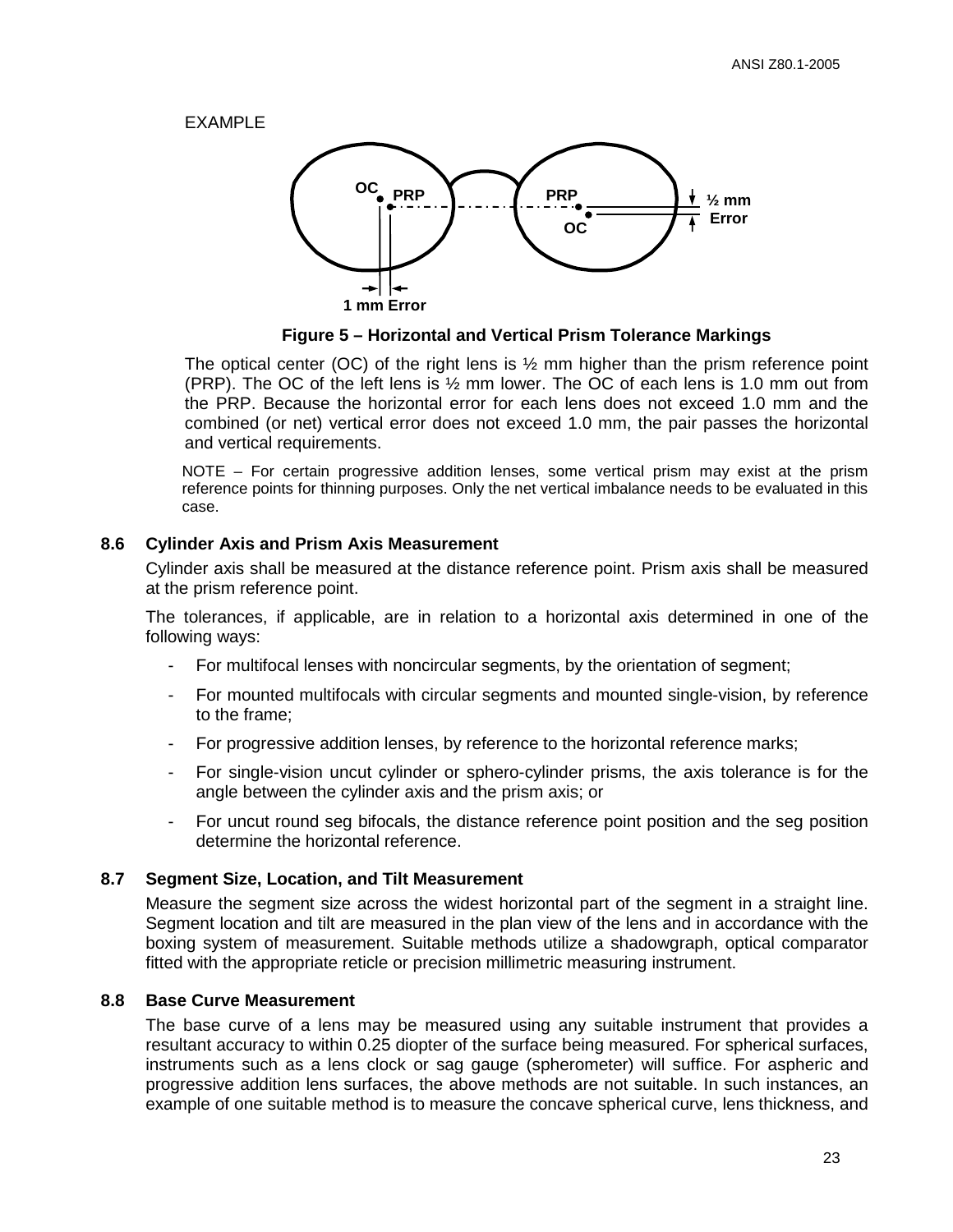



**Figure 5 – Horizontal and Vertical Prism Tolerance Markings** 

The optical center (OC) of the right lens is  $\frac{1}{2}$  mm higher than the prism reference point (PRP). The OC of the left lens is  $\frac{1}{2}$  mm lower. The OC of each lens is 1.0 mm out from the PRP. Because the horizontal error for each lens does not exceed 1.0 mm and the combined (or net) vertical error does not exceed 1.0 mm, the pair passes the horizontal and vertical requirements.

NOTE – For certain progressive addition lenses, some vertical prism may exist at the prism reference points for thinning purposes. Only the net vertical imbalance needs to be evaluated in this case.

## **8.6 Cylinder Axis and Prism Axis Measurement**

Cylinder axis shall be measured at the distance reference point. Prism axis shall be measured at the prism reference point.

The tolerances, if applicable, are in relation to a horizontal axis determined in one of the following ways:

- For multifocal lenses with noncircular segments, by the orientation of segment;
- For mounted multifocals with circular segments and mounted single-vision, by reference to the frame;
- For progressive addition lenses, by reference to the horizontal reference marks;
- For single-vision uncut cylinder or sphero-cylinder prisms, the axis tolerance is for the angle between the cylinder axis and the prism axis; or
- For uncut round seg bifocals, the distance reference point position and the seg position determine the horizontal reference.

#### **8.7 Segment Size, Location, and Tilt Measurement**

Measure the segment size across the widest horizontal part of the segment in a straight line. Segment location and tilt are measured in the plan view of the lens and in accordance with the boxing system of measurement. Suitable methods utilize a shadowgraph, optical comparator fitted with the appropriate reticle or precision millimetric measuring instrument.

#### **8.8 Base Curve Measurement**

The base curve of a lens may be measured using any suitable instrument that provides a resultant accuracy to within 0.25 diopter of the surface being measured. For spherical surfaces, instruments such as a lens clock or sag gauge (spherometer) will suffice. For aspheric and progressive addition lens surfaces, the above methods are not suitable. In such instances, an example of one suitable method is to measure the concave spherical curve, lens thickness, and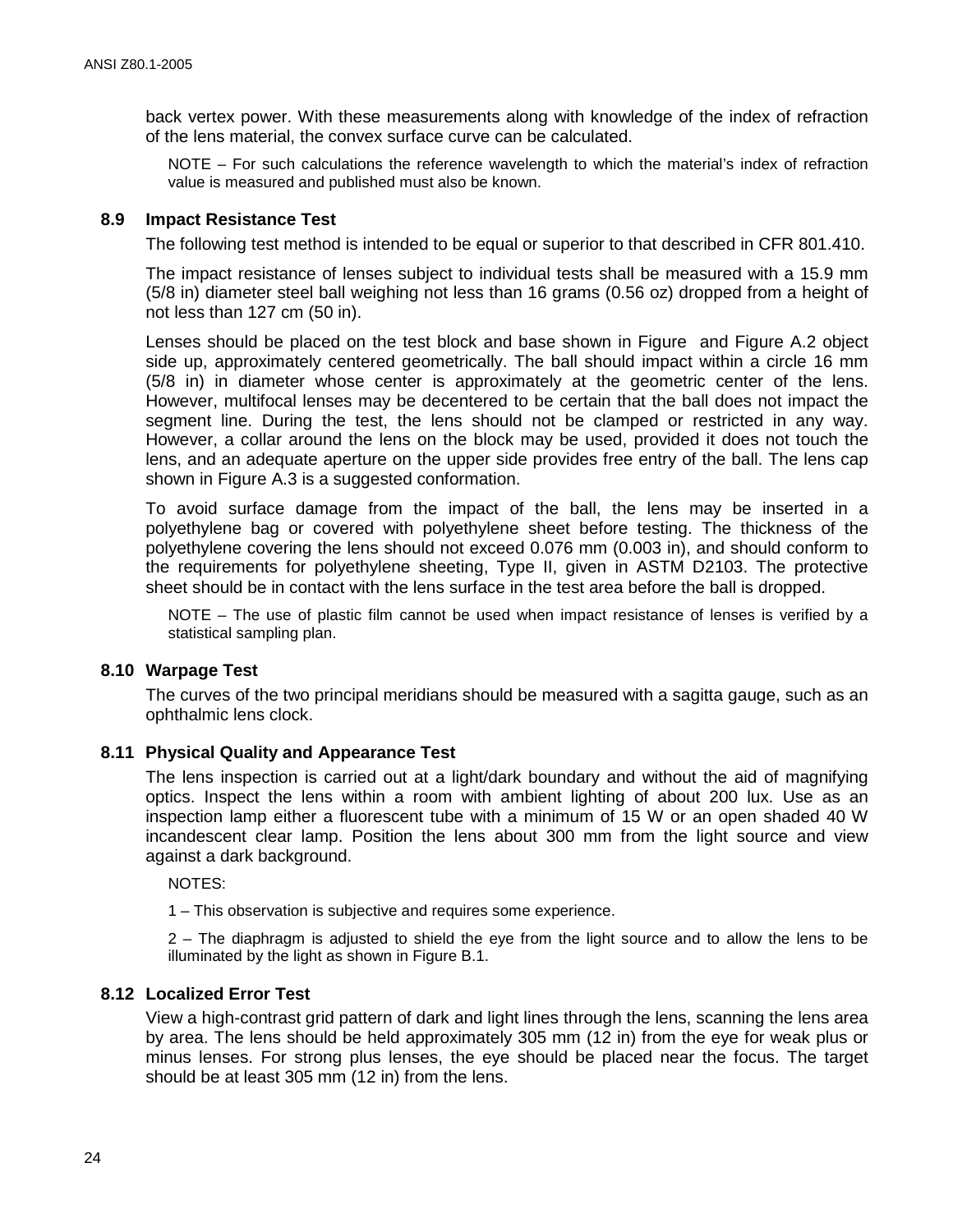back vertex power. With these measurements along with knowledge of the index of refraction of the lens material, the convex surface curve can be calculated.

NOTE – For such calculations the reference wavelength to which the material's index of refraction value is measured and published must also be known.

#### **8.9 Impact Resistance Test**

The following test method is intended to be equal or superior to that described in CFR 801.410.

The impact resistance of lenses subject to individual tests shall be measured with a 15.9 mm (5/8 in) diameter steel ball weighing not less than 16 grams (0.56 oz) dropped from a height of not less than 127 cm (50 in).

Lenses should be placed on the test block and base shown in Figure and Figure A.2 object side up, approximately centered geometrically. The ball should impact within a circle 16 mm (5/8 in) in diameter whose center is approximately at the geometric center of the lens. However, multifocal lenses may be decentered to be certain that the ball does not impact the segment line. During the test, the lens should not be clamped or restricted in any way. However, a collar around the lens on the block may be used, provided it does not touch the lens, and an adequate aperture on the upper side provides free entry of the ball. The lens cap shown in Figure A.3 is a suggested conformation.

To avoid surface damage from the impact of the ball, the lens may be inserted in a polyethylene bag or covered with polyethylene sheet before testing. The thickness of the polyethylene covering the lens should not exceed 0.076 mm (0.003 in), and should conform to the requirements for polyethylene sheeting, Type II, given in ASTM D2103. The protective sheet should be in contact with the lens surface in the test area before the ball is dropped.

NOTE – The use of plastic film cannot be used when impact resistance of lenses is verified by a statistical sampling plan.

#### **8.10 Warpage Test**

The curves of the two principal meridians should be measured with a sagitta gauge, such as an ophthalmic lens clock.

#### **8.11 Physical Quality and Appearance Test**

The lens inspection is carried out at a light/dark boundary and without the aid of magnifying optics. Inspect the lens within a room with ambient lighting of about 200 lux. Use as an inspection lamp either a fluorescent tube with a minimum of 15 W or an open shaded 40 W incandescent clear lamp. Position the lens about 300 mm from the light source and view against a dark background.

NOTES:

1 – This observation is subjective and requires some experience.

2 – The diaphragm is adjusted to shield the eye from the light source and to allow the lens to be illuminated by the light as shown in Figure B.1.

## **8.12 Localized Error Test**

View a high-contrast grid pattern of dark and light lines through the lens, scanning the lens area by area. The lens should be held approximately 305 mm (12 in) from the eye for weak plus or minus lenses. For strong plus lenses, the eye should be placed near the focus. The target should be at least 305 mm (12 in) from the lens.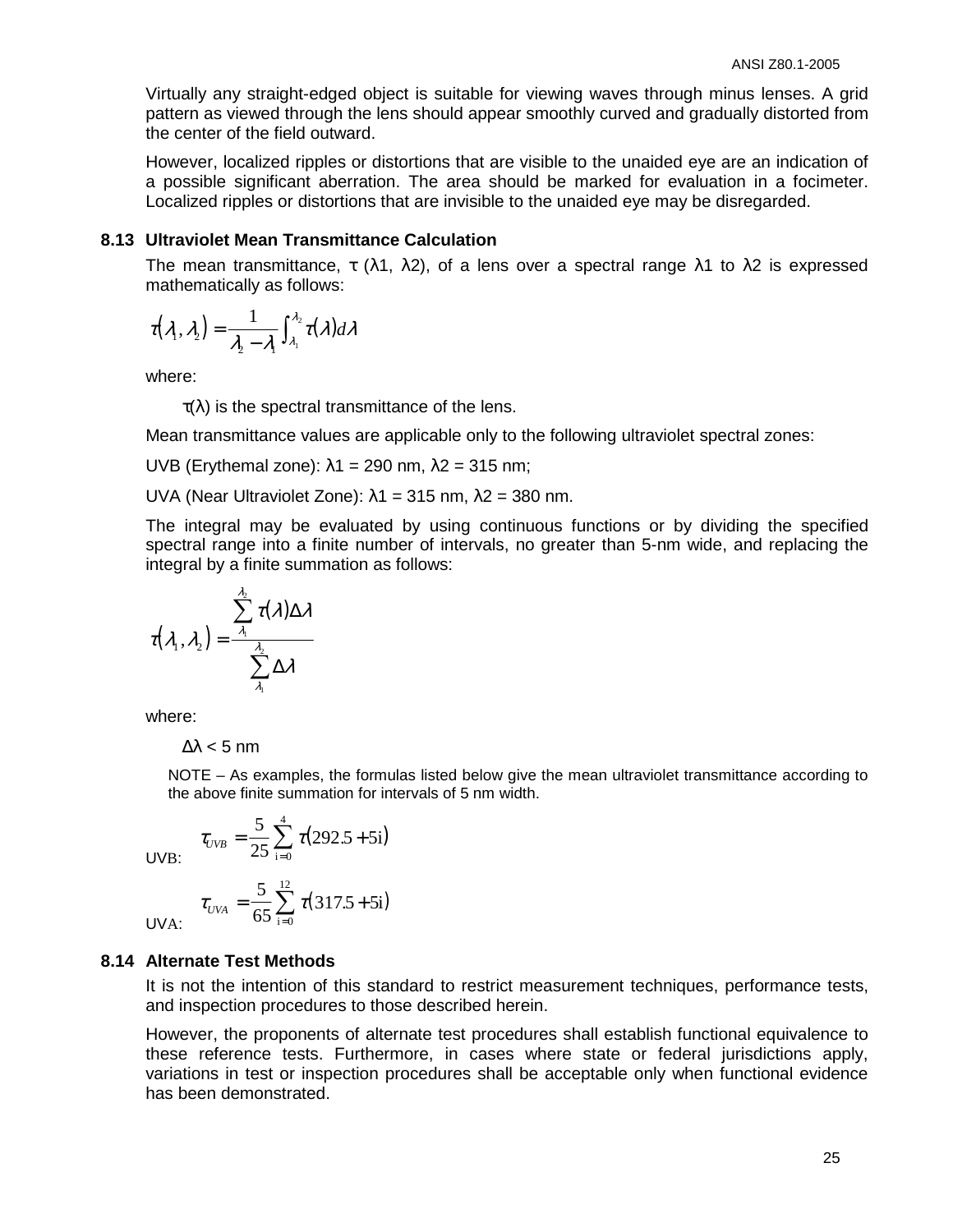Virtually any straight-edged object is suitable for viewing waves through minus lenses. A grid pattern as viewed through the lens should appear smoothly curved and gradually distorted from the center of the field outward.

However, localized ripples or distortions that are visible to the unaided eye are an indication of a possible significant aberration. The area should be marked for evaluation in a focimeter. Localized ripples or distortions that are invisible to the unaided eye may be disregarded.

#### **8.13 Ultraviolet Mean Transmittance Calculation**

The mean transmittance, τ (λ1, λ2), of a lens over a spectral range λ1 to λ2 is expressed mathematically as follows:

$$
\tau(\lambda_1,\lambda_2)=\frac{1}{\lambda_2-\lambda_1}\int_{\lambda_1}^{\lambda_2}\tau(\lambda)d\lambda
$$

where:

 $\tau(\lambda)$  is the spectral transmittance of the lens.

Mean transmittance values are applicable only to the following ultraviolet spectral zones:

UVB (Erythemal zone): λ1 = 290 nm, λ2 = 315 nm;

UVA (Near Ultraviolet Zone): λ1 = 315 nm, λ2 = 380 nm.

The integral may be evaluated by using continuous functions or by dividing the specified spectral range into a finite number of intervals, no greater than 5-nm wide, and replacing the integral by a finite summation as follows:

$$
\tau(\lambda_1, \lambda_2) = \frac{\sum_{\lambda_1}^{\lambda_2} \tau(\lambda) \Delta \lambda}{\sum_{\lambda_1}^{\lambda_2} \Delta \lambda}
$$

where:

 $Δλ < 5$  nm

NOTE – As examples, the formulas listed below give the mean ultraviolet transmittance according to the above finite summation for intervals of 5 nm width.

$$
\tau_{UVB} = \frac{5}{25} \sum_{i=0}^{4} \tau(292.5 + 5i)
$$

$$
\tau_{UVA} = \frac{5}{65} \sum_{i=0}^{12} \tau(317.5 + 5i)
$$

#### **8.14 Alternate Test Methods**

It is not the intention of this standard to restrict measurement techniques, performance tests, and inspection procedures to those described herein.

However, the proponents of alternate test procedures shall establish functional equivalence to these reference tests. Furthermore, in cases where state or federal jurisdictions apply, variations in test or inspection procedures shall be acceptable only when functional evidence has been demonstrated.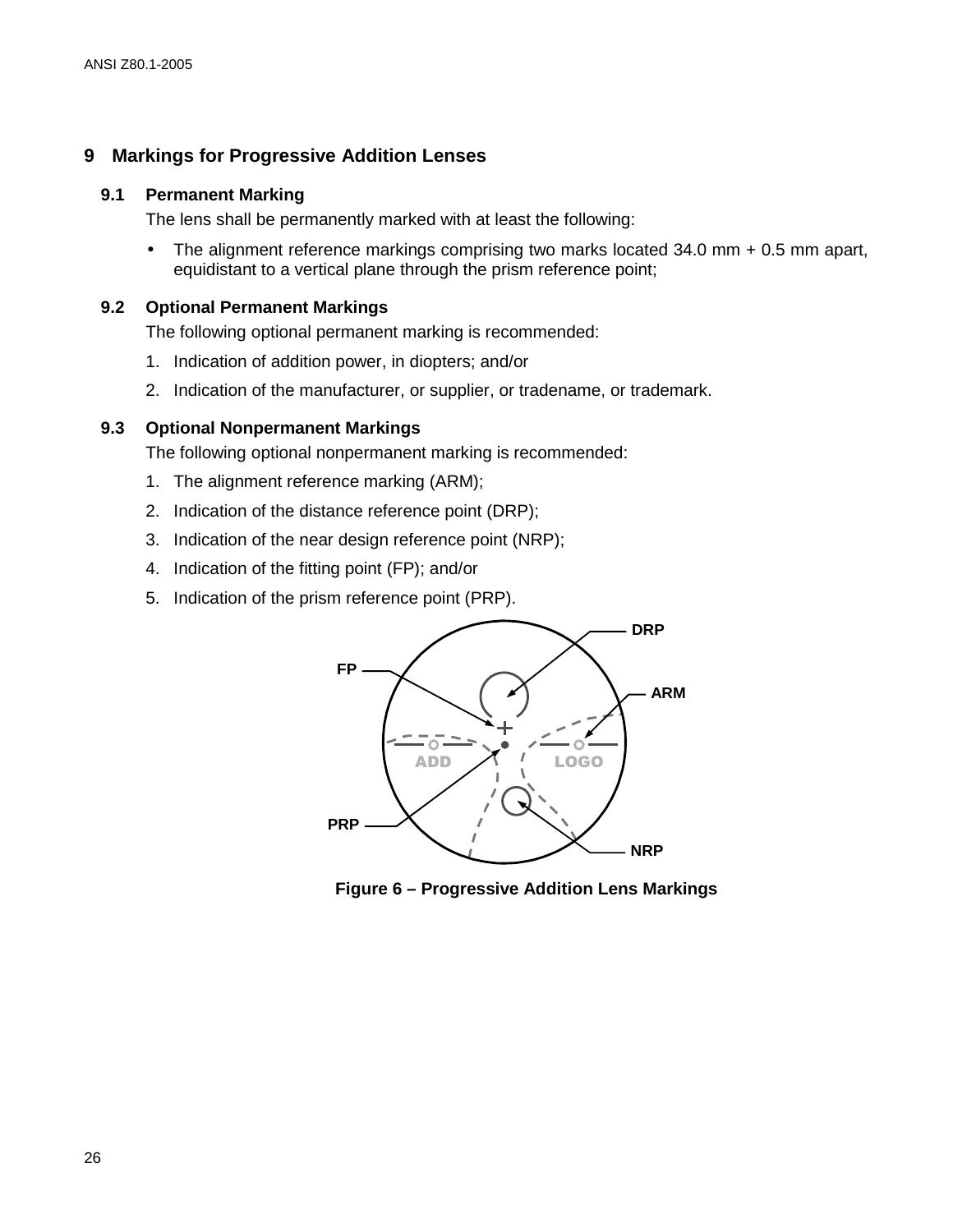## **9 Markings for Progressive Addition Lenses**

## **9.1 Permanent Marking**

The lens shall be permanently marked with at least the following:

• The alignment reference markings comprising two marks located 34.0 mm + 0.5 mm apart, equidistant to a vertical plane through the prism reference point;

## **9.2 Optional Permanent Markings**

The following optional permanent marking is recommended:

- 1. Indication of addition power, in diopters; and/or
- 2. Indication of the manufacturer, or supplier, or tradename, or trademark.

## **9.3 Optional Nonpermanent Markings**

The following optional nonpermanent marking is recommended:

- 1. The alignment reference marking (ARM);
- 2. Indication of the distance reference point (DRP);
- 3. Indication of the near design reference point (NRP);
- 4. Indication of the fitting point (FP); and/or
- 5. Indication of the prism reference point (PRP).



**Figure 6 – Progressive Addition Lens Markings**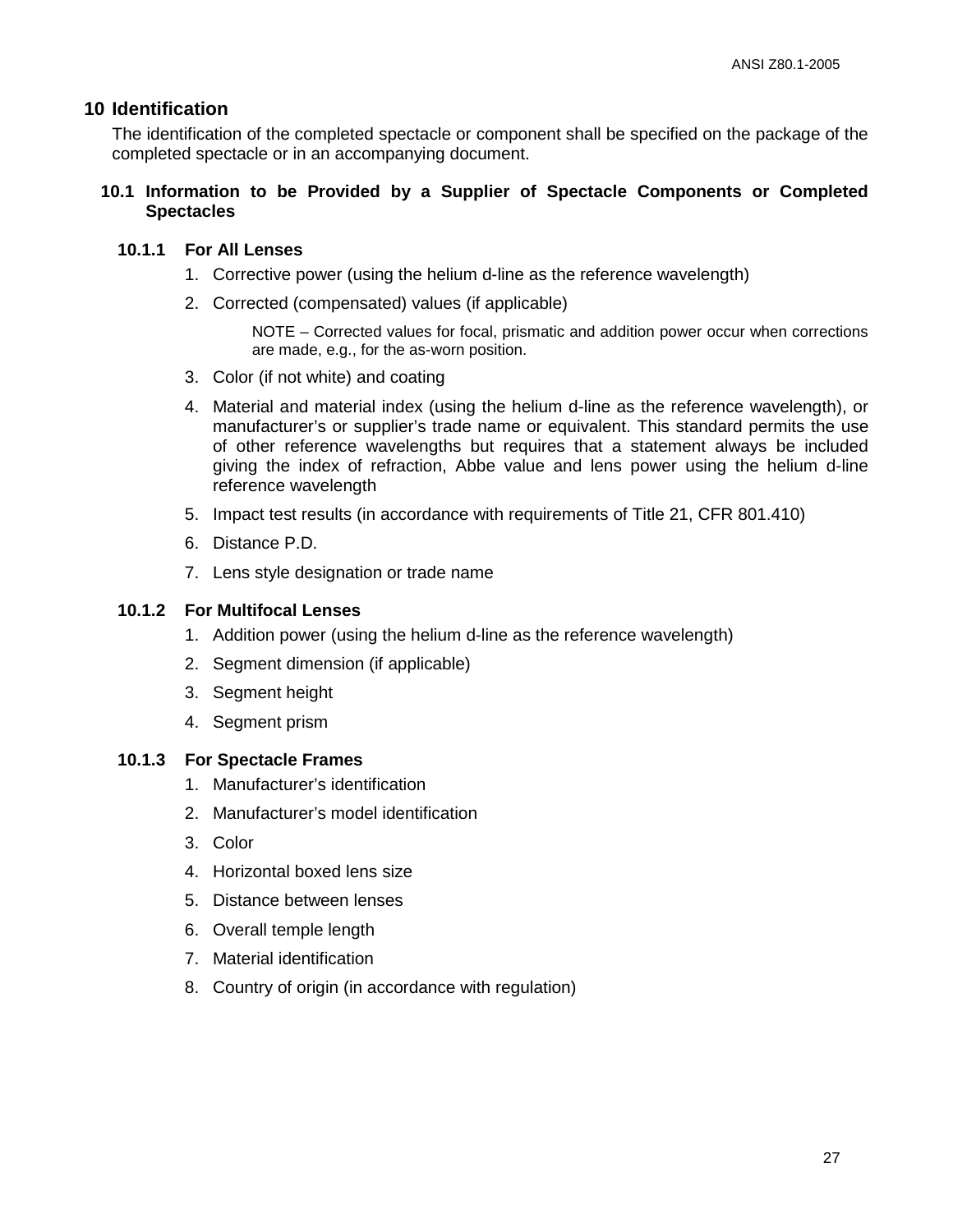## **10 Identification**

The identification of the completed spectacle or component shall be specified on the package of the completed spectacle or in an accompanying document.

## **10.1 Information to be Provided by a Supplier of Spectacle Components or Completed Spectacles**

## **10.1.1 For All Lenses**

- 1. Corrective power (using the helium d-line as the reference wavelength)
- 2. Corrected (compensated) values (if applicable)

NOTE – Corrected values for focal, prismatic and addition power occur when corrections are made, e.g., for the as-worn position.

- 3. Color (if not white) and coating
- 4. Material and material index (using the helium d-line as the reference wavelength), or manufacturer's or supplier's trade name or equivalent. This standard permits the use of other reference wavelengths but requires that a statement always be included giving the index of refraction, Abbe value and lens power using the helium d-line reference wavelength
- 5. Impact test results (in accordance with requirements of Title 21, CFR 801.410)
- 6. Distance P.D.
- 7. Lens style designation or trade name

## **10.1.2 For Multifocal Lenses**

- 1. Addition power (using the helium d-line as the reference wavelength)
- 2. Segment dimension (if applicable)
- 3. Segment height
- 4. Segment prism

#### **10.1.3 For Spectacle Frames**

- 1. Manufacturer's identification
- 2. Manufacturer's model identification
- 3. Color
- 4. Horizontal boxed lens size
- 5. Distance between lenses
- 6. Overall temple length
- 7. Material identification
- 8. Country of origin (in accordance with regulation)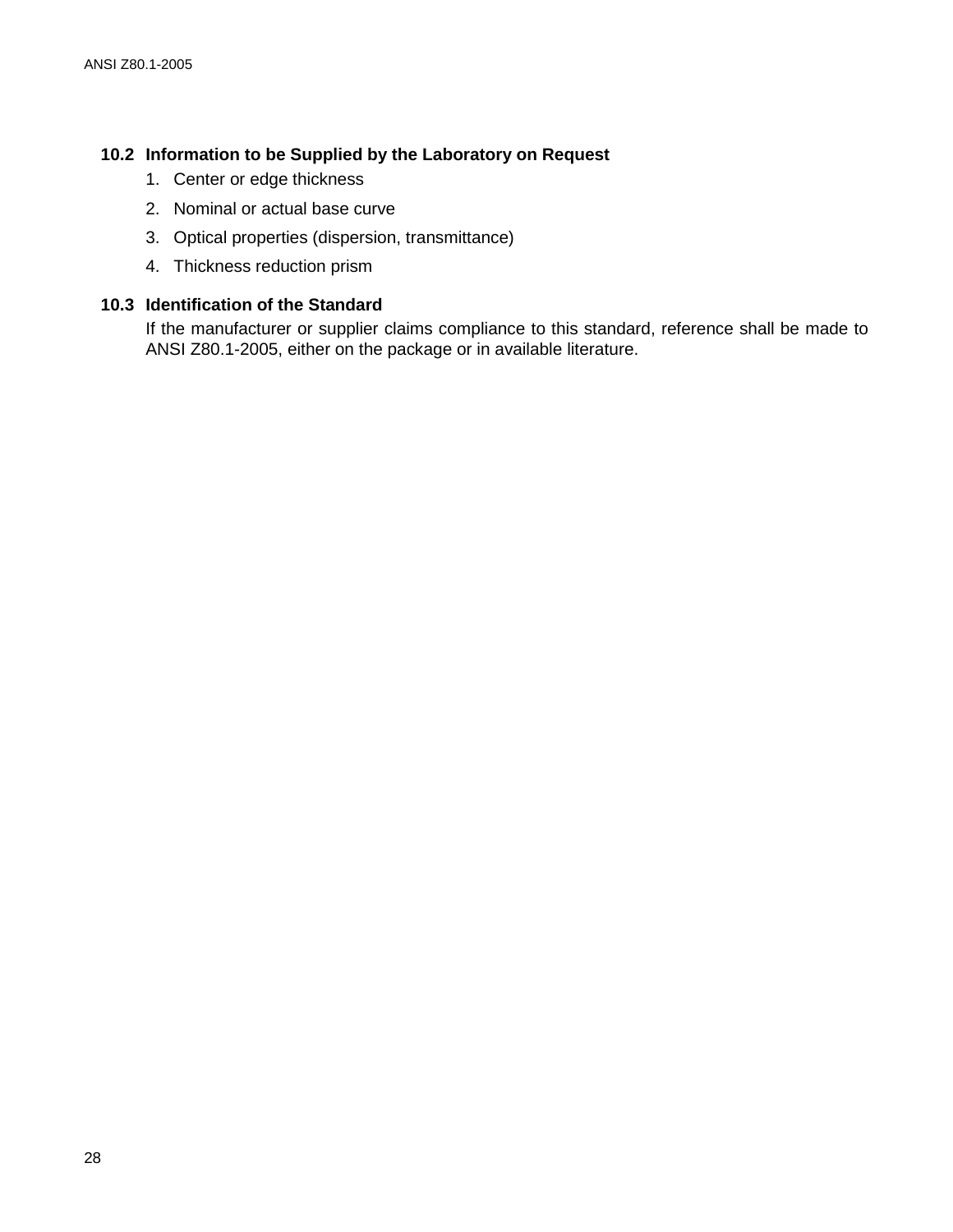## **10.2 Information to be Supplied by the Laboratory on Request**

- 1. Center or edge thickness
- 2. Nominal or actual base curve
- 3. Optical properties (dispersion, transmittance)
- 4. Thickness reduction prism

#### **10.3 Identification of the Standard**

If the manufacturer or supplier claims compliance to this standard, reference shall be made to ANSI Z80.1-2005, either on the package or in available literature.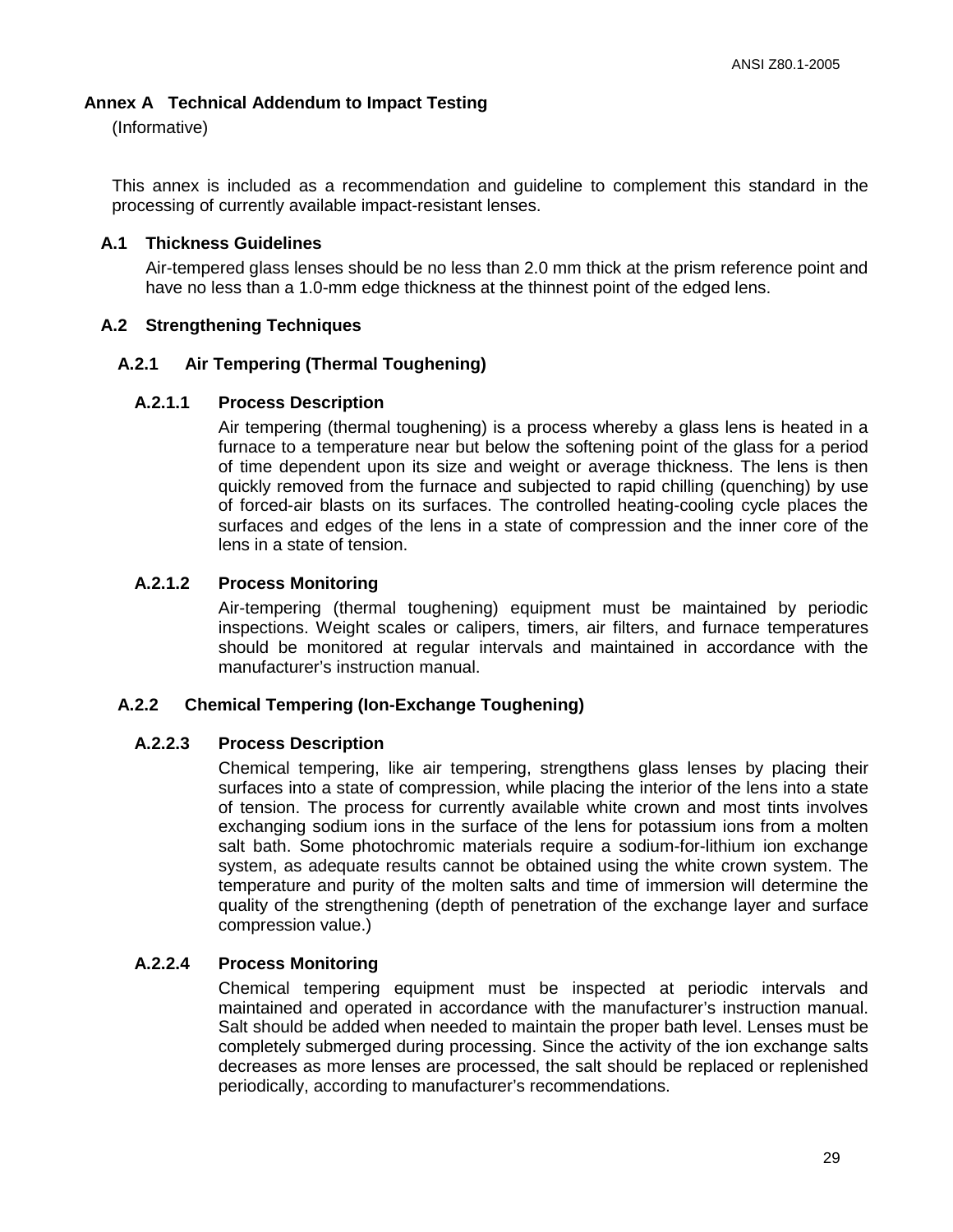#### **Annex A Technical Addendum to Impact Testing**

(Informative)

This annex is included as a recommendation and guideline to complement this standard in the processing of currently available impact-resistant lenses.

#### **A.1 Thickness Guidelines**

Air-tempered glass lenses should be no less than 2.0 mm thick at the prism reference point and have no less than a 1.0-mm edge thickness at the thinnest point of the edged lens.

## **A.2 Strengthening Techniques**

## **A.2.1 Air Tempering (Thermal Toughening)**

## **A.2.1.1 Process Description**

Air tempering (thermal toughening) is a process whereby a glass lens is heated in a furnace to a temperature near but below the softening point of the glass for a period of time dependent upon its size and weight or average thickness. The lens is then quickly removed from the furnace and subjected to rapid chilling (quenching) by use of forced-air blasts on its surfaces. The controlled heating-cooling cycle places the surfaces and edges of the lens in a state of compression and the inner core of the lens in a state of tension.

## **A.2.1.2 Process Monitoring**

Air-tempering (thermal toughening) equipment must be maintained by periodic inspections. Weight scales or calipers, timers, air filters, and furnace temperatures should be monitored at regular intervals and maintained in accordance with the manufacturer's instruction manual.

#### **A.2.2 Chemical Tempering (Ion-Exchange Toughening)**

#### **A.2.2.3 Process Description**

Chemical tempering, like air tempering, strengthens glass lenses by placing their surfaces into a state of compression, while placing the interior of the lens into a state of tension. The process for currently available white crown and most tints involves exchanging sodium ions in the surface of the lens for potassium ions from a molten salt bath. Some photochromic materials require a sodium-for-lithium ion exchange system, as adequate results cannot be obtained using the white crown system. The temperature and purity of the molten salts and time of immersion will determine the quality of the strengthening (depth of penetration of the exchange layer and surface compression value.)

## **A.2.2.4 Process Monitoring**

Chemical tempering equipment must be inspected at periodic intervals and maintained and operated in accordance with the manufacturer's instruction manual. Salt should be added when needed to maintain the proper bath level. Lenses must be completely submerged during processing. Since the activity of the ion exchange salts decreases as more lenses are processed, the salt should be replaced or replenished periodically, according to manufacturer's recommendations.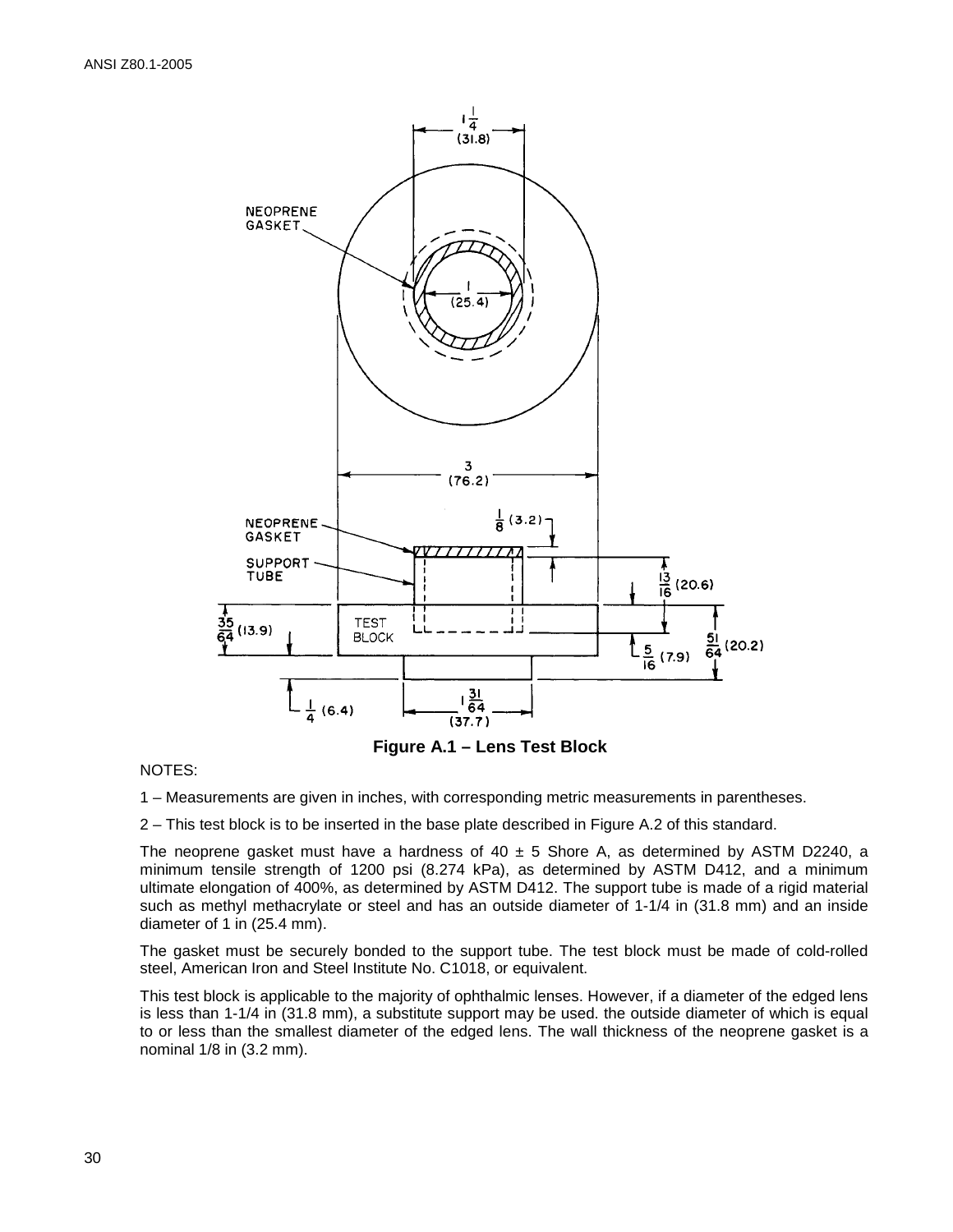

**Figure A.1 – Lens Test Block** 

NOTES:

1 – Measurements are given in inches, with corresponding metric measurements in parentheses.

2 – This test block is to be inserted in the base plate described in Figure A.2 of this standard.

The neoprene gasket must have a hardness of 40  $\pm$  5 Shore A, as determined by ASTM D2240, a minimum tensile strength of 1200 psi (8.274 kPa), as determined by ASTM D412, and a minimum ultimate elongation of 400%, as determined by ASTM D412. The support tube is made of a rigid material such as methyl methacrylate or steel and has an outside diameter of 1-1/4 in (31.8 mm) and an inside diameter of 1 in (25.4 mm).

The gasket must be securely bonded to the support tube. The test block must be made of cold-rolled steel, American Iron and Steel Institute No. C1018, or equivalent.

This test block is applicable to the majority of ophthalmic lenses. However, if a diameter of the edged lens is less than 1-1/4 in (31.8 mm), a substitute support may be used. the outside diameter of which is equal to or less than the smallest diameter of the edged lens. The wall thickness of the neoprene gasket is a nominal 1/8 in (3.2 mm).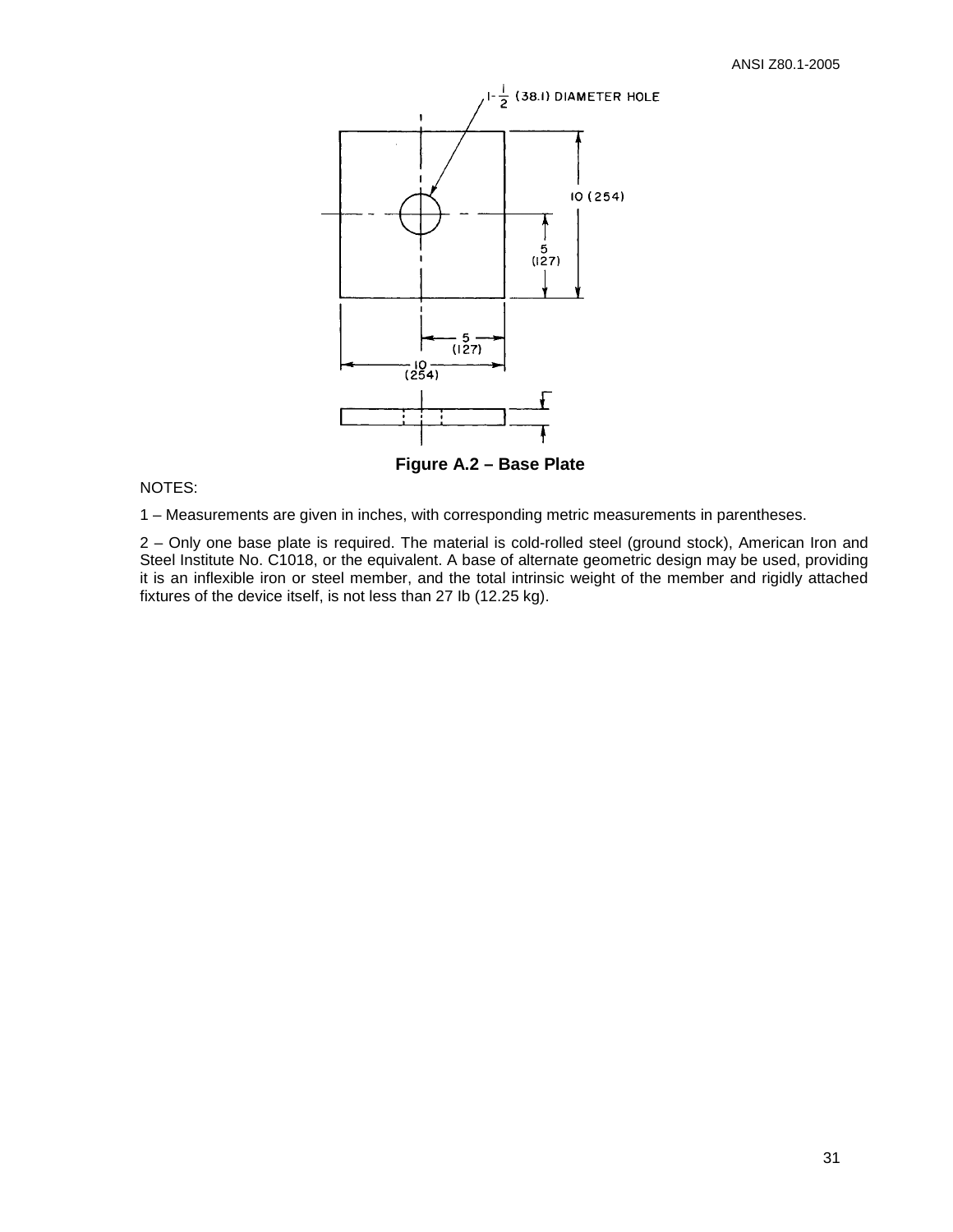

**Figure A.2 – Base Plate** 

#### NOTES:

1 – Measurements are given in inches, with corresponding metric measurements in parentheses.

2 – Only one base plate is required. The material is cold-rolled steel (ground stock), American Iron and Steel Institute No. C1018, or the equivalent. A base of alternate geometric design may be used, providing it is an inflexible iron or steel member, and the total intrinsic weight of the member and rigidly attached fixtures of the device itself, is not less than 27 Ib (12.25 kg).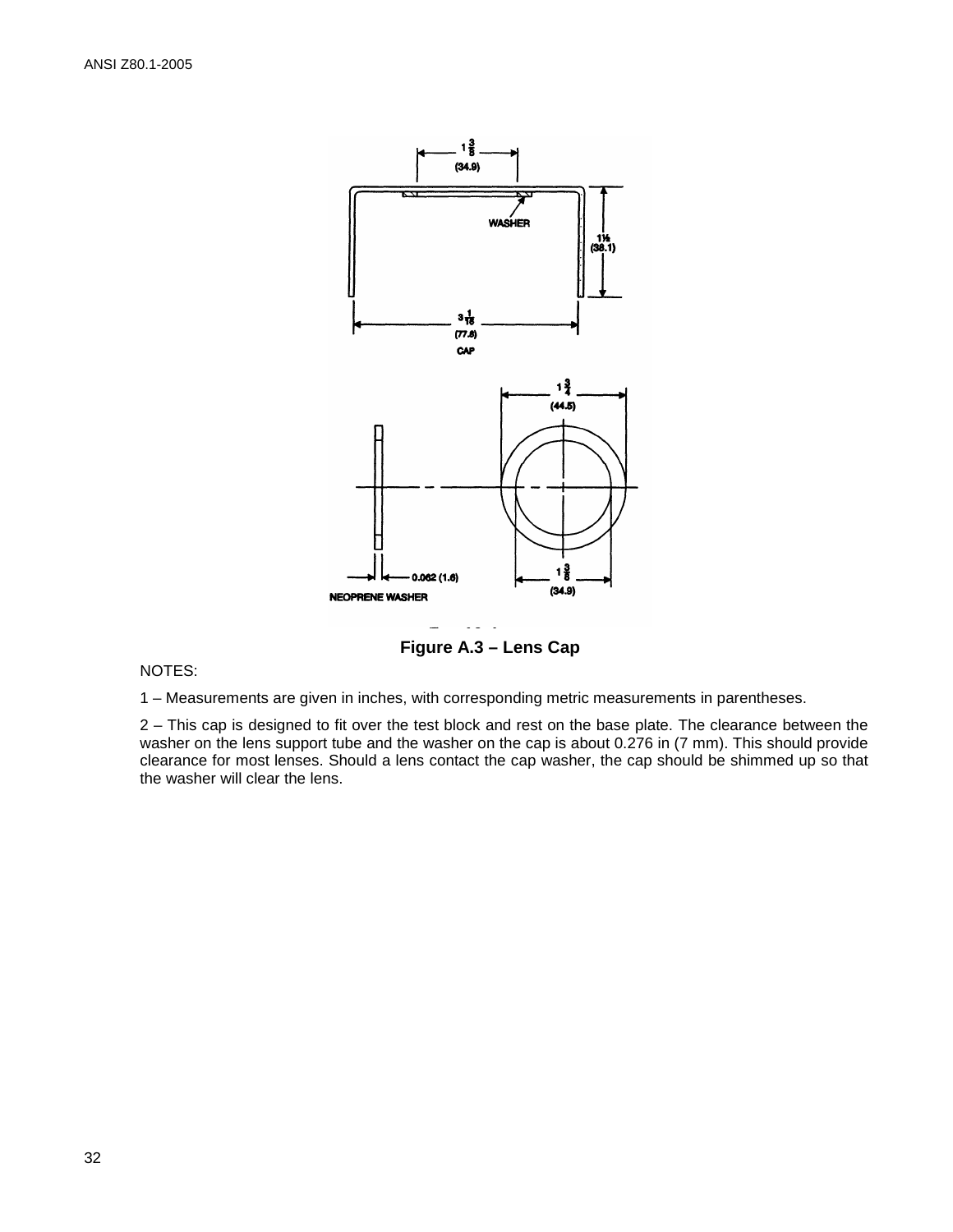

**Figure A.3 – Lens Cap** 

NOTES:

1 – Measurements are given in inches, with corresponding metric measurements in parentheses.

2 – This cap is designed to fit over the test block and rest on the base plate. The clearance between the washer on the lens support tube and the washer on the cap is about 0.276 in (7 mm). This should provide clearance for most lenses. Should a lens contact the cap washer, the cap should be shimmed up so that the washer will clear the lens.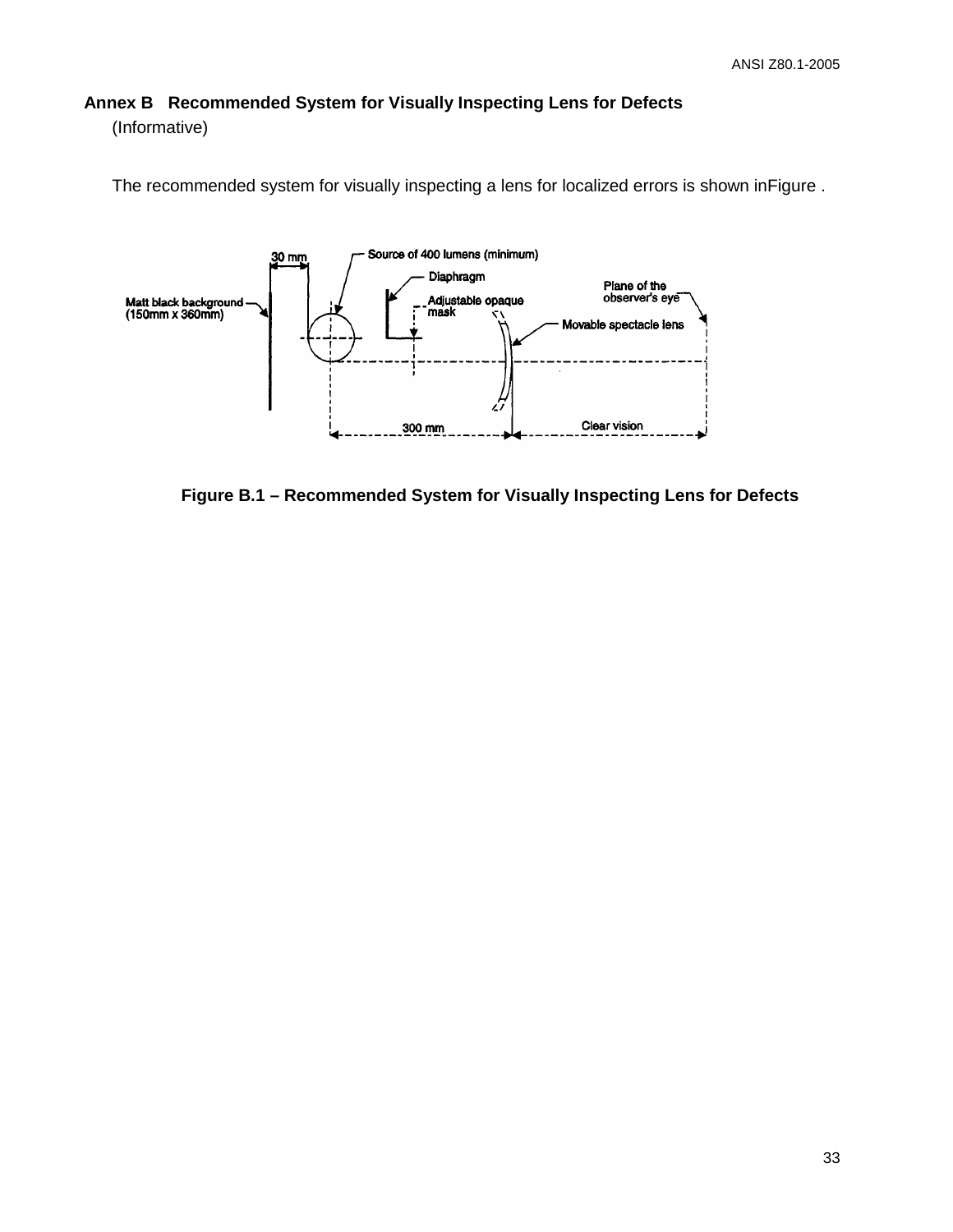## **Annex B Recommended System for Visually Inspecting Lens for Defects**

The recommended system for visually inspecting a lens for localized errors is shown inFigure .



**Figure B.1 – Recommended System for Visually Inspecting Lens for Defects** 

<sup>(</sup>Informative)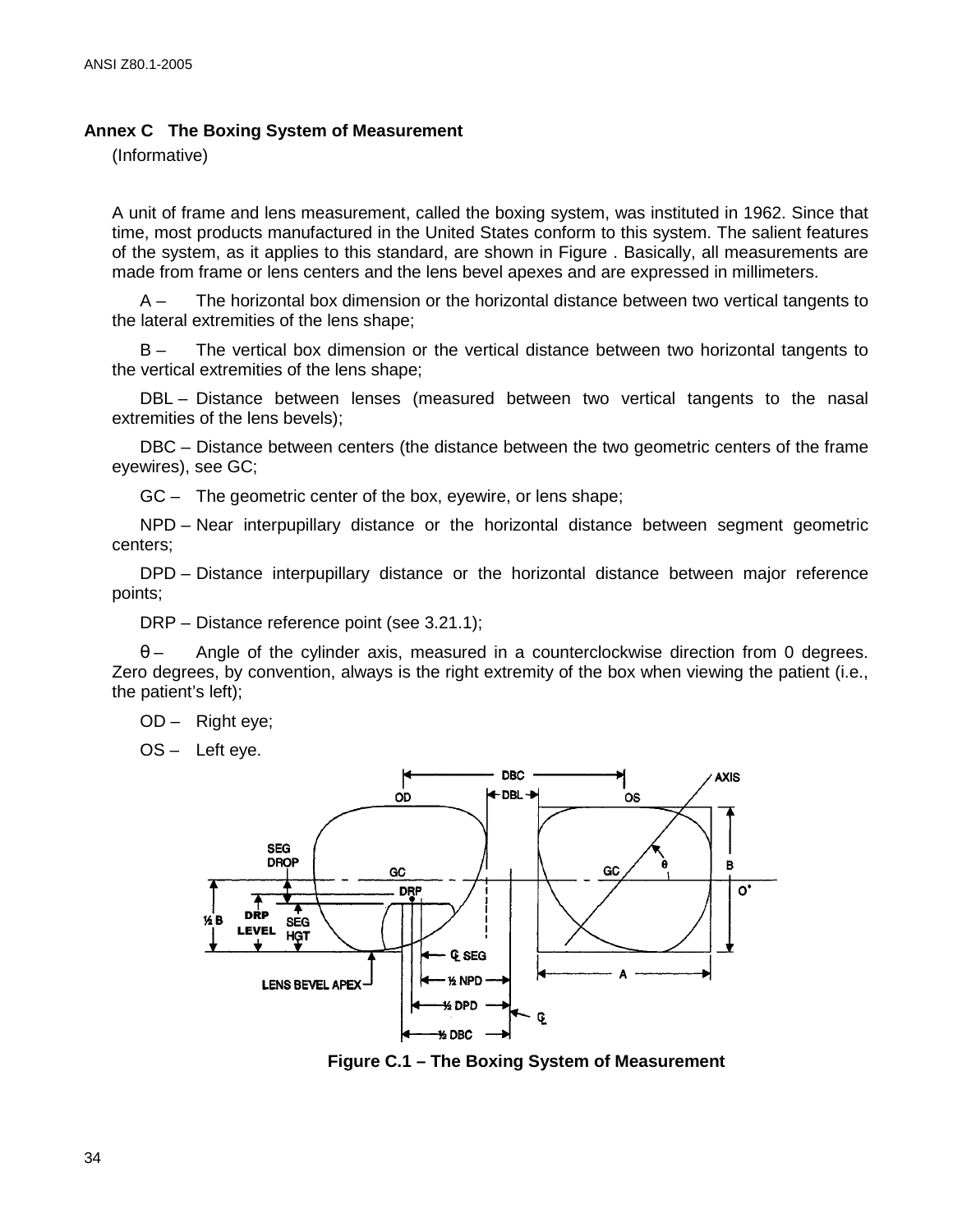#### **Annex C The Boxing System of Measurement**

(Informative)

A unit of frame and lens measurement, called the boxing system, was instituted in 1962. Since that time, most products manufactured in the United States conform to this system. The salient features of the system, as it applies to this standard, are shown in Figure . Basically, all measurements are made from frame or lens centers and the lens bevel apexes and are expressed in millimeters.

 A – The horizontal box dimension or the horizontal distance between two vertical tangents to the lateral extremities of the lens shape;

B – The vertical box dimension or the vertical distance between two horizontal tangents to the vertical extremities of the lens shape;

 DBL – Distance between lenses (measured between two vertical tangents to the nasal extremities of the lens bevels);

 DBC – Distance between centers (the distance between the two geometric centers of the frame eyewires), see GC;

GC – The geometric center of the box, eyewire, or lens shape;

 NPD – Near interpupillary distance or the horizontal distance between segment geometric centers;

 DPD – Distance interpupillary distance or the horizontal distance between major reference points;

DRP – Distance reference point (see 3.21.1);

 $\theta$  – Angle of the cylinder axis, measured in a counterclockwise direction from 0 degrees. Zero degrees, by convention, always is the right extremity of the box when viewing the patient (i.e., the patient's left);

OD – Right eye;

OS – Left eye.

![](_page_41_Figure_15.jpeg)

**Figure C.1 – The Boxing System of Measurement**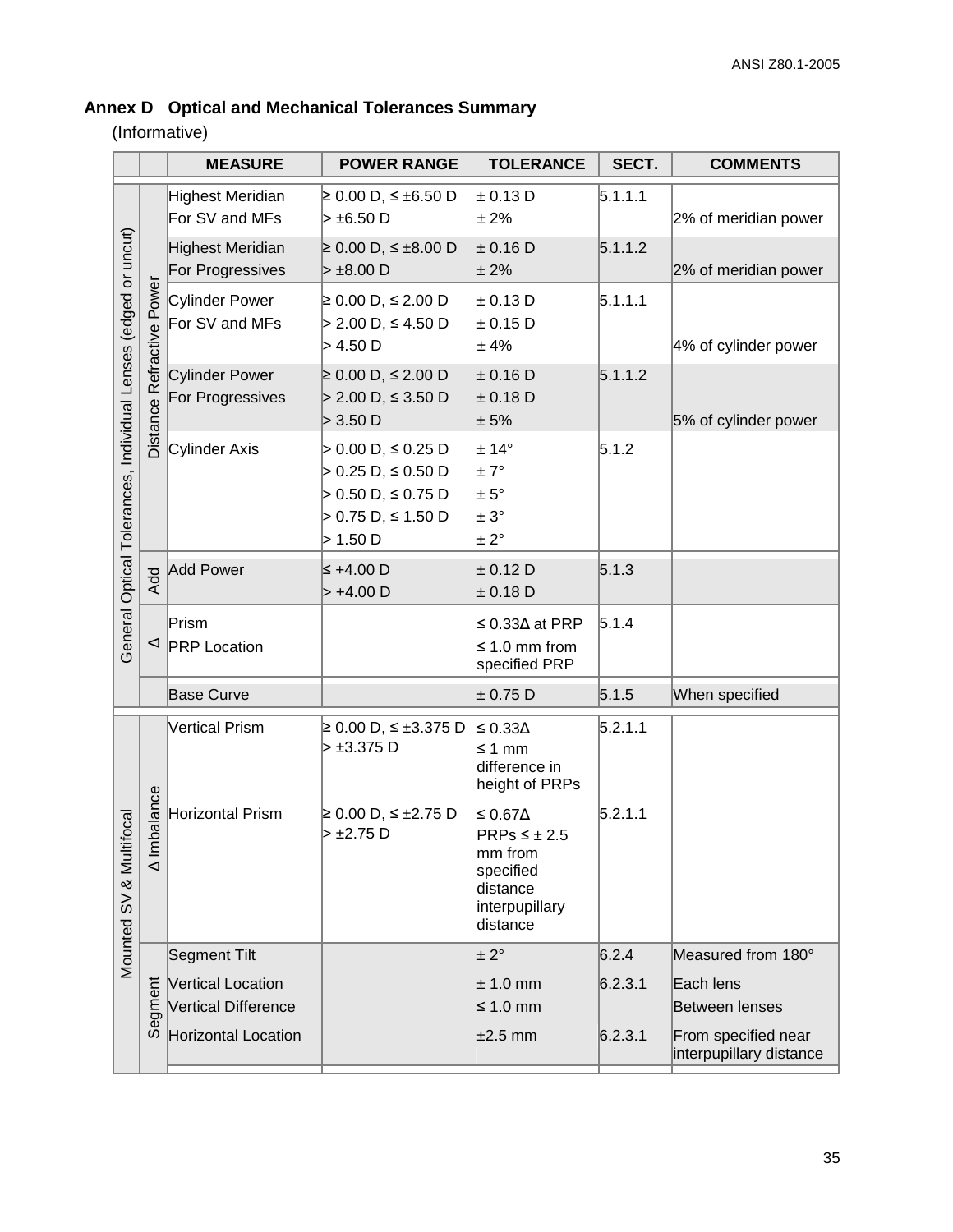## **Annex D Optical and Mechanical Tolerances Summary**

# (Informative)

|                                                                |                           | <b>MEASURE</b>                           | <b>POWER RANGE</b>                                                                                        | <b>TOLERANCE</b>                                                                                           | SECT.   | <b>COMMENTS</b>                                |
|----------------------------------------------------------------|---------------------------|------------------------------------------|-----------------------------------------------------------------------------------------------------------|------------------------------------------------------------------------------------------------------------|---------|------------------------------------------------|
| General Optical Tolerances, Individual Lenses (edged or uncut) |                           | Highest Meridian<br>For SV and MFs       | $\geq 0.00$ D, ≤ ±6.50 D<br>> ±6.50 D                                                                     | $\pm$ 0.13 D<br>$\pm 2\%$                                                                                  | 5.1.1.1 | 2% of meridian power                           |
|                                                                |                           | Highest Meridian<br>For Progressives     | ≥ 0.00 D, $\leq \pm 8.00$ D<br>$> \pm 8.00$ D                                                             | $\pm$ 0.16 D<br>$\pm 2\%$                                                                                  | 5.1.1.2 | 2% of meridian power                           |
|                                                                | Distance Refractive Power | Cylinder Power<br>For SV and MFs         | ≥ 0.00 D, ≤ 2.00 D<br>> 2.00 D, ≤ 4.50 D<br>> 4.50 D                                                      | $\pm$ 0.13 D<br>$\pm$ 0.15 D<br>$\pm 4\%$                                                                  | 5.1.1.1 | 4% of cylinder power                           |
|                                                                |                           | Cylinder Power<br>For Progressives       | ≥ 0.00 D, ≤ 2.00 D<br>> 2.00 D, ≤ 3.50 D<br>> 3.50 D                                                      | $\pm 0.16$ D<br>$\pm$ 0.18 D<br>± 5%                                                                       | 5.1.1.2 | 5% of cylinder power                           |
|                                                                |                           | Cylinder Axis                            | > 0.00 D, ≤ 0.25 D<br>> 0.25 D, ≤ 0.50 D<br>$> 0.50$ D, $\leq 0.75$ D<br>> 0.75 D, ≤ 1.50 D<br>$>$ 1.50 D | $\pm 14^{\circ}$<br>$\pm 7^{\circ}$<br>$\pm 5^{\circ}$<br>$\pm 3^{\circ}$<br>$\pm 2^{\circ}$               | 5.1.2   |                                                |
|                                                                | Add                       | Add Power                                | $\leq$ +4.00 D<br>$> +4.00 D$                                                                             | $\pm$ 0.12 D<br>± 0.18 D                                                                                   | 5.1.3   |                                                |
|                                                                |                           | Prism<br><b>⊲</b> PRP Location           |                                                                                                           | ≤ 0.33 $\Delta$ at PRP<br>$\leq 1.0$ mm from<br>specified PRP                                              | 5.1.4   |                                                |
|                                                                |                           | <b>Base Curve</b>                        |                                                                                                           | $\pm$ 0.75 D                                                                                               | 5.1.5   | When specified                                 |
|                                                                |                           | Vertical Prism                           | ≥ 0.00 D, ≤ ±3.375 D<br>$> \pm 3.375$ D                                                                   | ≤ 0.33 $\Delta$<br>$\leq 1$ mm<br>difference in<br>height of PRPs                                          | 5.2.1.1 |                                                |
| <b>Itifocal</b><br>Mounted SV & Mul                            | $\Delta$ Imbalance        | Horizontal Prism                         | ≥ 0.00 D, ≤ ±2.75 D<br>> ±2.75 D                                                                          | $\leq 0.67\Delta$<br>$PRPs \leq \pm 2.5$<br>mm from<br>specified<br>distance<br>interpupillary<br>distance | 5.2.1.1 |                                                |
|                                                                |                           | Segment Tilt                             |                                                                                                           | $\pm 2^{\circ}$                                                                                            | 6.2.4   | Measured from 180°                             |
|                                                                |                           | Vertical Location<br>Vertical Difference |                                                                                                           | $± 1.0$ mm<br>$\leq 1.0$ mm                                                                                | 6.2.3.1 | Each lens<br>Between lenses                    |
|                                                                | Segment                   | <b>Horizontal Location</b>               |                                                                                                           | $\pm 2.5$ mm                                                                                               | 6.2.3.1 | From specified near<br>interpupillary distance |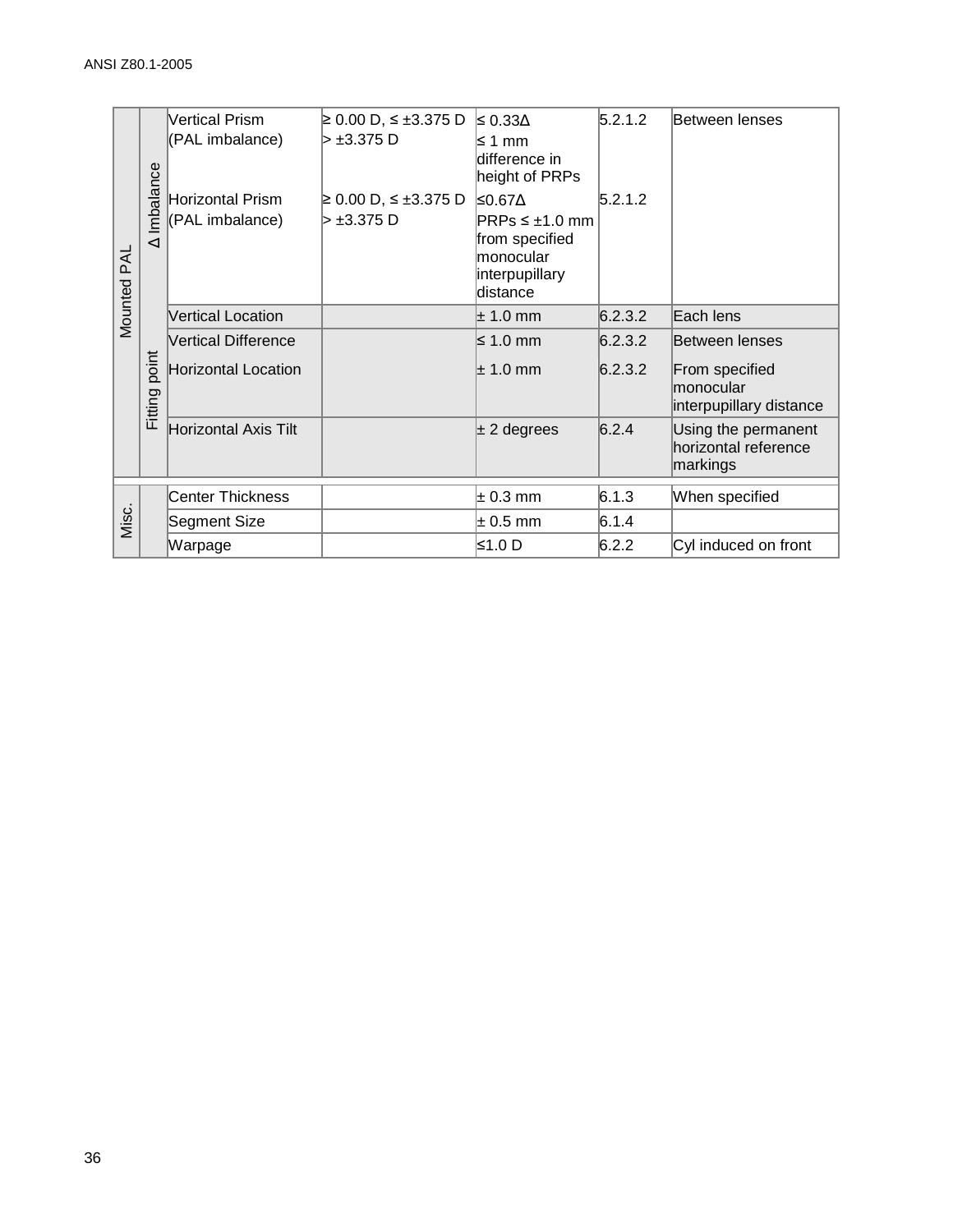|                       |                              | Vertical Prism                      | ≥ 0.00 D, ≤ ±3.375 D                    | ≤ 0.33∆                                                                                       | 5.2.1.2 | Between lenses                                          |
|-----------------------|------------------------------|-------------------------------------|-----------------------------------------|-----------------------------------------------------------------------------------------------|---------|---------------------------------------------------------|
| <b>HAL</b><br>Mounted | Imbalance<br>$\triangleleft$ | (PAL imbalance)                     | $> \pm 3.375$ D                         | $\leq 1$ mm<br>difference in<br>height of PRPs                                                |         |                                                         |
|                       |                              | Horizontal Prism<br>(PAL imbalance) | ≥ 0.00 D, ≤ ±3.375 D<br>$> \pm 3.375$ D | ≰0.67∆<br>$PRPs \leq \pm 1.0$ mm<br>from specified<br>monocular<br>interpupillary<br>distance | 5.2.1.2 |                                                         |
|                       |                              | <b>Vertical Location</b>            |                                         | $\pm$ 1.0 mm                                                                                  | 6.2.3.2 | Each lens                                               |
|                       | point<br>Fitting             | <b>Vertical Difference</b>          |                                         | $≤ 1.0$ mm                                                                                    | 6.2.3.2 | Between lenses                                          |
|                       |                              | <b>Horizontal Location</b>          |                                         | $\pm$ 1.0 mm                                                                                  | 6.2.3.2 | From specified<br>monocular<br>interpupillary distance  |
|                       |                              | Horizontal Axis Tilt                |                                         | $\pm$ 2 degrees                                                                               | 6.2.4   | Using the permanent<br>horizontal reference<br>markings |
|                       |                              | <b>Center Thickness</b>             |                                         | $\pm$ 0.3 mm                                                                                  | 6.1.3   | When specified                                          |
| Misc.                 |                              | Segment Size                        |                                         | $\pm$ 0.5 mm                                                                                  | 6.1.4   |                                                         |
|                       |                              | Warpage                             |                                         | l≤1.0 D                                                                                       | 6.2.2   | Cyl induced on front                                    |